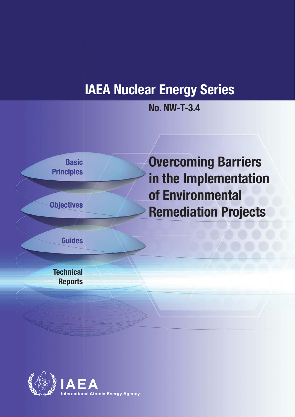# **IAEA Nuclear Energy Series**





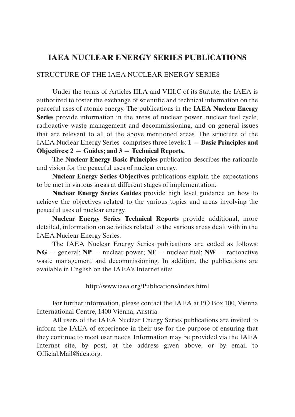## **IAEA NUCLEAR ENERGY SERIES PUBLICATIONS**

### STRUCTURE OF THE IAEA NUCLEAR ENERGY SERIES

Under the terms of Articles III.A and VIII.C of its Statute, the IAEA is authorized to foster the exchange of scientific and technical information on the peaceful uses of atomic energy. The publications in the **IAEA Nuclear Energy Series** provide information in the areas of nuclear power, nuclear fuel cycle, radioactive waste management and decommissioning, and on general issues that are relevant to all of the above mentioned areas. The structure of the IAEA Nuclear Energy Series comprises three levels: **1 — Basic Principles and Objectives; 2 — Guides; and 3 — Technical Reports.**

The **Nuclear Energy Basic Principles** publication describes the rationale and vision for the peaceful uses of nuclear energy.

**Nuclear Energy Series Objectives** publications explain the expectations to be met in various areas at different stages of implementation.

**Nuclear Energy Series Guides** provide high level guidance on how to achieve the objectives related to the various topics and areas involving the peaceful uses of nuclear energy.

**Nuclear Energy Series Technical Reports** provide additional, more detailed, information on activities related to the various areas dealt with in the IAEA Nuclear Energy Series.

The IAEA Nuclear Energy Series publications are coded as follows: **NG** — general; **NP** — nuclear power; **NF** — nuclear fuel; **NW** — radioactive waste management and decommissioning. In addition, the publications are available in English on the IAEA's Internet site:

http://www.iaea.org/Publications/index.html

For further information, please contact the IAEA at PO Box 100, Vienna International Centre, 1400 Vienna, Austria.

All users of the IAEA Nuclear Energy Series publications are invited to inform the IAEA of experience in their use for the purpose of ensuring that they continue to meet user needs. Information may be provided via the IAEA Internet site, by post, at the address given above, or by email to Official.Mail@iaea.org.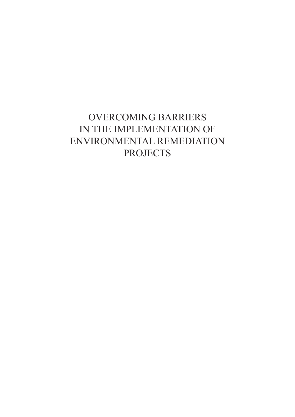# OVERCOMING BARRIERS IN THE IMPLEMENTATION OF ENVIRONMENTAL REMEDIATION PROJECTS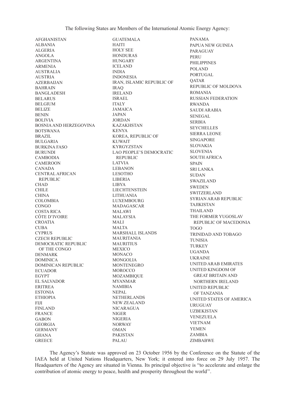AFGHANISTAN ALBANIA ALGERIA ANGOLA ARGENTINA ARMENIA AUSTRALIA AUSTRIA **AZERBAIJAN** BAHRAIN BANGLADESH BELARUS BELGIUM BELIZE BENIN BOLIVIA BOSNIA AND HERZEGOVINA BOTSWANA BRAZIL BULGARIA BURKINA FASO BURUNDI CAMBODIA CAMEROON CANADA CENTRAL AFRICAN REPUBLIC CHAD CHILE **CHINA** COLOMBIA **CONGO** COSTA RICA CÔTE D'IVOIRE CROATIA CUBA CYPRUS CZECH REPUBLIC DEMOCRATIC REPUBLIC OF THE CONGO DENMARK DOMINICA DOMINICAN REPUBLIC ECUADOR EGYPT EL SALVADOR ERITREA ESTONIA ETHIOPIA **FIII** FINLAND FRANCE **GARON** GEORGIA GERMANY GHANA **GREECE** 

GUATEMALA HAITI HOLY SEE HONDURAS HUNGARY ICELAND INDIA INDONESIA IRAN, ISLAMIC REPUBLIC OF IRAQ IRELAND ISRAEL ITALY JAMAICA JAPAN JORDAN KAZAKHSTAN KENYA KOREA, REPUBLIC OF KUWAIT KYRGYZSTAN LAO PEOPLE'S DEMOCRATIC **REPUBLIC** LATVIA LEBANON LESOTHO LIBERIA LIBYA LIECHTENSTEIN LITHUANIA LUXEMBOURG MADAGASCAR MALAWI MALAYSIA MALI MALTA MARSHALL ISLANDS MAURITANIA **MAURITIUS** MEXICO MONACO MONGOLIA MONTENEGRO MOROCCO MOZAMBIQUE MYANMAR NAMIBIA NEPAL NETHERLANDS NEW ZEALAND NICARAGUA NIGER NIGERIA NORWAY OMAN PAKISTAN PALAU

PANAMA PAPUA NEW GUINEA PARAGUAY PERU PHILIPPINES POLAND PORTUGAL **OATAR** REPUBLIC OF MOLDOVA ROMANIA RUSSIAN FEDERATION RWANDA SAUDI ARABIA SENEGAL SERBIA SEYCHELLES SIERRA LEONE SINGAPORE SLOVAKIA SLOVENIA SOUTH AFRICA **SPAIN** SRI LANKA SUDAN SWAZILAND SWEDEN SWITZERLAND SYRIAN ARAB REPUBLIC TAJIKISTAN THAILAND THE FORMER YUGOSLAV REPUBLIC OF MACEDONIA TOGO TRINIDAD AND TOBAGO TUNISIA TURKEY UGANDA UKRAINE UNITED ARAB EMIRATES UNITED KINGDOM OF GREAT BRITAIN AND NORTHERN IRELAND UNITED REPUBLIC OF TANZANIA UNITED STATES OF AMERICA **URUGUAY** UZBEKISTAN VENEZUELA VIETNAM YEMEN ZAMBIA ZIMBABWE

The Agency's Statute was approved on 23 October 1956 by the Conference on the Statute of the IAEA held at United Nations Headquarters, New York; it entered into force on 29 July 1957. The Headquarters of the Agency are situated in Vienna. Its principal objective is "to accelerate and enlarge the contribution of atomic energy to peace, health and prosperity throughout the world''.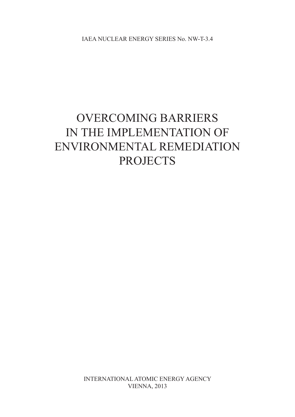IAEA NUCLEAR ENERGY SERIES No. NW-T-3.4

# OVERCOMING BARRIERS IN THE IMPLEMENTATION OF ENVIRONMENTAL REMEDIATION PROJECTS

International atomic energy agency **VIENNA**, 2013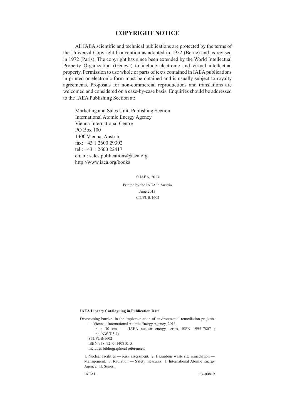### **CoPYrIght notICE**

All IAEA scientific and technical publications are protected by the terms of the Universal Copyright Convention as adopted in 1952 (Berne) and as revised in 1972 (Paris). The copyright has since been extended by the World Intellectual Property Organization (Geneva) to include electronic and virtual intellectual property. Permission to use whole or parts of texts contained in IAEA publications in printed or electronic form must be obtained and is usually subject to royalty agreements. Proposals for non-commercial reproductions and translations are welcomed and considered on a case-by-case basis. Enquiries should be addressed to the IAEA Publishing Section at:

Marketing and Sales Unit, Publishing Section International Atomic Energy Agency Vienna International Centre PO Box 100 1400 Vienna, Austria fax: +43 1 2600 29302 tel.: +43 1 2600 22417 email: sales.publications@iaea.org http://www.iaea.org/books

© IAEA, 2013

Printed by the IAEA in Austria June 2013 STI/PUB/1602

#### **IAEA Library Cataloguing in Publication Data**

Overcoming barriers in the implementation of environmental remediation projects. — Vienna : International Atomic Energy Agency, 2013.

p. ; 30 cm. — (IAEA nuclear energy series, ISSN 1995–7807 ; no. NW-T-3.4) STI/PUB/1602 ISBN 978–92–0–140810–5

Includes bibliographical references.

1. Nuclear facilities — Risk assessment. 2. Hazardous waste site remediation — Management. 3. Radiation — Safety measures. I. International Atomic Energy Agency. II. Series.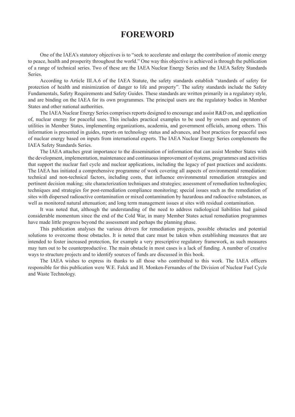## **foreword**

One of the IAEA's statutory objectives is to "seek to accelerate and enlarge the contribution of atomic energy to peace, health and prosperity throughout the world." One way this objective is achieved is through the publication of a range of technical series. Two of these are the IAEA Nuclear Energy Series and the IAEA Safety Standards Series.

According to Article III.A.6 of the IAEA Statute, the safety standards establish "standards of safety for protection of health and minimization of danger to life and property". The safety standards include the Safety Fundamentals, Safety Requirements and Safety Guides. These standards are written primarily in a regulatory style, and are binding on the IAEA for its own programmes. The principal users are the regulatory bodies in Member States and other national authorities.

The IAEA Nuclear Energy Series comprises reports designed to encourage and assist R&D on, and application of, nuclear energy for peaceful uses. This includes practical examples to be used by owners and operators of utilities in Member States, implementing organizations, academia, and government officials, among others. This information is presented in guides, reports on technology status and advances, and best practices for peaceful uses of nuclear energy based on inputs from international experts. The IAEA Nuclear Energy Series complements the IAEA Safety Standards Series.

The IAEA attaches great importance to the dissemination of information that can assist Member States with the development, implementation, maintenance and continuous improvement of systems, programmes and activities that support the nuclear fuel cycle and nuclear applications, including the legacy of past practices and accidents. The IAEA has initiated a comprehensive programme of work covering all aspects of environmental remediation: technical and non-technical factors, including costs, that influence environmental remediation strategies and pertinent decision making; site characterization techniques and strategies; assessment of remediation technologies; techniques and strategies for post-remediation compliance monitoring; special issues such as the remediation of sites with dispersed radioactive contamination or mixed contamination by hazardous and radioactive substances, as well as monitored natural attenuation; and long term management issues at sites with residual contamination.

It was noted that, although the understanding of the need to address radiological liabilities had gained considerable momentum since the end of the Cold War, in many Member States actual remediation programmes have made little progress beyond the assessment and perhaps the planning phase.

This publication analyses the various drivers for remediation projects, possible obstacles and potential solutions to overcome those obstacles. It is noted that care must be taken when establishing measures that are intended to foster increased protection, for example a very prescriptive regulatory framework, as such measures may turn out to be counterproductive. The main obstacle in most cases is a lack of funding. A number of creative ways to structure projects and to identify sources of funds are discussed in this book.

The IAEA wishes to express its thanks to all those who contributed to this work. The IAEA officers responsible for this publication were W.E. Falck and H. Monken-Fernandes of the Division of Nuclear Fuel Cycle and Waste Technology.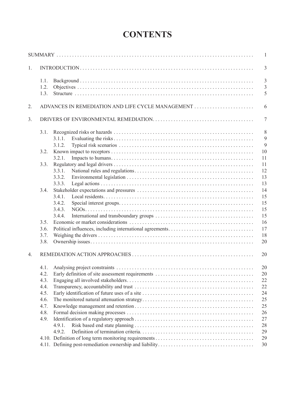# **CONTENTS**

|    |      |                                                   | $\mathbf{1}$   |
|----|------|---------------------------------------------------|----------------|
| 1. |      |                                                   | 3              |
|    | 1.1. |                                                   | $\overline{3}$ |
|    | 1.2. |                                                   | $\overline{3}$ |
|    | 1.3. |                                                   | 5              |
| 2. |      | ADVANCES IN REMEDIATION AND LIFE CYCLE MANAGEMENT | 6              |
| 3. |      |                                                   | $\tau$         |
|    | 3.1. |                                                   | 8              |
|    |      | 3.1.1.                                            | 9              |
|    |      | 3.1.2.                                            | 9              |
|    | 3.2. |                                                   | 10             |
|    |      | 3.2.1.                                            | 11             |
|    | 3.3. |                                                   | 11             |
|    |      | 3.3.1.                                            | 12             |
|    |      | 3.3.2.                                            | 13             |
|    |      | 3.3.3.                                            | 13             |
|    | 3.4. |                                                   | 14             |
|    |      | 3.4.1.                                            | 15             |
|    |      | 3.4.2.                                            | 15             |
|    |      | 3.4.3.                                            | 15             |
|    |      | 3.4.4.                                            | 15             |
|    | 3.5. |                                                   | 16             |
|    | 3.6. |                                                   | 17             |
|    | 3.7. |                                                   | 18             |
|    | 3.8. |                                                   | 20             |
| 4. |      |                                                   | 20             |
|    |      |                                                   | 20             |
|    | 4.2. |                                                   | 20             |
|    | 4.3. |                                                   | 22             |
|    | 4.4. |                                                   | 22             |
|    | 4.5. |                                                   | 24             |
|    | 4.6. |                                                   | 25             |
|    | 4.7. |                                                   | 25             |
|    | 4.8. |                                                   | 26             |
|    | 4.9. |                                                   | 27             |
|    |      | 4.9.1.                                            | 28             |
|    |      | 4.9.2.                                            | 29             |
|    |      |                                                   | 29             |
|    |      |                                                   | 30             |
|    |      |                                                   |                |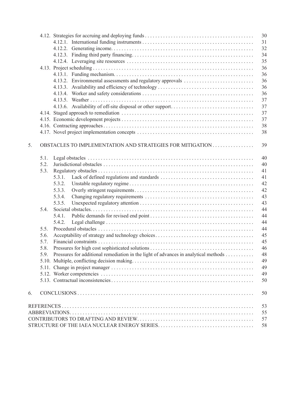|    |      | 30                                                                                        |
|----|------|-------------------------------------------------------------------------------------------|
|    |      | 31                                                                                        |
|    |      | 32                                                                                        |
|    |      | 34                                                                                        |
|    |      | 35                                                                                        |
|    |      | 36                                                                                        |
|    |      | 36                                                                                        |
|    |      | 36                                                                                        |
|    |      | 36                                                                                        |
|    |      | 36                                                                                        |
|    |      | 37                                                                                        |
|    |      | 37                                                                                        |
|    |      | 37                                                                                        |
|    |      | 37                                                                                        |
|    |      |                                                                                           |
|    |      | 38                                                                                        |
|    |      | 38                                                                                        |
| 5. |      | 39                                                                                        |
|    |      |                                                                                           |
|    | 5.1. | 40                                                                                        |
|    | 5.2. | 40                                                                                        |
|    | 5.3. | 41                                                                                        |
|    |      | 41<br>5.3.1.                                                                              |
|    |      | 42<br>5.3.2.                                                                              |
|    |      | 42<br>5.3.3.                                                                              |
|    |      | 43<br>5.3.4.                                                                              |
|    |      | 43<br>5.3.5.                                                                              |
|    | 5.4. | 44                                                                                        |
|    |      | 44<br>5.4.1.                                                                              |
|    |      | 44<br>5.4.2.                                                                              |
|    | 5.5. | 44                                                                                        |
|    | 5.6. | 45                                                                                        |
|    | 5.7. | 45                                                                                        |
|    | 5.8. | 46                                                                                        |
|    |      | Pressures for additional remediation in the light of advances in analytical methods<br>48 |
|    |      | 49                                                                                        |
|    |      | 49                                                                                        |
|    |      | 49                                                                                        |
|    |      |                                                                                           |
|    |      | 50                                                                                        |
| 6. |      | 50                                                                                        |
|    |      | 53                                                                                        |
|    |      | 55                                                                                        |
|    |      | 57                                                                                        |
|    |      | 58                                                                                        |
|    |      |                                                                                           |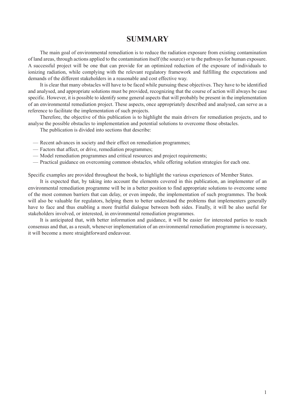### **SUMMARY**

<span id="page-10-0"></span>The main goal of environmental remediation is to reduce the radiation exposure from existing contamination of land areas, through actions applied to the contamination itself (the source) or to the pathways for human exposure. A successful project will be one that can provide for an optimized reduction of the exposure of individuals to ionizing radiation, while complying with the relevant regulatory framework and fulfilling the expectations and demands of the different stakeholders in a reasonable and cost effective way.

It is clear that many obstacles will have to be faced while pursuing these objectives. They have to be identified and analysed, and appropriate solutions must be provided, recognizing that the course of action will always be case specific. However, it is possible to identify some general aspects that will probably be present in the implementation of an environmental remediation project. These aspects, once appropriately described and analysed, can serve as a reference to facilitate the implementation of such projects.

Therefore, the objective of this publication is to highlight the main drivers for remediation projects, and to analyse the possible obstacles to implementation and potential solutions to overcome those obstacles.

The publication is divided into sections that describe:

- Recent advances in society and their effect on remediation programmes;
- Factors that affect, or drive, remediation programmes;
- Model remediation programmes and critical resources and project requirements;
- Practical guidance on overcoming common obstacles, while offering solution strategies for each one.

Specific examples are provided throughout the book, to highlight the various experiences of Member States.

It is expected that, by taking into account the elements covered in this publication, an implementer of an environmental remediation programme will be in a better position to find appropriate solutions to overcome some of the most common barriers that can delay, or even impede, the implementation of such programmes. The book will also be valuable for regulators, helping them to better understand the problems that implementers generally have to face and thus enabling a more fruitful dialogue between both sides. Finally, it will be also useful for stakeholders involved, or interested, in environmental remediation programmes.

It is anticipated that, with better information and guidance, it will be easier for interested parties to reach consensus and that, as a result, whenever implementation of an environmental remediation programme is necessary, it will become a more straightforward endeavour.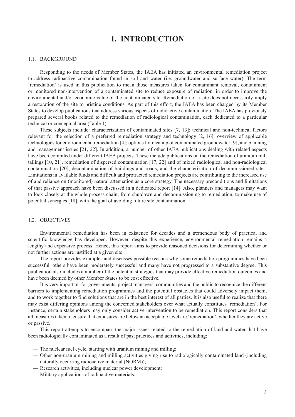## **1. Introduction**

### <span id="page-12-0"></span>1.1. BACKGROUND

Responding to the needs of Member States, the IAEA has initiated an environmental remediation project to address radioactive contamination found in soil and water (i.e. groundwater and surface water). The term 'remediation' is used in this publication to mean those measures taken for contaminant removal, containment or monitored non-intervention of a contaminated site to reduce exposure of radiation, in order to improve the environmental and/or economic value of the contaminated site. Remediation of a site does not necessarily imply a restoration of the site to pristine conditions. As part of this effort, the IAEA has been charged by its Member States to develop publications that address various aspects of radioactive contamination. The IAEA has previously prepared several books related to the remediation of radiological contamination, each dedicated to a particular technical or conceptual area (Table 1).

These subjects include: characterization of contaminated sites [7, 13]; technical and non-technical factors relevant for the selection of a preferred remediation strategy and technology [2, 16]; overview of applicable technologies for environmental remediation [4]; options for cleanup of contaminated groundwater [9]; and planning and management issues [21, 22]. In addition, a number of other IAEA publications dealing with related aspects have been compiled under different IAEA projects. These include publications on the remediation of uranium mill tailings [10, 21], remediation of dispersed contamination [17, 22] and of mixed radiological and non-radiological contamination [20], decontamination of buildings and roads, and the characterization of decommissioned sites. Limitations in available funds and difficult and protracted remediation projects are contributing to the increased use of and reliance on (monitored) natural attenuation as a core strategy. The necessary preconditions and limitations of that passive approach have been discussed in a dedicated report [14]. Also, planners and managers may want to look closely at the whole process chain, from shutdown and decommissioning to remediation, to make use of potential synergies [18], with the goal of avoiding future site contamination.

### 1.2. OBJECTIVES

Environmental remediation has been in existence for decades and a tremendous body of practical and scientific knowledge has developed. However, despite this experience, environmental remediation remains a lengthy and expensive process. Hence, this report aims to provide reasoned decisions for determining whether or not further actions are justified at a given site.

The report provides examples and discusses possible reasons why some remediation programmes have been successful, others have been moderately successful and many have not progressed to a substantive degree. This publication also includes a number of the potential strategies that may provide effective remediation outcomes and have been deemed by other Member States to be cost effective.

It is very important for governments, project managers, communities and the public to recognize the different barriers to implementing remediation programmes and the potential obstacles that could adversely impact them, and to work together to find solutions that are in the best interest of all parties. It is also useful to realize that there may exist differing opinions among the concerned stakeholders over what actually constitutes 'remediation'. For instance, certain stakeholders may only consider active intervention to be remediation. This report considers that all measures taken to ensure that exposures are below an acceptable level are 'remediation', whether they are active or passive.

This report attempts to encompass the major issues related to the remediation of land and water that have been radiologically contaminated as a result of past practices and activities, including:

- The nuclear fuel cycle, starting with uranium mining and milling;
- Other non-uranium mining and milling activities giving rise to radiologically contaminated land (including naturally occurring radioactive material (NORM));
- Research activities, including nuclear power development;
- Military applications of radioactive materials.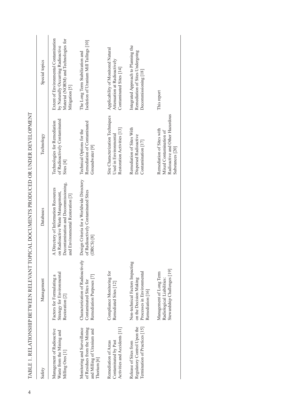| Safety                                                                                                  | Management                                                                                                  | Databases                                                                                                                                             | Technology                                                                                                | Special topics                                                                                                                        |
|---------------------------------------------------------------------------------------------------------|-------------------------------------------------------------------------------------------------------------|-------------------------------------------------------------------------------------------------------------------------------------------------------|-----------------------------------------------------------------------------------------------------------|---------------------------------------------------------------------------------------------------------------------------------------|
| Management of Radioactive<br>Waste from the Mining and<br>Milling Ores <sup>[1]</sup>                   | Strategy for Environmental<br>Factors for Formulating a<br>Restoration [2]                                  | Decontamination and Decommissioning,<br>A Directory of Information Resources<br>on Radioactive Waste Management,<br>and Environmental Restoration [3] | of Radioactively Contaminated<br>Technologies for Remediation<br>Sites <sup>[4]</sup>                     | Extent of Environmental Contamination<br>Material (NORM) and Technologies for<br>by Naturally Occurring Radioactive<br>Mitigation [5] |
| Monitoring and Surveillance<br>of Residues from the Mining<br>and Milling of Uranium and<br>[6] Chorium | Characterization of Radioactively<br>Remediation Purposes [7]<br>Contaminated Sites for                     | Design Criteria for a Worldwide Directory<br>of Radioactively Contaminated Sites<br>(DRCS)[8]                                                         | Remediation of Contaminated<br>Technical Options for the<br>Groundwater <sup>[9]</sup>                    | Isolation of Uranium Mill Tailings [10]<br>The Long Term Stabilization and                                                            |
| Activities and Accidents [11]<br>Contaminated by Past<br>Remediation of Areas                           | Compliance Monitoring for<br>Remediated Sites [12]                                                          |                                                                                                                                                       | Site Characterization Techniques<br>Restoration Activities [13]<br>Used in Environmental                  | Applicability of Monitored Natural<br>Attenuation at Radioactively<br>Contaminated Sites [14]                                         |
| Regulatory Control Upon the<br>[15] ermination of Practices <sup>[15]</sup><br>Release of Sites from    | Non-technical Factors Impacting<br>Processes in Environmental<br>on the Decision Making<br>Remediation [16] |                                                                                                                                                       | Remediation of Sites With<br>Dispersed Radioactive<br>$\text{Constantation}$ [17]                         | Integrated Approach to Planning the<br>Remediation of Sites Undergoing<br>Decommissioning [18]                                        |
|                                                                                                         | Stewardship Challenges [19]<br>Management of Long Term<br>Radiological Liabilities:                         |                                                                                                                                                       | Radioactive and Other Hazardous<br>Remediation of Sites with<br>Mixed Contamination of<br>Substances [20] | This report                                                                                                                           |

| í                                            |  |
|----------------------------------------------|--|
| l                                            |  |
|                                              |  |
|                                              |  |
| l                                            |  |
|                                              |  |
|                                              |  |
|                                              |  |
|                                              |  |
| ֖֖֧֧֧֚֚֚֚֚֚֚֚֚֚֚֚֚֚֚֚֚֚֚֚֚֚֚֚֚֚֚֚֚֚֡֬֝֓֝֓    |  |
|                                              |  |
| ١                                            |  |
|                                              |  |
| I                                            |  |
|                                              |  |
| l                                            |  |
| I                                            |  |
|                                              |  |
|                                              |  |
|                                              |  |
|                                              |  |
|                                              |  |
|                                              |  |
|                                              |  |
| i<br>}                                       |  |
|                                              |  |
|                                              |  |
|                                              |  |
| <br>)<br>)                                   |  |
|                                              |  |
|                                              |  |
|                                              |  |
| ļ                                            |  |
| I                                            |  |
|                                              |  |
| $\frac{1}{2}$                                |  |
|                                              |  |
| i                                            |  |
|                                              |  |
| I                                            |  |
|                                              |  |
|                                              |  |
| I                                            |  |
|                                              |  |
|                                              |  |
|                                              |  |
|                                              |  |
|                                              |  |
| $\ddot{\phantom{a}}$                         |  |
| ;<br>)<br> }                                 |  |
|                                              |  |
|                                              |  |
|                                              |  |
|                                              |  |
|                                              |  |
|                                              |  |
|                                              |  |
|                                              |  |
|                                              |  |
|                                              |  |
|                                              |  |
|                                              |  |
|                                              |  |
| l                                            |  |
| l                                            |  |
|                                              |  |
|                                              |  |
| Í                                            |  |
|                                              |  |
|                                              |  |
|                                              |  |
|                                              |  |
|                                              |  |
|                                              |  |
|                                              |  |
| ・インフィイ てきこうしゃ こうさく イント・ストイン しょうこう            |  |
| l                                            |  |
|                                              |  |
| I                                            |  |
|                                              |  |
|                                              |  |
|                                              |  |
|                                              |  |
|                                              |  |
|                                              |  |
| l<br>i<br>l                                  |  |
| l                                            |  |
|                                              |  |
|                                              |  |
|                                              |  |
| l                                            |  |
|                                              |  |
| l                                            |  |
|                                              |  |
|                                              |  |
|                                              |  |
|                                              |  |
| The same state and some the contract of<br>l |  |
| I                                            |  |
| Į                                            |  |
|                                              |  |
|                                              |  |
|                                              |  |
|                                              |  |
|                                              |  |
|                                              |  |
|                                              |  |
|                                              |  |
|                                              |  |
|                                              |  |
| Ì                                            |  |
|                                              |  |
| l                                            |  |
|                                              |  |
|                                              |  |
|                                              |  |
| ļ                                            |  |
|                                              |  |
| I                                            |  |
|                                              |  |
| í                                            |  |
|                                              |  |
| É                                            |  |
|                                              |  |
|                                              |  |
|                                              |  |
|                                              |  |
|                                              |  |
|                                              |  |
|                                              |  |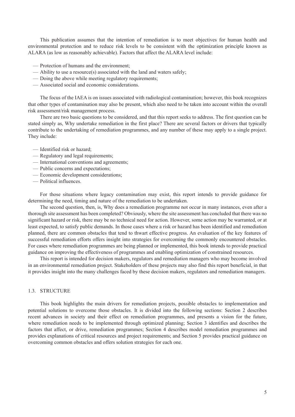<span id="page-14-0"></span>This publication assumes that the intention of remediation is to meet objectives for human health and environmental protection and to reduce risk levels to be consistent with the optimization principle known as ALARA (as low as reasonably achievable). Factors that affect the ALARA level include:

- Protection of humans and the environment;
- Ability to use a resource(s) associated with the land and waters safely;
- Doing the above while meeting regulatory requirements;
- Associated social and economic considerations.

The focus of the IAEA is on issues associated with radiological contamination; however, this book recognizes that other types of contamination may also be present, which also need to be taken into account within the overall risk assessment/risk management process.

There are two basic questions to be considered, and that this report seeks to address. The first question can be stated simply as, Why undertake remediation in the first place? There are several factors or drivers that typically contribute to the undertaking of remediation programmes, and any number of these may apply to a single project. They include:

- Identified risk or hazard;
- Regulatory and legal requirements;
- International conventions and agreements;
- Public concerns and expectations;
- Economic development considerations;
- Political influences.

For those situations where legacy contamination may exist, this report intends to provide guidance for determining the need, timing and nature of the remediation to be undertaken.

The second question, then, is, Why does a remediation programme not occur in many instances, even after a thorough site assessment has been completed? Obviously, where the site assessment has concluded that there was no significant hazard or risk, there may be no technical need for action. However, some action may be warranted, or at least expected, to satisfy public demands. In those cases where a risk or hazard has been identified and remediation planned, there are common obstacles that tend to thwart effective progress. An evaluation of the key features of successful remediation efforts offers insight into strategies for overcoming the commonly encountered obstacles. For cases where remediation programmes are being planned or implemented, this book intends to provide practical guidance on improving the effectiveness of programmes and enabling optimization of constrained resources.

This report is intended for decision makers, regulators and remediation managers who may become involved in an environmental remediation project. Stakeholders of these projects may also find this report beneficial, in that it provides insight into the many challenges faced by these decision makers, regulators and remediation managers.

### 1.3. STRUCTURE

This book highlights the main drivers for remediation projects, possible obstacles to implementation and potential solutions to overcome those obstacles. It is divided into the following sections: Section 2 describes recent advances in society and their effect on remediation programmes, and presents a vision for the future, where remediation needs to be implemented through optimized planning; Section 3 identifies and describes the factors that affect, or drive, remediation programmes; Section 4 describes model remediation programmes and provides explanations of critical resources and project requirements; and Section 5 provides practical guidance on overcoming common obstacles and offers solution strategies for each one.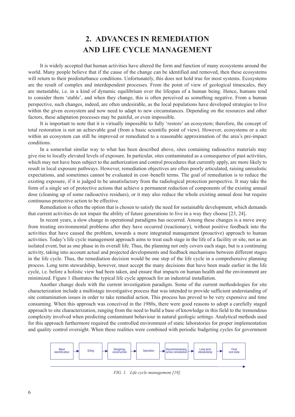# **2. advances in remediation and life cycle management**

<span id="page-15-0"></span>It is widely accepted that human activities have altered the form and function of many ecosystems around the world. Many people believe that if the cause of the change can be identified and removed, then these ecosystems will return to their predisturbance conditions. Unfortunately, this does not hold true for most systems. Ecosystems are the result of complex and interdependent processes. From the point of view of geological timescales, they are metastable, i.e. in a kind of dynamic equilibrium over the lifespan of a human being. Hence, humans tend to consider them 'stable', and when they change, this is often perceived as something negative. From a human perspective, such changes, indeed, are often undesirable, as the local populations have developed strategies to live within the given ecosystem and now need to adapt to new circumstances. Depending on the resources and other factors, these adaptation processes may be painful, or even impossible.

It is important to note that it is virtually impossible to fully 'restore' an ecosystem; therefore, the concept of total restoration is not an achievable goal (from a basic scientific point of view). However, ecosystems or a site within an ecosystem can still be improved or remediated to a reasonable approximation of the area's pre-impact conditions.

In a somewhat similar way to what has been described above, sites containing radioactive materials may give rise to locally elevated levels of exposure. In particular, sites contaminated as a consequence of past activities, which may not have been subject to the authorization and control procedures that currently apply, are more likely to result in local exposure pathways. However, remediation objectives are often poorly articulated, raising unrealistic expectations, and sometimes cannot be evaluated in cost–benefit terms. The goal of remediation is to reduce the existing exposure, if it is judged to be unsatisfactory from the radiological protection perspective. It may take the form of a single set of protective actions that achieve a permanent reduction of components of the existing annual dose (cleaning up of some radioactive residues), or it may also reduce the whole existing annual dose but require continuous protective action to be effective.

Remediation is often the option that is chosen to satisfy the need for sustainable development, which demands that current activities do not impair the ability of future generations to live in a way they choose [23, 24].

In recent years, a slow change in operational paradigms has occurred. Among these changes is a move away from treating environmental problems after they have occurred (reactionary), without positive feedback into the activities that have caused the problem, towards a more integrated management (proactive) approach to human activities. Today's life cycle management approach aims to treat each stage in the life of a facility or site, not as an isolated event, but as one phase in its overall life. Thus, the planning not only covers each stage, but is a continuing activity, taking into account actual and projected developments and feedback mechanisms between different stages in the life cycle. Thus, the remediation decision would be one step of the life cycle in a comprehensive planning process. Long term stewardship, however, must accept the many decisions that have been made earlier in the life cycle, i.e. before a holistic view had been taken, and ensure that impacts on human health and the environment are minimized. Figure 1 illustrates the typical life cycle approach for an industrial installation.

Another change deals with the current investigation paradigm. Some of the current methodologies for site characterization include a multistage investigative process that was intended to provide sufficient understanding of site contamination issues in order to take remedial action. This process has proved to be very expensive and time consuming. When this approach was conceived in the 1980s, there were good reasons to adopt a carefully staged approach to site characterization, ranging from the need to build a base of knowledge in this field to the tremendous complexity involved when predicting contaminant behaviour in natural geologic settings. Analytical methods used for this approach furthermore required the controlled environment of static laboratories for proper implementation and quality control oversight. When these realities were combined with periodic budgeting cycles for government



*FIG. 1. Life cycle management [19].*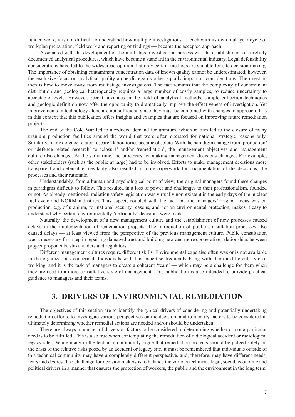<span id="page-16-0"></span>funded work, it is not difficult to understand how multiple investigations — each with its own multiyear cycle of workplan preparation, field work and reporting of findings — became the accepted approach.

Associated with the development of the multistage investigation process was the establishment of carefully documented analytical procedures, which have become a standard in the environmental industry. Legal defensibility considerations have led to the widespread opinion that only certain methods are suitable for site decision making. The importance of obtaining contaminant concentration data of known quality cannot be underestimated; however, the exclusive focus on analytical quality alone disregards other equally important considerations. The question then is how to move away from multistage investigations. The fact remains that the complexity of contaminant distribution and geological heterogeneity requires a large number of costly samples, to reduce uncertainty to acceptable levels. However, recent advances in the field of analytical methods, sample collection techniques and geologic definition now offer the opportunity to dramatically improve the effectiveness of investigation. Yet improvements in technology alone are not sufficient, since they must be combined with changes in approach. It is in this context that this publication offers insights and examples that are focused on improving future remediation projects.

The end of the Cold War led to a reduced demand for uranium, which in turn led to the closure of many uranium production facilities around the world that were often operated for national strategic reasons only. Similarly, many defence related research laboratories became obsolete. With the paradigm change from 'production' or 'defence related research' to 'closure' and/or 'remediation', the management objectives and management culture also changed. At the same time, the processes for making management decisions changed. For example, other stakeholders (such as the public at large) had to be involved. Efforts to make management decisions more transparent and defensible inevitably also resulted in more paperwork for documentation of the decisions, the processes and their rationale.

Understandably, from a human and psychological point of view, the original managers found these changes in paradigms difficult to follow. This resulted in a loss of power and challenges to their professionalism, founded or not. As already mentioned, radiation safety legislation was virtually non-existent in the early days of the nuclear fuel cycle and NORM industries. This aspect, coupled with the fact that the managers' original focus was on production, e.g. of uranium, for national security reasons, and not on environmental protection, makes it easy to understand why certain environmentally 'unfriendly' decisions were made.

Naturally, the development of a new management culture and the establishment of new processes caused delays in the implementation of remediation projects. The introduction of public consultation processes also caused delays — at least viewed from the perspective of the previous management culture. Public consultation was a necessary first step in repairing damaged trust and building new and more cooperative relationships between project proponents, stakeholders and regulators.

Different management cultures require different skills. Environmental expertise often was or is not available in the organizations concerned. Individuals with this expertise frequently bring with them a different style of working, and it is the task of managers to create a coherent 'team' — which may be a challenge for them when they are used to a more consultative style of management. This publication is also intended to provide practical guidance to managers and their teams.

### **3. drivers of environmental remediation**

The objectives of this section are to identify the typical drivers of considering and potentially undertaking remediation efforts, to investigate various perspectives on the decision, and to identify factors to be considered in ultimately determining whether remedial actions are needed and/or should be undertaken.

There are always a number of drivers or factors to be considered in determining whether or not a particular need is to be fulfilled. This is also true when contemplating the remediation of radiological accident or radiological legacy sites. While many in the technical community argue that remediation projects should be judged solely on the basis of the relative risks posed by an accident or legacy site, it must be remembered that individuals outside of this technical community may have a completely different perspective, and, therefore, may have different needs, fears and desires. The challenge for decision makers is to balance the various technical, legal, social, economic and political drivers in a manner that ensures the protection of workers, the public and the environment in the long term.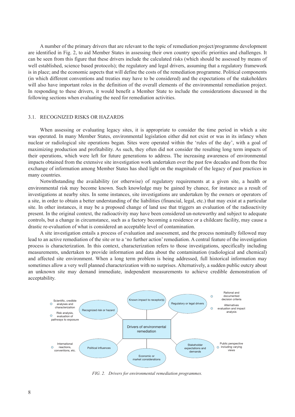<span id="page-17-0"></span>A number of the primary drivers that are relevant to the topic of remediation project/programme development are identified in Fig. 2, to aid Member States in assessing their own country specific priorities and challenges. It can be seen from this figure that these drivers include the calculated risks (which should be assessed by means of well established, science based protocols); the regulatory and legal drivers, assuming that a regulatory framework is in place; and the economic aspects that will define the costs of the remediation programme. Political components (in which different conventions and treaties may have to be considered) and the expectations of the stakeholders will also have important roles in the definition of the overall elements of the environmental remediation project. In responding to these drivers, it would benefit a Member State to include the considerations discussed in the following sections when evaluating the need for remediation activities.

### 3.1. RECOGNIZED RISKS OR HAZARDS

When assessing or evaluating legacy sites, it is appropriate to consider the time period in which a site was operated. In many Member States, environmental legislation either did not exist or was in its infancy when nuclear or radiological site operations began. Sites were operated within the 'rules of the day', with a goal of maximizing production and profitability. As such, they often did not consider the resulting long term impacts of their operations, which were left for future generations to address. The increasing awareness of environmental impacts obtained from the extensive site investigation work undertaken over the past few decades and from the free exchange of information among Member States has shed light on the magnitude of the legacy of past practices in many countries.

Notwithstanding the availability (or otherwise) of regulatory requirements at a given site, a health or environmental risk may become known. Such knowledge may be gained by chance, for instance as a result of investigations at nearby sites. In some instances, site investigations are undertaken by the owners or operators of a site, in order to obtain a better understanding of the liabilities (financial, legal, etc.) that may exist at a particular site. In other instances, it may be a proposed change of land use that triggers an evaluation of the radioactivity present. In the original context, the radioactivity may have been considered un-noteworthy and subject to adequate controls, but a change in circumstance, such as a factory becoming a residence or a childcare facility, may cause a drastic re-evaluation of what is considered an acceptable level of contamination.

A site investigation entails a process of evaluation and assessment, and the process nominally followed may lead to an active remediation of the site or to a 'no further action' remediation. A central feature of the investigation process is characterization. In this context, characterization refers to those investigations, specifically including measurements, undertaken to provide information and data about the contamination (radiological and chemical) and affected site environment. When a long term problem is being addressed, full historical information may sometimes allow a very well planned characterization with no surprises. Alternatively, a sudden public outcry about an unknown site may demand immediate, independent measurements to achieve credible demonstration of acceptability.



*FIG. 2. Drivers for environmental remediation programmes.*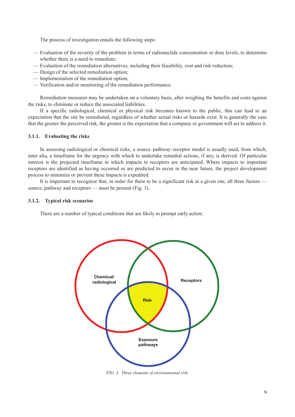<span id="page-18-0"></span>The process of investigation entails the following steps:

- Evaluation of the severity of the problem in terms of radionuclide concentration or dose levels, to determine whether there is a need to remediate;
- Evaluation of the remediation alternatives, including their feasibility, cost and risk reduction;
- Design of the selected remediation option;
- Implementation of the remediation option;
- Verification and/or monitoring of the remediation performance.

Remediation measures may be undertaken on a voluntary basis, after weighing the benefits and costs against the risks, to eliminate or reduce the associated liabilities.

If a specific radiological, chemical or physical risk becomes known to the public, this can lead to an expectation that the site be remediated, regardless of whether actual risks or hazards exist. It is generally the case that the greater the perceived risk, the greater is the expectation that a company or government will act to address it.

### **3.1.1. Evaluating the risks**

In assessing radiological or chemical risks, a source–pathway–receptor model is usually used, from which, inter alia, a timeframe for the urgency with which to undertake remedial actions, if any, is derived. Of particular interest is the projected timeframe in which impacts to receptors are anticipated. Where impacts to important receptors are identified as having occurred or are predicted to occur in the near future, the project development process to minimize or prevent these impacts is expedited.

It is important to recognize that, in order for there to be a significant risk at a given site, all three factors source, pathway and receptors — must be present (Fig. 3).

### **3.1.2. Typical risk scenarios**

There are a number of typical conditions that are likely to prompt early action.



*FIG. 3. Three elements of environmental risk.*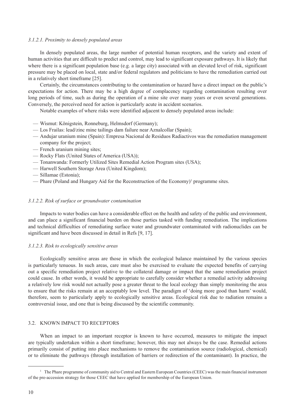### <span id="page-19-0"></span>*3.1.2.1. Proximity to densely populated areas*

In densely populated areas, the large number of potential human receptors, and the variety and extent of human activities that are difficult to predict and control, may lead to significant exposure pathways. It is likely that where there is a significant population base (e.g. a large city) associated with an elevated level of risk, significant pressure may be placed on local, state and/or federal regulators and politicians to have the remediation carried out in a relatively short timeframe [25].

Certainly, the circumstances contributing to the contamination or hazard have a direct impact on the public's expectations for action. There may be a high degree of complacency regarding contamination resulting over long periods of time, such as during the operation of a mine site over many years or even several generations. Conversely, the perceived need for action is particularly acute in accident scenarios.

Notable examples of where risks were identified adjacent to densely populated areas include:

- Wismut: Königstein, Ronneburg, Helmsdorf (Germany);
- Los Frailas: lead/zinc mine tailings dam failure near Aznalcollar (Spain);
- Andujar uranium mine (Spain): Empresa Nacional de Residuos Radiactivos was the remediation management company for the project;
- French uranium mining sites;
- Rocky Flats (United States of America (USA));
- Tonanwanda: Formerly Utilized Sites Remedial Action Program sites (USA);
- Harwell Southern Storage Area (United Kingdom);
- Sillamae (Estonia);
- Phare (Poland and Hungary Aid for the Reconstruction of the Economy)<sup>1</sup> programme sites.

### *3.1.2.2. Risk of surface or groundwater contamination*

Impacts to water bodies can have a considerable effect on the health and safety of the public and environment, and can place a significant financial burden on those parties tasked with funding remediation. The implications and technical difficulties of remediating surface water and groundwater contaminated with radionuclides can be significant and have been discussed in detail in Refs [9, 17].

### *3.1.2.3. Risk to ecologically sensitive areas*

Ecologically sensitive areas are those in which the ecological balance maintained by the various species is particularly tenuous. In such areas, care must also be exercised to evaluate the expected benefits of carrying out a specific remediation project relative to the collateral damage or impact that the same remediation project could cause. In other words, it would be appropriate to carefully consider whether a remedial activity addressing a relatively low risk would not actually pose a greater threat to the local ecology than simply monitoring the area to ensure that the risks remain at an acceptably low level. The paradigm of 'doing more good than harm' would, therefore, seem to particularly apply to ecologically sensitive areas. Ecological risk due to radiation remains a controversial issue, and one that is being discussed by the scientific community.

### 3.2. KNOWN IMPACT TO RECEPTORS

When an impact to an important receptor is known to have occurred, measures to mitigate the impact are typically undertaken within a short timeframe; however, this may not always be the case. Remedial actions primarily consist of putting into place mechanisms to remove the contamination source (radiological, chemical) or to eliminate the pathways (through installation of barriers or redirection of the contaminant). In practice, the

<sup>&</sup>lt;sup>1</sup> The Phare programme of community aid to Central and Eastern European Countries (CEEC) was the main financial instrument of the pre-accession strategy for those CEEC that have applied for membership of the European Union.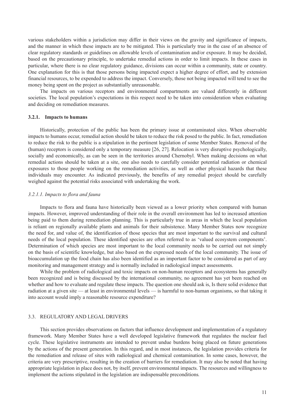<span id="page-20-0"></span>various stakeholders within a jurisdiction may differ in their views on the gravity and significance of impacts, and the manner in which these impacts are to be mitigated. This is particularly true in the case of an absence of clear regulatory standards or guidelines on allowable levels of contamination and/or exposure. It may be decided, based on the precautionary principle, to undertake remedial actions in order to limit impacts. In these cases in particular, where there is no clear regulatory guidance, divisions can occur within a community, state or country. One explanation for this is that those persons being impacted expect a higher degree of effort, and by extension financial resources, to be expended to address the impact. Conversely, those not being impacted will tend to see the money being spent on the project as substantially unreasonable.

The impacts on various receptors and environmental compartments are valued differently in different societies. The local population's expectations in this respect need to be taken into consideration when evaluating and deciding on remediation measures.

### **3.2.1. Impacts to humans**

Historically, protection of the public has been the primary issue at contaminated sites. When observable impacts to humans occur, remedial action should be taken to reduce the risk posed to the public. In fact, remediation to reduce the risk to the public is a stipulation in the pertinent legislation of some Member States. Removal of the (human) receptors is considered only a temporary measure [26, 27]. Relocation is very disruptive psychologically, socially and economically, as can be seen in the territories around Chernobyl. When making decisions on what remedial actions should be taken at a site, one also needs to carefully consider potential radiation or chemical exposures to those people working on the remediation activities, as well as other physical hazards that these individuals may encounter. As indicated previously, the benefits of any remedial project should be carefully weighed against the potential risks associated with undertaking the work.

### *3.2.1.1. Impacts to flora and fauna*

Impacts to flora and fauna have historically been viewed as a lower priority when compared with human impacts. However, improved understanding of their role in the overall environment has led to increased attention being paid to them during remediation planning. This is particularly true in areas in which the local population is reliant on regionally available plants and animals for their subsistence. Many Member States now recognize the need for, and value of, the identification of those species that are most important to the survival and cultural needs of the local population. These identified species are often referred to as 'valued ecosystem components'. Determination of which species are most important to the local community needs to be carried out not simply on the basis of scientific knowledge, but also based on the expressed needs of the local community. The issue of bioaccumulation up the food chain has also been identified as an important factor to be considered as part of any monitoring and management strategy and is normally included in radiological impact assessments.

While the problem of radiological and toxic impacts on non-human receptors and ecosystems has generally been recognized and is being discussed by the international community, no agreement has yet been reached on whether and how to evaluate and regulate these impacts. The question one should ask is, Is there solid evidence that radiation at a given site — at least in environmental levels — is harmful to non-human organisms, so that taking it into account would imply a reasonable resource expenditure?

### 3.3. REGULATORY AND LEGAL DRIVERS

This section provides observations on factors that influence development and implementation of a regulatory framework. Many Member States have a well developed legislative framework that regulates the nuclear fuel cycle. These legislative instruments are intended to prevent undue burdens being placed on future generations by the actions of the present generation. In this regard, and in most instances, the legislation provides criteria for the remediation and release of sites with radiological and chemical contamination. In some cases, however, the criteria are very prescriptive, resulting in the creation of barriers for remediation. It may also be noted that having appropriate legislation in place does not, by itself, prevent environmental impacts. The resources and willingness to implement the actions stipulated in the legislation are indispensable preconditions*.*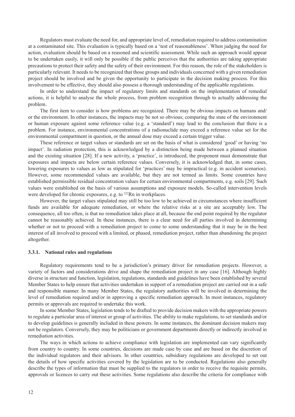<span id="page-21-0"></span>Regulators must evaluate the need for, and appropriate level of, remediation required to address contamination at a contaminated site. This evaluation is typically based on a 'test of reasonableness'. When judging the need for action, evaluation should be based on a reasoned and scientific assessment. While such an approach would appear to be undertaken easily, it will only be possible if the public perceives that the authorities are taking appropriate precautions to protect their safety and the safety of their environment. For this reason, the role of the stakeholders is particularly relevant. It needs to be recognized that those groups and individuals concerned with a given remediation project should be involved and be given the opportunity to participate in the decision making process. For this involvement to be effective, they should also possess a thorough understanding of the applicable regulations.

In order to understand the impact of regulatory limits and standards on the implementation of remedial actions, it is helpful to analyse the whole process, from problem recognition through to actually addressing the problem.

The first item to consider is how problems are recognized. There may be obvious impacts on humans and/ or the environment. In other instances, the impacts may be not so obvious; comparing the state of the environment or human exposure against some reference value (e.g. a 'standard') may lead to the conclusion that there is a problem. For instance, environmental concentrations of a radionuclide may exceed a reference value set for the environmental compartment in question, or the annual dose may exceed a certain trigger value.

These reference or target values or standards are set on the basis of what is considered 'good' or having 'no impact'. In radiation protection, this is acknowledged by a distinction being made between a planned situation and the existing situation [28]. If a new activity, a 'practice', is introduced, the proponent must demonstrate that exposures and impacts are below certain reference values. Conversely, it is acknowledged that, in some cases, lowering exposures to values as low as stipulated for 'practices' may be impractical (e.g. in accident scenarios). However, some recommended values are available, but they are not termed as limits. Some countries have established permissible residual concentration values for certain environmental compartments, e.g. soils [29]. Such values were established on the basis of various assumptions and exposure models. So-called intervention levels were developed for chronic exposures, e.g. to <sup>222</sup>Rn in workplaces.

However, the target values stipulated may still be too low to be achieved in circumstances where insufficient funds are available for adequate remediation, or where the relative risks at a site are acceptably low. The consequence, all too often, is that no remediation takes place at all, because the end point required by the regulator cannot be reasonably achieved. In these instances, there is a clear need for all parties involved in determining whether or not to proceed with a remediation project to come to some understanding that it may be in the best interest of all involved to proceed with a limited, or phased, remediation project, rather than abandoning the project altogether.

### **3.3.1. National rules and regulations**

Regulatory requirements tend to be a jurisdiction's primary driver for remediation projects. However, a variety of factors and considerations drive and shape the remediation project in any case [16]. Although highly diverse in structure and function, legislation, regulations, standards and guidelines have been established by several Member States to help ensure that activities undertaken in support of a remediation project are carried out in a safe and responsible manner. In many Member States, the regulatory authorities will be involved in determining the level of remediation required and/or in approving a specific remediation approach. In most instances, regulatory permits or approvals are required to undertake this work.

In some Member States, legislation tends to be drafted to provide decision makers with the appropriate powers to regulate a particular area of interest or group of activities. The ability to make regulations, to set standards and/or to develop guidelines is generally included in these powers. In some instances, the dominant decision makers may not be regulators. Conversely, they may be politicians or government departments directly or indirectly involved in remediation activities.

The ways in which actions to achieve compliance with legislation are implemented can vary significantly from country to country. In some countries, decisions are made case by case and are based on the discretion of the individual regulators and their advisors. In other countries, subsidiary regulations are developed to set out the details of how specific activities covered by the legislation are to be conducted. Regulations also generally describe the types of information that must be supplied to the regulators in order to receive the requisite permits, approvals or licences to carry out these activities. Some regulations also describe the criteria for compliance with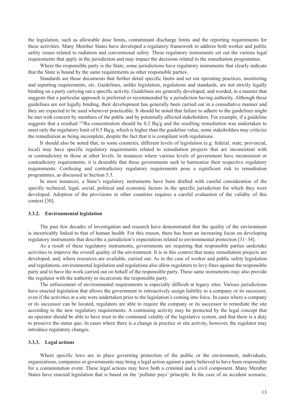<span id="page-22-0"></span>the legislation, such as allowable dose limits, contaminant discharge limits and the reporting requirements for these activities. Many Member States have developed a regulatory framework to address both worker and public safety issues related to radiation and conventional safety. These regulatory instruments set out the various legal requirements that apply in the jurisdiction and may impact the decisions related to the remediation programmes.

Where the responsible party is the State, some jurisdictions have regulatory instruments that clearly indicate that the State is bound by the same requirements as other responsible parties.

Standards are those documents that further detail specific limits and set out operating practices, monitoring and reporting requirements, etc. Guidelines, unlike legislation, regulations and standards, are not strictly legally binding on a party carrying out a specific activity. Guidelines are generally developed, and worded, in a manner that suggests that a particular approach is preferred or recommended by a jurisdiction having authority. Although these guidelines are not legally binding, their development has generally been carried out in a consultative manner and they are expected to be used whenever practicable. It should be noted that failure to adhere to the guidelines might be met with concern by members of the public and by potentially affected stakeholders. For example, if a guideline suggests that a residual <sup>226</sup>Ra concentration should be 0.2 Bq/g and the resulting remediation was undertaken to meet only the regulatory limit of 0.5 Bq/g, which is higher than the guideline value, some stakeholders may criticize the remediation as being incomplete, despite the fact that it is compliant with regulations.

It should also be noted that, in some countries, different levels of legislation (e.g. federal, state, provincial, local) may have specific regulatory requirements related to remediation projects that are inconsistent with or contradictory to those at other levels. In instances where various levels of government have inconsistent or contradictory requirements, it is desirable that these governments seek to harmonize their respective regulatory requirements. Confusing and contradictory regulatory requirements pose a significant risk to remediation programmes, as discussed in Section 5.3.

In most instances, a State's regulatory instruments have been drafted with careful consideration of the specific technical, legal, social, political and economic factors in the specific jurisdiction for which they were developed. Adoption of the provisions in other countries requires a careful evaluation of the validity of this context [30].

### **3.3.2. Environmental legislation**

The past few decades of investigation and research have demonstrated that the quality of the environment is inextricably linked to that of human health. For this reason, there has been an increasing focus on developing regulatory instruments that describe a jurisdiction's expectations related to environmental protection [31–34].

As a result of these regulatory instruments, governments are requiring that responsible parties undertake activities to improve the overall quality of the environment. It is in this context that many remediation projects are developed, and, where resources are available, carried out. As in the case of worker and public safety legislation and regulations, environmental legislation and regulations also allow regulators to levy fines against the responsible party and to have the work carried out on behalf of the responsible party. These same instruments may also provide the regulator with the authority to incarcerate the responsible party.

The enforcement of environmental requirements is especially difficult at legacy sites. Various jurisdictions have enacted legislation that allows the government to retroactively assign liability to a company or its successor, even if the activities at a site were undertaken prior to the legislation's coming into force. In cases where a company or its successor can be located, regulators are able to require the company or its successor to remediate the site according to the new regulatory requirements. A continuing activity may be protected by the legal concept that an operator should be able to have trust in the continued validity of the legislative system, and that there is a duty to preserve the status quo. In cases where there is a change in practice or site activity, however, the regulator may introduce regulatory changes.

### **3.3.3. Legal actions**

Where specific laws are in place governing protection of the public or the environment, individuals, organizations, companies or governments may bring a legal action against a party believed to have been responsible for a contamination event. These legal actions may have both a criminal and a civil component. Many Member States have enacted legislation that is based on the 'polluter pays' principle. In the case of an accident scenario,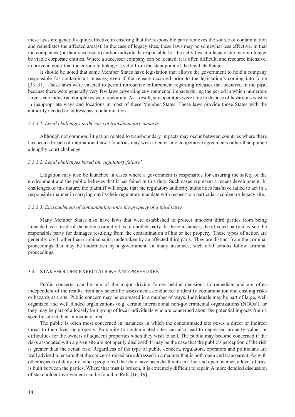<span id="page-23-0"></span>these laws are generally quite effective in ensuring that the responsible party removes the source of contamination and remediates the affected area(s). In the case of legacy sites, these laws may be somewhat less effective, in that the companies (or their successors) and/or individuals responsible for the activities at a legacy site may no longer be viable corporate entities. Where a successor company can be located, it is often difficult, and resource intensive, to prove in court that the corporate linkage is valid from the standpoint of the legal challenge.

It should be noted that some Member States have legislation that allows the government to hold a company responsible for contaminant releases, even if the release occurred prior to the legislation's coming into force [33–35]. These laws were enacted to permit retroactive enforcement regarding releases that occurred in the past, because there were generally very few laws governing environmental impacts during the period in which numerous large scale industrial complexes were operating. As a result, site operators were able to dispose of hazardous wastes in inappropriate ways and locations in most of these Member States. These laws provide those States with the authority needed to address past contamination.

### *3.3.3.1. Legal challenges in the case of transboundary impacts*

Although not common, litigation related to transboundary impacts may occur between countries where there has been a breach of international law. Countries may wish to enter into cooperative agreements rather than pursue a lengthy court challenge.

### *3.3.3.2. Legal challenges based on 'regulatory failure'*

Litigation may also be launched in cases where a government is responsible for ensuring the safety of the environment and the public believes that it has failed in this duty. Such cases represent a recent development. In challenges of this nature, the plaintiff will argue that the regulatory authority/authorities has/have failed to act in a responsible manner in carrying out its/their regulatory mandate with respect to a particular accident or legacy site.

### *3.3.3.3. Encroachment of contamination onto the property of a third party*

Many Member States also have laws that were established to protect innocent third parties from being impacted as a result of the actions or activities of another party. In these instances, the affected party may sue the responsible party for damages resulting from the contamination of his or her property. These types of action are generally civil rather than criminal suits, undertaken by an affected third party. They are distinct from the criminal proceedings that may be undertaken by a government. In many instances, such civil actions follow criminal proceedings.

### 3.4. STAKEHOLDER EXPECTATIONS AND PRESSURES

Public concerns can be one of the major driving forces behind decisions to remediate and are often independent of the results from any scientific assessments conducted to identify contamination and ensuing risks or hazards at a site. Public concern may be expressed in a number of ways. Individuals may be part of large, well organized and well funded organizations (e.g. certain international non-governmental organizations (NGOs)), or they may be part of a loosely knit group of local individuals who are concerned about the potential impacts from a specific site in their immediate area.

The public is often most concerned in instances in which the contaminated site poses a direct or indirect threat to their lives or property. Proximity to contaminated sites can also lead to depressed property values or difficulties for the owners of adjacent properties when they wish to sell. The public may become concerned if the risks associated with a given site are not openly disclosed. It may be the case that the public's perception of the risk is greater than the actual risk. Regardless of the type of public concern, regulators, operators and politicians are well advised to ensure that the concerns raised are addressed in a manner that is both open and transparent. As with other aspects of daily life, when people feel that they have been dealt with in a fair and open manner, a level of trust is built between the parties. Where that trust is broken, it is extremely difficult to repair. A more detailed discussion of stakeholder involvement can be found in Refs [16, 19].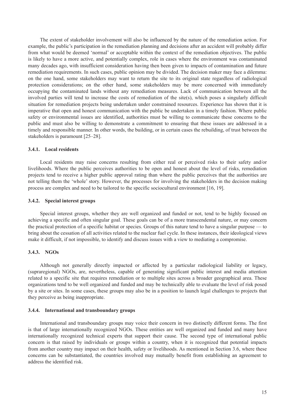<span id="page-24-0"></span>The extent of stakeholder involvement will also be influenced by the nature of the remediation action. For example, the public's participation in the remediation planning and decisions after an accident will probably differ from what would be deemed 'normal' or acceptable within the context of the remediation objectives. The public is likely to have a more active, and potentially complex, role in cases where the environment was contaminated many decades ago, with insufficient consideration having then been given to impacts of contamination and future remediation requirements. In such cases, public opinion may be divided. The decision maker may face a dilemma: on the one hand, some stakeholders may want to return the site to its original state regardless of radiological protection considerations; on the other hand, some stakeholders may be more concerned with immediately occupying the contaminated lands without any remediation measures. Lack of communication between all the involved parties will tend to increase the costs of remediation of the site(s), which poses a singularly difficult situation for remediation projects being undertaken under constrained resources. Experience has shown that it is imperative that open and honest communication with the public be undertaken in a timely fashion. Where public safety or environmental issues are identified, authorities must be willing to communicate these concerns to the public and must also be willing to demonstrate a commitment to ensuring that these issues are addressed in a timely and responsible manner. In other words, the building, or in certain cases the rebuilding, of trust between the stakeholders is paramount [25–28].

### **3.4.1. Local residents**

Local residents may raise concerns resulting from either real or perceived risks to their safety and/or livelihoods. Where the public perceives authorities to be open and honest about the level of risks, remediation projects tend to receive a higher public approval rating than where the public perceives that the authorities are not telling them the 'whole' story. However, the processes for involving the stakeholders in the decision making process are complex and need to be tailored to the specific sociocultural environment [16, 19].

### **3.4.2. Special interest groups**

Special interest groups, whether they are well organized and funded or not, tend to be highly focused on achieving a specific and often singular goal. These goals can be of a more transcendental nature, or may concern the practical protection of a specific habitat or species. Groups of this nature tend to have a singular purpose — to bring about the cessation of all activities related to the nuclear fuel cycle. In these instances, their ideological views make it difficult, if not impossible, to identify and discuss issues with a view to mediating a compromise.

### **3.4.3. NGOs**

Although not generally directly impacted or affected by a particular radiological liability or legacy, (supraregional) NGOs, are, nevertheless, capable of generating significant public interest and media attention related to a specific site that requires remediation or to multiple sites across a broader geographical area. These organizations tend to be well organized and funded and may be technically able to evaluate the level of risk posed by a site or sites. In some cases, these groups may also be in a position to launch legal challenges to projects that they perceive as being inappropriate.

### **3.4.4. International and transboundary groups**

International and transboundary groups may voice their concern in two distinctly different forms. The first is that of large internationally recognized NGOs. These entities are well organized and funded and many have internationally recognized technical experts that support their cause. The second type of international public concern is that raised by individuals or groups within a country, when it is recognized that potential impacts from another country may impact on their health, safety or livelihoods. As mentioned in Section 3.6, where these concerns can be substantiated, the countries involved may mutually benefit from establishing an agreement to address the identified risk.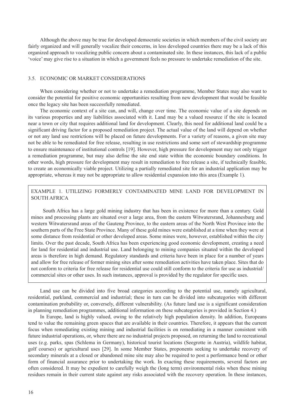<span id="page-25-0"></span>Although the above may be true for developed democratic societies in which members of the civil society are fairly organized and will generally vocalize their concerns, in less developed countries there may be a lack of this organized approach to vocalizing public concern about a contaminated site. In these instances, this lack of a public 'voice' may give rise to a situation in which a government feels no pressure to undertake remediation of the site.

### 3.5. ECONOMIC OR MARKET CONSIDERATIONS

When considering whether or not to undertake a remediation programme, Member States may also want to consider the potential for positive economic opportunities resulting from new development that would be feasible once the legacy site has been successfully remediated.

The economic context of a site can, and will, change over time. The economic value of a site depends on its various properties and any liabilities associated with it. Land may be a valued resource if the site is located near a town or city that requires additional land for development. Clearly, this need for additional land could be a significant driving factor for a proposed remediation project. The actual value of the land will depend on whether or not any land use restrictions will be placed on future developments. For a variety of reasons, a given site may not be able to be remediated for free release, resulting in use restrictions and some sort of stewardship programme to ensure maintenance of institutional controls [19]. However, high pressure for development may not only trigger a remediation programme, but may also define the site end state within the economic boundary conditions. In other words, high pressure for development may result in remediation to free release a site, if technically feasible, to create an economically viable project. Utilizing a partially remediated site for an industrial application may be appropriate, whereas it may not be appropriate to allow residential expansion into this area (Example 1).

### EXAMPLE 1. UTILIZING FORMERLY CONTAMINATED MINE LAND FOR DEVELOPMENT IN SOUTH AFRICA

South Africa has a large gold mining industry that has been in existence for more than a century. Gold mines and processing plants are situated over a large area, from the eastern Witwatersrand, Johannesburg and western Witwatersrand areas of the Gauteng Province, to the eastern areas of the North West Province into the southern parts of the Free State Province. Many of these gold mines were established at a time when they were at some distance from residential or other developed areas. Some mines were, however, established within the city limits. Over the past decade, South Africa has been experiencing good economic development, creating a need for land for residential and industrial use. Land belonging to mining companies situated within the developed areas is therefore in high demand. Regulatory standards and criteria have been in place for a number of years and allow for free release of former mining sites after some remediation activities have taken place. Sites that do not conform to criteria for free release for residential use could still conform to the criteria for use as industrial/ commercial sites or other uses. In such instances, approval is provided by the regulator for specific uses.

Land use can be divided into five broad categories according to the potential use, namely agricultural, residential, parkland, commercial and industrial; these in turn can be divided into subcategories with different contamination probability or, conversely, different vulnerability. (As future land use is a significant consideration in planning remediation programmes, additional information on these subcategories is provided in Section 4.)

In Europe, land is highly valued, owing to the relatively high population density. In addition, Europeans tend to value the remaining green spaces that are available in their countries. Therefore, it appears that the current focus when remediating existing mining and industrial facilities is on remediating in a manner consistent with future industrial operations, or, where there are no industrial projects proposed, on returning the land to recreational uses (e.g. parks, spas (Schlema in Germany), historical tourist locations (Seegrotte in Austria), wildlife habitat, golf courses) or agricultural uses [29]. In some Member States, proponents seeking to undertake recovery of secondary minerals at a closed or abandoned mine site may also be required to post a performance bond or other form of financial assurance prior to undertaking the work. In exacting these requirements, several factors are often considered. It may be expedient to carefully weigh the (long term) environmental risks when these mining residues remain in their current state against any risks associated with the recovery operation. In these instances,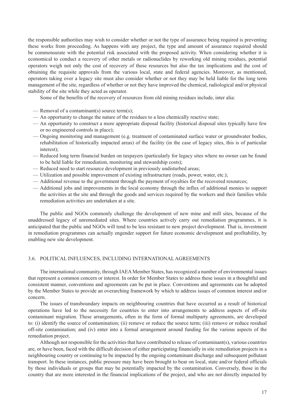<span id="page-26-0"></span>the responsible authorities may wish to consider whether or not the type of assurance being required is preventing these works from proceeding. As happens with any project, the type and amount of assurance required should be commensurate with the potential risk associated with the proposed activity. When considering whether it is economical to conduct a recovery of other metals or radionuclides by reworking old mining residues, potential operators weigh not only the cost of recovery of these resources but also the tax implications and the cost of obtaining the requisite approvals from the various local, state and federal agencies. Moreover, as mentioned, operators taking over a legacy site must also consider whether or not they may be held liable for the long term management of the site, regardless of whether or not they have improved the chemical, radiological and/or physical stability of the site while they acted as operator.

Some of the benefits of the recovery of resources from old mining residues include, inter alia:

- Removal of a contaminant(s) source term(s);
- An opportunity to change the nature of the residues to a less chemically reactive state;
- An opportunity to construct a more appropriate disposal facility (historical disposal sites typically have few or no engineered controls in place);
- Ongoing monitoring and management (e.g. treatment of contaminated surface water or groundwater bodies, rehabilitation of historically impacted areas) of the facility (in the case of legacy sites, this is of particular interest);
- Reduced long term financial burden on taxpayers (particularly for legacy sites where no owner can be found to be held liable for remediation, monitoring and stewardship costs);
- Reduced need to start resource development in previously undisturbed areas;
- Utilization and possible improvement of existing infrastructure (roads, power, water, etc.);
- Additional revenue to the government through the payment of royalties for the recovered resources;
- Additional jobs and improvements in the local economy through the influx of additional monies to support the activities at the site and through the goods and services required by the workers and their families while remediation activities are undertaken at a site.

The public and NGOs commonly challenge the development of new mine and mill sites, because of the unaddressed legacy of unremediated sites. Where countries actively carry out remediation programmes, it is anticipated that the public and NGOs will tend to be less resistant to new project development. That is, investment in remediation programmes can actually engender support for future economic development and profitability, by enabling new site development.

### 3.6. POLITICAL INFLUENCES, INCLUDING INTERNATIONAL AGREEMENTS

The international community, through IAEA Member States, has recognized a number of environmental issues that represent a common concern or interest. In order for Member States to address these issues in a thoughtful and consistent manner, conventions and agreements can be put in place. Conventions and agreements can be adopted by the Member States to provide an overarching framework by which to address issues of common interest and/or concern.

The issues of transboundary impacts on neighbouring countries that have occurred as a result of historical operations have led to the necessity for countries to enter into arrangements to address aspects of off-site contaminant migration. These arrangements, often in the form of formal multiparty agreements, are developed to: (i) identify the source of contamination; (ii) remove or reduce the source term; (iii) remove or reduce residual off-site contamination; and (iv) enter into a formal arrangement around funding for the various aspects of the remediation project.

Although not responsible for the activities that have contributed to release of contaminant(s), various countries are, or have been, faced with the difficult decision of either participating financially in site remediation projects in a neighbouring country or continuing to be impacted by the ongoing contaminant discharge and subsequent pollutant transport. In these instances, public pressure may have been brought to bear on local, state and/or federal officials by those individuals or groups that may be potentially impacted by the contamination. Conversely, those in the country that are more interested in the financial implications of the project, and who are not directly impacted by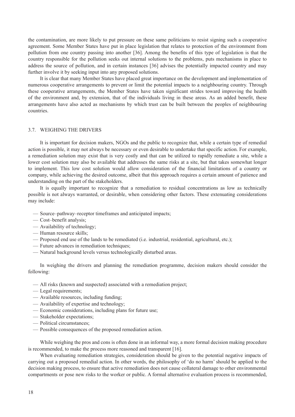<span id="page-27-0"></span>the contamination, are more likely to put pressure on these same politicians to resist signing such a cooperative agreement. Some Member States have put in place legislation that relates to protection of the environment from pollution from one country passing into another [36]. Among the benefits of this type of legislation is that the country responsible for the pollution seeks out internal solutions to the problems, puts mechanisms in place to address the source of pollution, and in certain instances [36] advises the potentially impacted country and may further involve it by seeking input into any proposed solutions.

It is clear that many Member States have placed great importance on the development and implementation of numerous cooperative arrangements to prevent or limit the potential impacts to a neighbouring country. Through these cooperative arrangements, the Member States have taken significant strides toward improving the health of the environment and, by extension, that of the individuals living in these areas. As an added benefit, these arrangements have also acted as mechanisms by which trust can be built between the peoples of neighbouring countries.

### 3.7. WEIGHING THE DRIVERS

It is important for decision makers, NGOs and the public to recognize that, while a certain type of remedial action is possible, it may not always be necessary or even desirable to undertake that specific action. For example, a remediation solution may exist that is very costly and that can be utilized to rapidly remediate a site, while a lower cost solution may also be available that addresses the same risks at a site, but that takes somewhat longer to implement. This low cost solution would allow consideration of the financial limitations of a country or company, while achieving the desired outcome, albeit that this approach requires a certain amount of patience and understanding on the part of the stakeholders.

It is equally important to recognize that a remediation to residual concentrations as low as technically possible is not always warranted, or desirable, when considering other factors. These extenuating considerations may include:

- Source–pathway–receptor timeframes and anticipated impacts;
- Cost–benefit analysis;
- Availability of technology;
- Human resource skills;
- Proposed end use of the lands to be remediated (i.e. industrial, residential, agricultural, etc.);
- Future advances in remediation techniques;
- Natural background levels versus technologically disturbed areas.

In weighing the drivers and planning the remediation programme, decision makers should consider the following:

- All risks (known and suspected) associated with a remediation project;
- Legal requirements;
- Available resources, including funding;
- Availability of expertise and technology;
- Economic considerations, including plans for future use;
- Stakeholder expectations;
- Political circumstances;
- Possible consequences of the proposed remediation action.

While weighing the pros and cons is often done in an informal way, a more formal decision making procedure is recommended, to make the process more reasoned and transparent [16].

When evaluating remediation strategies, consideration should be given to the potential negative impacts of carrying out a proposed remedial action. In other words, the philosophy of 'do no harm' should be applied to the decision making process, to ensure that active remediation does not cause collateral damage to other environmental compartments or pose new risks to the worker or public. A formal alternative evaluation process is recommended,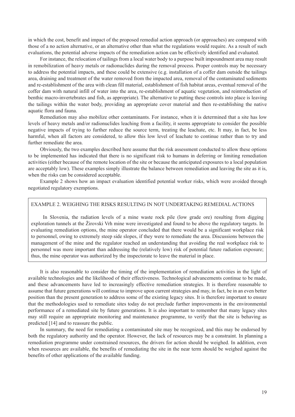in which the cost, benefit and impact of the proposed remedial action approach (or approaches) are compared with those of a no action alternative, or an alternative other than what the regulations would require. As a result of such evaluations, the potential adverse impacts of the remediation action can be effectively identified and evaluated.

For instance, the relocation of tailings from a local water body to a purpose built impoundment area may result in remobilization of heavy metals or radionuclides during the removal process. Proper controls may be necessary to address the potential impacts, and these could be extensive (e.g. installation of a coffer dam outside the tailings area, draining and treatment of the water removed from the impacted area, removal of the contaminated sediments and re-establishment of the area with clean fill material, establishment of fish habitat areas, eventual removal of the coffer dam with natural infill of water into the area, re-establishment of aquatic vegetation, and reintroduction of benthic macro-invertebrates and fish, as appropriate). The alternative to putting these controls into place is leaving the tailings within the water body, providing an appropriate cover material and then re-establishing the native aquatic flora and fauna.

Remediation may also mobilize other contaminants. For instance, when it is determined that a site has low levels of heavy metals and/or radionuclides leaching from a facility, it seems appropriate to consider the possible negative impacts of trying to further reduce the source term, treating the leachate, etc. It may, in fact, be less harmful, when all factors are considered, to allow this low level of leachate to continue rather than to try and further remediate the area.

Obviously, the two examples described here assume that the risk assessment conducted to allow these options to be implemented has indicated that there is no significant risk to humans in deferring or limiting remediation activities (either because of the remote location of the site or because the anticipated exposures to a local population are acceptably low). These examples simply illustrate the balance between remediation and leaving the site as it is, when the risks can be considered acceptable.

Example 2 shows how an impact evaluation identified potential worker risks, which were avoided through negotiated regulatory exemptions.

### EXAMPLE 2. WEIGHING THE RISKS RESULTING IN NOT UNDERTAKING REMEDIAL ACTIONS

In Slovenia, the radiation levels of a mine waste rock pile (low grade ore) resulting from digging exploration tunnels at the Žirovski Vrh mine were investigated and found to be above the regulatory targets. In evaluating remediation options, the mine operator concluded that there would be a significant workplace risk to personnel, owing to extremely steep side slopes, if they were to remediate the area. Discussions between the management of the mine and the regulator reached an understanding that avoiding the real workplace risk to personnel was more important than addressing the (relatively low) risk of potential future radiation exposure; thus, the mine operator was authorized by the inspectorate to leave the material in place.

It is also reasonable to consider the timing of the implementation of remediation activities in the light of available technologies and the likelihood of their effectiveness. Technological advancements continue to be made, and these advancements have led to increasingly effective remediation strategies. It is therefore reasonable to assume that future generations will continue to improve upon current strategies and may, in fact, be in an even better position than the present generation to address some of the existing legacy sites. It is therefore important to ensure that the methodologies used to remediate sites today do not preclude further improvements in the environmental performance of a remediated site by future generations. It is also important to remember that many legacy sites may still require an appropriate monitoring and maintenance programme, to verify that the site is behaving as predicted [14] and to reassure the public.

In summary, the need for remediating a contaminated site may be recognized, and this may be endorsed by both the regulatory authority and the operator. However, the lack of resources may be a constraint. In planning a remediation programme under constrained resources, the drivers for action should be weighed. In addition, even when resources are available, the benefits of remediating the site in the near term should be weighed against the benefits of other applications of the available funding.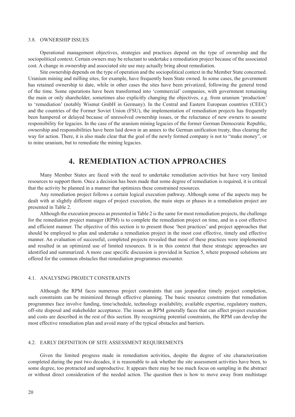### <span id="page-29-0"></span>3.8. OWNERSHIP ISSUES

Operational management objectives, strategies and practices depend on the type of ownership and the sociopolitical context. Certain owners may be reluctant to undertake a remediation project because of the associated cost. A change in ownership and associated site use may actually bring about remediation.

Site ownership depends on the type of operation and the sociopolitical context in the Member State concerned. Uranium mining and milling sites, for example, have frequently been State owned. In some cases, the government has retained ownership to date, while in other cases the sites have been privatized, following the general trend of the time. Some operations have been transformed into 'commercial' companies, with government remaining the main or only shareholder, sometimes also explicitly changing the objectives, e.g. from uranium 'production' to 'remediation' (notably Wismut GmbH in Germany). In the Central and Eastern European countries (CEEC) and the countries of the Former Soviet Union (FSU), the implementation of remediation projects has frequently been hampered or delayed because of unresolved ownership issues, or the reluctance of new owners to assume responsibility for legacies. In the case of the uranium mining legacies of the former German Democratic Republic, ownership and responsibilities have been laid down in an annex to the German unification treaty, thus clearing the way for action. There, it is also made clear that the goal of the newly formed company is not to "make money", or to mine uranium, but to remediate the mining legacies.

### **4. remediation action approaches**

Many Member States are faced with the need to undertake remediation activities but have very limited resources to support them. Once a decision has been made that some degree of remediation is required, it is critical that the activity be planned in a manner that optimizes these constrained resources.

Any remediation project follows a certain logical execution pathway. Although some of the aspects may be dealt with at slightly different stages of project execution, the main steps or phases in a remediation project are presented in Table 2.

Although the execution process as presented in Table 2 is the same for most remediation projects, the challenge for the remediation project manager (RPM) is to complete the remediation project on time, and in a cost effective and efficient manner. The objective of this section is to present those 'best practices' and project approaches that should be employed to plan and undertake a remediation project in the most cost effective, timely and effective manner. An evaluation of successful, completed projects revealed that most of these practices were implemented and resulted in an optimized use of limited resources. It is in this context that these strategic approaches are identified and summarized. A more case specific discussion is provided in Section 5, where proposed solutions are offered for the common obstacles that remediation programmes encounter.

### 4.1. ANALYSING PROJECT CONSTRAINTS

Although the RPM faces numerous project constraints that can jeopardize timely project completion, such constraints can be minimized through effective planning. The basic resource constraints that remediation programmes face involve funding, time/schedule, technology availability, available expertise, regulatory matters, off-site disposal and stakeholder acceptance. The issues an RPM generally faces that can affect project execution and costs are described in the rest of this section. By recognizing potential constraints, the RPM can develop the most effective remediation plan and avoid many of the typical obstacles and barriers.

### 4.2. EARLY DEFINITION OF SITE ASSESSMENT REQUIREMENTS

Given the limited progress made in remediation activities, despite the degree of site characterization completed during the past two decades, it is reasonable to ask whether the site assessment activities have been, to some degree, too protracted and unproductive. It appears there may be too much focus on sampling in the abstract or without direct consideration of the needed action. The question then is how to move away from multistage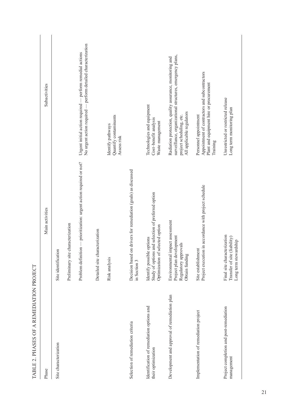| $\sim$ . The state of $\sim$ , $\sim$ , $\sim$ , $\sim$ , $\sim$ , $\sim$ , $\sim$ , $\sim$ , $\sim$ |                                                                                                                    |                                                                                                                                                                               |
|------------------------------------------------------------------------------------------------------|--------------------------------------------------------------------------------------------------------------------|-------------------------------------------------------------------------------------------------------------------------------------------------------------------------------|
| Phase                                                                                                | Main activities                                                                                                    | Subactivities                                                                                                                                                                 |
| Site characterization                                                                                | Site identification                                                                                                |                                                                                                                                                                               |
|                                                                                                      | Preliminary site characterization                                                                                  |                                                                                                                                                                               |
|                                                                                                      | Problem definition — prioritization: urgent action required or not?                                                | No urgent action required — perform detailed characterization<br>Urgent initial action required — perform remedial actions                                                    |
|                                                                                                      | Detailed site characterization                                                                                     |                                                                                                                                                                               |
|                                                                                                      | Risk analysis                                                                                                      | Quantify contaminants<br>Identify pathways<br>Assess risk                                                                                                                     |
| Selection of remediation criteria                                                                    | on drivers for remediation (goals) as discussed<br>Decision based<br>in Section 3                                  |                                                                                                                                                                               |
| Identification of remediation options and<br>their optimization                                      | Study of options and selection of preferred option<br>Optimization of selected option<br>Identify possible options | Technologies and equipment<br>Cost-benefit analysis<br>Waste management                                                                                                       |
| Development and approval of remediation plan                                                         | Environmental impact assessment<br>Project plan development<br>Regulatory approvals<br>Obtain funding              | surveillance, organizational structures, emergency plans,<br>Radiation protection, quality assurance, monitoring and<br>All applicable regulators<br>project scheduling, etc. |
| Implementation of remediation project                                                                | Project execution in accordance with project schedule<br>Site establishment                                        | Appointment of contractors and subcontractors<br>Plant and equipment hire or procurement<br>Personnel appointment<br>Training                                                 |
| Project completion and post-remediation<br>management                                                | Final site characterization<br>Transfer of site (liability)<br>Long term stewardship                               | Unrestricted or restricted release<br>Long term monitoring plan                                                                                                               |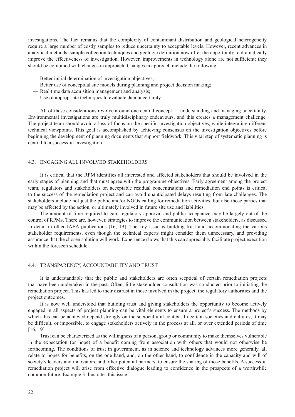<span id="page-31-0"></span>investigations. The fact remains that the complexity of contaminant distribution and geological heterogeneity require a large number of costly samples to reduce uncertainty to acceptable levels. However, recent advances in analytical methods, sample collection techniques and geologic definition now offer the opportunity to dramatically improve the effectiveness of investigation. However, improvements in technology alone are not sufficient; they should be combined with changes in approach. Changes in approach include the following:

- Better initial determination of investigation objectives;
- Better use of conceptual site models during planning and project decision making;
- Real time data acquisition management and analysis;
- Use of appropriate techniques to evaluate data uncertainty.

All of these considerations revolve around one central concept — understanding and managing uncertainty. Environmental investigations are truly multidisciplinary endeavours, and this creates a management challenge. The project team should avoid a loss of focus on the specific investigation objectives, while integrating different technical viewpoints. This goal is accomplished by achieving consensus on the investigation objectives before beginning the development of planning documents that support fieldwork. This vital step of systematic planning is central to a successful investigation.

### 4.3. ENGAGING ALL INVOLVED STAKEHOLDERS

It is critical that the RPM identifies all interested and affected stakeholders that should be involved in the early stages of planning and that must agree with the programme objectives. Early agreement among the project team, regulators and stakeholders on acceptable residual concentrations and remediation end points is critical to the success of the remediation project and can avoid unanticipated delays resulting from late challenges. The stakeholders include not just the public and/or NGOs calling for remediation activities, but also those parties that may be affected by the action, or ultimately involved in future site use and liabilities.

The amount of time required to gain regulatory approval and public acceptance may be largely out of the control of RPMs. There are, however, strategies to improve the communication between stakeholders, as discussed in detail in other IAEA publications [16, 19]. The key issue is building trust and accommodating the various stakeholder requirements, even though the technical experts might consider them unnecessary, and providing assurance that the chosen solution will work. Experience shows that this can appreciably facilitate project execution within the foreseen schedule.

### 4.4. TRANSPARENCY, ACCOUNTABILITY AND TRUST

It is understandable that the public and stakeholders are often sceptical of certain remediation projects that have been undertaken in the past. Often, little stakeholder consultation was conducted prior to initiating the remediation project. This has led to their distrust in those involved in the project, the regulatory authorities and the project outcomes.

It is now well understood that building trust and giving stakeholders the opportunity to become actively engaged in all aspects of project planning can be vital elements to ensure a project's success. The methods by which this can be achieved depend strongly on the sociocultural context. In certain societies and cultures, it may be difficult, or impossible, to engage stakeholders actively in the process at all, or over extended periods of time [16, 19].

Trust can be characterized as the willingness of a person, group or community to make themselves vulnerable in the expectation (or hope) of a benefit coming from association with others that would not otherwise be forthcoming. The conditions of trust in government, as in science and technology advances more generally, all relate to hopes for benefits, on the one hand, and, on the other hand, to confidence in the capacity and will of society's leaders and innovators, and other potential partners, to ensure the sharing of those benefits. A successful remediation project will arise from effective dialogue leading to confidence in the prospects of a worthwhile common future. Example 3 illustrates this issue.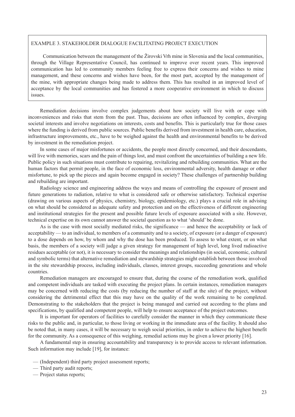### EXAMPLE 3. STAKEHOLDER DIALOGUE FACILITATING PROJECT EXECUTION

Communication between the management of the Žirovski Vrh mine in Slovenia and the local communities, through the Village Representative Council, has continued to improve over recent years. This improved communication has led to community members feeling free to express their concerns and wishes to mine management, and these concerns and wishes have been, for the most part, accepted by the management of the mine, with appropriate changes being made to address them. This has resulted in an improved level of acceptance by the local communities and has fostered a more cooperative environment in which to discuss issues.

Remediation decisions involve complex judgements about how society will live with or cope with inconveniences and risks that stem from the past. Thus, decisions are often influenced by complex, diverging societal interests and involve negotiations on interests, costs and benefits. This is particularly true for those cases where the funding is derived from public sources. Public benefits derived from investment in health care, education, infrastructure improvements, etc., have to be weighed against the health and environmental benefits to be derived by investment in the remediation project.

In some cases of major misfortunes or accidents, the people most directly concerned, and their descendants, will live with memories, scars and the pain of things lost, and must confront the uncertainties of building a new life. Public policy in such situations must contribute to repairing, revitalizing and rebuilding communities. What are the human factors that permit people, in the face of economic loss, environmental adversity, health damage or other misfortune, to pick up the pieces and again become engaged in society? These challenges of partnership building and rebuilding are important.

Radiology science and engineering address the ways and means of controlling the exposure of present and future generations to radiation, relative to what is considered safe or otherwise satisfactory. Technical expertise (drawing on various aspects of physics, chemistry, biology, epidemiology, etc.) plays a crucial role in advising on what should be considered as adequate safety and protection and on the effectiveness of different engineering and institutional strategies for the present and possible future levels of exposure associated with a site. However, technical expertise on its own cannot answer the societal question as to what 'should' be done.

As is the case with most socially mediated risks, the significance — and hence the acceptability or lack of acceptability — to an individual, to members of a community and to a society, of exposure (or a danger of exposure) to a dose depends on how, by whom and why the dose has been produced. To assess to what extent, or on what basis, the members of a society will judge a given strategy for management of high level, long lived radioactive residues acceptable (or not), it is necessary to consider the meanings and relationships (in social, economic, cultural and symbolic terms) that alternative remediation and stewardship strategies might establish between those involved in the site stewardship process, including individuals, classes, interest groups, succeeding generations and whole countries.

Remediation managers are encouraged to ensure that, during the course of the remediation work, qualified and competent individuals are tasked with executing the project plans. In certain instances, remediation managers may be concerned with reducing the costs (by reducing the number of staff at the site) of the project, without considering the detrimental effect that this may have on the quality of the work remaining to be completed. Demonstrating to the stakeholders that the project is being managed and carried out according to the plans and specifications, by qualified and competent people, will help to ensure acceptance of the project outcomes.

It is important for operators of facilities to carefully consider the manner in which they communicate these risks to the public and, in particular, to those living or working in the immediate area of the facility. It should also be noted that, in many cases, it will be necessary to weigh social priorities, in order to achieve the highest benefit for the community. As a consequence of this weighing, remedial actions may be given a lower priority [16].

A fundamental step in ensuring accountability and transparency is to provide access to relevant information. Such information may include [19], for instance:

- (Independent) third party project assessment reports;
- Third party audit reports;
- Project status reports;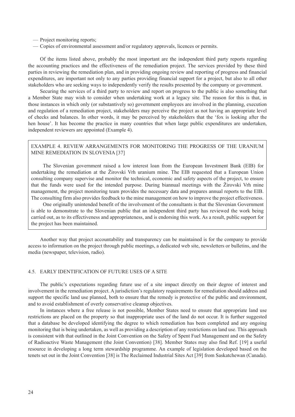- <span id="page-33-0"></span>— Project monitoring reports;
- Copies of environmental assessment and/or regulatory approvals, licences or permits.

Of the items listed above, probably the most important are the independent third party reports regarding the accounting practices and the effectiveness of the remediation project. The services provided by these third parties in reviewing the remediation plan, and in providing ongoing review and reporting of progress and financial expenditures, are important not only to any parties providing financial support for a project, but also to all other stakeholders who are seeking ways to independently verify the results presented by the company or government.

Securing the services of a third party to review and report on progress to the public is also something that a Member State may wish to consider when undertaking work at a legacy site. The reason for this is that, in those instances in which only (or substantively so) government employees are involved in the planning, execution and regulation of a remediation project, stakeholders may perceive the project as not having an appropriate level of checks and balances. In other words, it may be perceived by stakeholders that the 'fox is looking after the hen house'. It has become the practice in many countries that when large public expenditures are undertaken, independent reviewers are appointed (Example 4).

### EXAMPLE 4. REVIEW ARRANGEMENTS FOR MONITORING THE PROGRESS OF THE URANIUM MINE REMEDIATION IN SLOVENIA [37]

The Slovenian government raised a low interest loan from the European Investment Bank (EIB) for undertaking the remediation at the Žirovski Vrh uranium mine. The EIB requested that a European Union consulting company supervise and monitor the technical, economic and safety aspects of the project, to ensure that the funds were used for the intended purpose. During biannual meetings with the Žirovski Vrh mine management, the project monitoring team provides the necessary data and prepares annual reports to the EIB. The consulting firm also provides feedback to the mine management on how to improve the project effectiveness.

One originally unintended benefit of the involvement of the consultants is that the Slovenian Government is able to demonstrate to the Slovenian public that an independent third party has reviewed the work being carried out, as to its effectiveness and appropriateness, and is endorsing this work. As a result, public support for the project has been maintained.

Another way that project accountability and transparency can be maintained is for the company to provide access to information on the project through public meetings, a dedicated web site, newsletters or bulletins, and the media (newspaper, television, radio).

### 4.5. EARLY IDENTIFICATION OF FUTURE USES OF A SITE

The public's expectations regarding future use of a site impact directly on their degree of interest and involvement in the remediation project. A jurisdiction's regulatory requirements for remediation should address and support the specific land use planned, both to ensure that the remedy is protective of the public and environment, and to avoid establishment of overly conservative cleanup objectives.

In instances where a free release is not possible, Member States need to ensure that appropriate land use restrictions are placed on the property so that inappropriate uses of the land do not occur. It is further suggested that a database be developed identifying the degree to which remediation has been completed and any ongoing monitoring that is being undertaken, as well as providing a description of any restrictions on land use. This approach is consistent with that outlined in the Joint Convention on the Safety of Spent Fuel Management and on the Safety of Radioactive Waste Management (the Joint Convention) [38]. Member States may also find Ref. [19] a useful resource in developing a long term stewardship programme. An example of legislation developed based on the tenets set out in the Joint Convention [38] is The Reclaimed Industrial Sites Act [39] from Saskatchewan (Canada).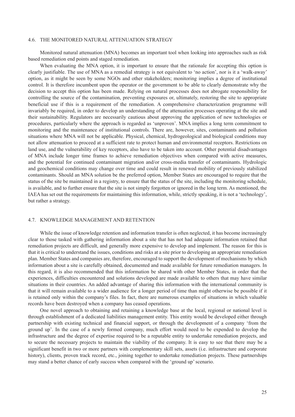### <span id="page-34-0"></span>4.6. THE MONITORED NATURAL ATTENUATION STRATEGY

Monitored natural attenuation (MNA) becomes an important tool when looking into approaches such as risk based remediation end points and staged remediation.

When evaluating the MNA option, it is important to ensure that the rationale for accepting this option is clearly justifiable. The use of MNA as a remedial strategy is not equivalent to 'no action', nor is it a 'walk-away' option, as it might be seen by some NGOs and other stakeholders; monitoring implies a degree of institutional control. It is therefore incumbent upon the operator or the government to be able to clearly demonstrate why the decision to accept this option has been made. Relying on natural processes does not abrogate responsibility for controlling the source of the contamination, preventing exposures or, ultimately, restoring the site to appropriate beneficial use if this is a requirement of the remediation. A comprehensive characterization programme will invariably be required, in order to develop an understanding of the attenuation processes operating at the site and their sustainability. Regulators are necessarily cautious about approving the application of new technologies or procedures, particularly where the approach is regarded as 'unproven'. MNA implies a long term commitment to monitoring and the maintenance of institutional controls. There are, however, sites, contaminants and pollution situations where MNA will not be applicable. Physical, chemical, hydrogeological and biological conditions may not allow attenuation to proceed at a sufficient rate to protect human and environmental receptors. Restrictions on land use, and the vulnerability of key receptors, also have to be taken into account. Other potential disadvantages of MNA include longer time frames to achieve remediation objectives when compared with active measures, and the potential for continued contaminant migration and/or cross-media transfer of contaminants. Hydrologic and geochemical conditions may change over time and could result in renewed mobility of previously stabilized contaminants. Should an MNA solution be the preferred option, Member States are encouraged to require that the status of the site be maintained in a registry, to ensure that the status of the site, including the monitoring schedule, is available, and to further ensure that the site is not simply forgotten or ignored in the long term. As mentioned, the IAEA has set out the requirements for maintaining this information, while, strictly speaking, it is not a 'technology', but rather a strategy.

### 4.7. KNOWLEDGE MANAGEMENT AND RETENTION

While the issue of knowledge retention and information transfer is often neglected, it has become increasingly clear to those tasked with gathering information about a site that has not had adequate information retained that remediation projects are difficult, and generally more expensive to develop and implement. The reason for this is that it is critical to understand the issues, conditions and risks at a site prior to developing an appropriate remediation plan. Member States and companies are, therefore, encouraged to support the development of mechanisms by which information about a site is carefully obtained, documented and made available for future remediation managers. In this regard, it is also recommended that this information be shared with other Member States, in order that the experiences, difficulties encountered and solutions developed are made available to others that may have similar situations in their countries. An added advantage of sharing this information with the international community is that it will remain available to a wider audience for a longer period of time than might otherwise be possible if it is retained only within the company's files. In fact, there are numerous examples of situations in which valuable records have been destroyed when a company has ceased operations.

One novel approach to obtaining and retaining a knowledge base at the local, regional or national level is through establishment of a dedicated liabilities management entity. This entity would be developed either through partnership with existing technical and financial support, or through the development of a company 'from the ground up'. In the case of a newly formed company, much effort would need to be expended to develop the infrastructure and the degree of expertise required to be a reputable entity to undertake remediation projects, and to secure the necessary projects to maintain the viability of the company. It is easy to see that there may be a significant benefit in two or more partners with complementary skill sets, assets (i.e. infrastructure and corporate history), clients, proven track record, etc., joining together to undertake remediation projects. These partnerships may stand a better chance of early success when compared with the 'ground up' scenario.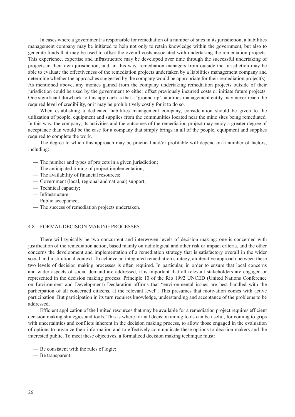<span id="page-35-0"></span>In cases where a government is responsible for remediation of a number of sites in its jurisdiction, a liabilities management company may be initiated to help not only to retain knowledge within the government, but also to generate funds that may be used to offset the overall costs associated with undertaking the remediation projects. This experience, expertise and infrastructure may be developed over time through the successful undertaking of projects in their own jurisdiction, and, in this way, remediation managers from outside the jurisdiction may be able to evaluate the effectiveness of the remediation projects undertaken by a liabilities management company and determine whether the approaches suggested by the company would be appropriate for their remediation project(s). As mentioned above, any monies gained from the company undertaking remediation projects outside of their jurisdiction could be used by the government to either offset previously incurred costs or initiate future projects. One significant drawback to this approach is that a 'ground up' liabilities management entity may never reach the required level of credibility, or it may be prohibitively costly for it to do so.

When establishing a dedicated liabilities management company, consideration should be given to the utilization of people, equipment and supplies from the communities located near the mine sites being remediated. In this way, the company, its activities and the outcomes of the remediation project may enjoy a greater degree of acceptance than would be the case for a company that simply brings in all of the people, equipment and supplies required to complete the work.

The degree to which this approach may be practical and/or profitable will depend on a number of factors, including:

- The number and types of projects in a given jurisdiction;
- The anticipated timing of project implementation;
- The availability of financial resources;
- Government (local, regional and national) support;
- Technical capacity;
- Infrastructure;
- Public acceptance;
- The success of remediation projects undertaken.

### 4.8. FORMAL DECISION MAKING PROCESSES

There will typically be two concurrent and interwoven levels of decision making: one is concerned with justification of the remediation action, based mainly on radiological and other risk or impact criteria, and the other concerns the development and implementation of a remediation strategy that is satisfactory overall in the wider social and institutional context. To achieve an integrated remediation strategy, an iterative approach between these two levels of decision making processes is often required. In particular, in order to ensure that local concerns and wider aspects of social demand are addressed, it is important that all relevant stakeholders are engaged or represented in the decision making process. Principle 10 of the Rio 1992 UNCED (United Nations Conference on Environment and Development) Declaration affirms that "environmental issues are best handled with the participation of all concerned citizens, at the relevant level". This presumes that motivation comes with active participation. But participation in its turn requires knowledge, understanding and acceptance of the problems to be addressed.

Efficient application of the limited resources that may be available for a remediation project requires efficient decision making strategies and tools. This is where formal decision aiding tools can be useful, for coming to grips with uncertainties and conflicts inherent in the decision making process, to allow those engaged in the evaluation of options to organize their information and to effectively communicate these options to decision makers and the interested public. To meet these objectives, a formalized decision making technique must:

— Be consistent with the rules of logic;

— Be transparent;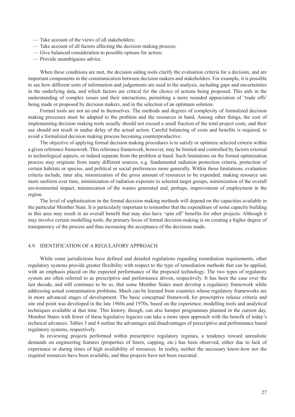- <span id="page-36-0"></span>— Take account of the views of all stakeholders;
- Take account of all factors affecting the decision making process;
- Give balanced consideration to possible options for action;
- Provide unambiguous advice.

When these conditions are met, the decision aiding tools clarify the evaluation criteria for a decision, and are important components in the communication between decision makers and stakeholders. For example, it is possible to see how different sorts of information and judgements are used in the analysis, including gaps and uncertainties in the underlying data, and which factors are critical for the choice of actions being proposed. This aids in the understanding of complex issues and their interactions, permitting a more rounded appreciation of 'trade offs' being made or proposed by decision makers, and in the selection of an optimum solution.

Formal tools are not an end in themselves. The methods and degrees of complexity of formalized decision making processes must be adapted to the problem and the resources in hand. Among other things, the cost of implementing decision making tools usually should not exceed a small fraction of the total project costs, and their use should not result in undue delay of the actual action. Careful balancing of costs and benefits is required, to avoid a formalized decision making process becoming counterproductive.

The objective of applying formal decision making procedures is to satisfy or optimize selected criteria within a given reference framework. This reference framework, however, may be limited and controlled by factors external to technological aspects, or indeed separate from the problem at hand. Such limitations on the formal optimization process may originate from many different sources, e.g. fundamental radiation protection criteria, protection of certain habitats or species, and political or social preferences more generally. Within these limitations, evaluation criteria include, inter alia, minimization of the gross amount of resources to be expended, making resource use more uniform over time, minimization of radiation exposure to selected target groups, minimization of the overall environmental impact, minimization of the wastes generated and, perhaps, improvement of employment in the region.

The level of sophistication in the formal decision making methods will depend on the capacities available in the particular Member State. It is particularly important to remember that the expenditure of some capacity building in this area may result in an overall benefit that may also have 'spin off' benefits for other projects. Although it may involve certain modelling tools, the primary focus of formal decision making is on creating a higher degree of transparency of the process and thus increasing the acceptance of the decisions made.

### 4.9. IDENTIFICATION OF A REGULATORY APPROACH

While some jurisdictions have defined and detailed regulations regarding remediation requirements, other regulatory systems provide greater flexibility with respect to the type of remediation methods that can be applied, with an emphasis placed on the expected performance of the proposed technology. The two types of regulatory system are often referred to as prescriptive and performance driven, respectively. It has been the case over the last decade, and still continues to be so, that some Member States must develop a regulatory framework while addressing actual contamination problems. Much can be learned from countries whose regulatory frameworks are in more advanced stages of development. The basic conceptual framework for prescriptive release criteria and site end point was developed in the late 1960s and 1970s, based on the experience, modelling tools and analytical techniques available at that time. This history, though, can also hamper programmes planned in the current day. Member States with fewer of these legislative legacies can take a more open approach with the benefit of today's technical advances. Tables 3 and 4 outline the advantages and disadvantages of prescriptive and performance based regulatory systems, respectively.

In reviewing projects performed within prescriptive regulatory regimes, a tendency toward unrealistic demands on engineering features (properties of liners, capping, etc.) has been observed, either due to lack of experience or during times of high availability of resources. In reality, neither the necessary know-how nor the required resources have been available, and thus projects have not been executed.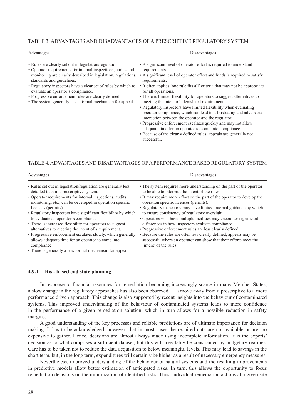### <span id="page-37-0"></span>TABLE 3. ADVANTAGES AND DISADVANTAGES OF A PRESCRIPTIVE REGULATORY SYSTEM

| Advantages                                                                                                                                                                                                                                                                                                                                                                                                                                       | Disadvantages                                                                                                                                                                                                                                                                                                                                                                                                                                                                                                                                                                                                                                                                                                                                                                                                                           |
|--------------------------------------------------------------------------------------------------------------------------------------------------------------------------------------------------------------------------------------------------------------------------------------------------------------------------------------------------------------------------------------------------------------------------------------------------|-----------------------------------------------------------------------------------------------------------------------------------------------------------------------------------------------------------------------------------------------------------------------------------------------------------------------------------------------------------------------------------------------------------------------------------------------------------------------------------------------------------------------------------------------------------------------------------------------------------------------------------------------------------------------------------------------------------------------------------------------------------------------------------------------------------------------------------------|
| • Rules are clearly set out in legislation/regulation.<br>• Operator requirements for internal inspections, audits and<br>monitoring are clearly described in legislation, regulations,<br>standards and guidelines.<br>• Regulatory inspectors have a clear set of rules by which to<br>evaluate an operator's compliance.<br>• Progressive enforcement rules are clearly defined.<br>• The system generally has a formal mechanism for appeal. | • A significant level of operator effort is required to understand<br>requirements.<br>• A significant level of operator effort and funds is required to satisfy<br>requirements.<br>• It often applies 'one rule fits all' criteria that may not be appropriate<br>for all operations.<br>• There is limited flexibility for operators to suggest alternatives to<br>meeting the intent of a legislated requirement.<br>• Regulatory inspectors have limited flexibility when evaluating<br>operator compliance, which can lead to a frustrating and adversarial<br>interaction between the operator and the regulator.<br>• Progressive enforcement escalates quickly and may not allow<br>adequate time for an operator to come into compliance.<br>• Because of the clearly defined rules, appeals are generally not<br>successful. |

### TABLE 4. ADVANTAGES AND DISADVANTAGES OF A PERFORMANCE BASED REGULATORY SYSTEM

| Advantages                                                                                                                                                                                                                                                                                                                                                                                                                                                                                                                                                                                                                                                                            | Disadvantages                                                                                                                                                                                                                                                                                                                                                                                                                                                                                                                                                                                                                                                                                                                        |
|---------------------------------------------------------------------------------------------------------------------------------------------------------------------------------------------------------------------------------------------------------------------------------------------------------------------------------------------------------------------------------------------------------------------------------------------------------------------------------------------------------------------------------------------------------------------------------------------------------------------------------------------------------------------------------------|--------------------------------------------------------------------------------------------------------------------------------------------------------------------------------------------------------------------------------------------------------------------------------------------------------------------------------------------------------------------------------------------------------------------------------------------------------------------------------------------------------------------------------------------------------------------------------------------------------------------------------------------------------------------------------------------------------------------------------------|
| • Rules set out in legislation/regulation are generally less<br>detailed than in a prescriptive system.<br>• Operator requirements for internal inspections, audits,<br>monitoring, etc., can be developed in operation specific<br>licences (permits).<br>• Regulatory inspectors have significant flexibility by which<br>to evaluate an operator's compliance.<br>• There is increased flexibility for operators to suggest<br>alternatives to meeting the intent of a requirement.<br>• Progressive enforcement escalates slowly, which generally<br>allows adequate time for an operator to come into<br>compliance.<br>• There is generally a less formal mechanism for appeal. | • The system requires more understanding on the part of the operator<br>to be able to interpret the intent of the rules.<br>• It may require more effort on the part of the operator to develop the<br>operation specific licences (permits).<br>• Regulatory inspectors may have limited internal guidance by which<br>to ensure consistency of regulatory oversight.<br>• Operators who have multiple facilities may encounter significant<br>differences in how inspectors evaluate compliance.<br>• Progressive enforcement rules are less clearly defined.<br>• Because the rules are often less clearly defined, appeals may be<br>successful where an operator can show that their efforts meet the<br>'intent' of the rules. |

### **4.9.1. Risk based end state planning**

In response to financial resources for remediation becoming increasingly scarce in many Member States, a slow change in the regulatory approaches has also been observed — a move away from a prescriptive to a more performance driven approach. This change is also supported by recent insights into the behaviour of contaminated systems. This improved understanding of the behaviour of contaminated systems leads to more confidence in the performance of a given remediation solution, which in turn allows for a possible reduction in safety margins.

A good understanding of the key processes and reliable predictions are of ultimate importance for decision making. It has to be acknowledged, however, that in most cases the required data are not available or are too expensive to gather. Hence, decisions are almost always made using incomplete information. It is the experts' decision as to what comprises a sufficient dataset, but this will inevitably be constrained by budgetary realities. Care has to be taken not to reduce the data acquisition to below meaningful levels. This may lead to savings in the short term, but, in the long term, expenditures will certainly be higher as a result of necessary emergency measures.

Nevertheless, improved understanding of the behaviour of natural systems and the resulting improvements in predictive models allow better estimation of anticipated risks. In turn, this allows the opportunity to focus remediation decisions on the minimization of identified risks. Thus, individual remediation actions at a given site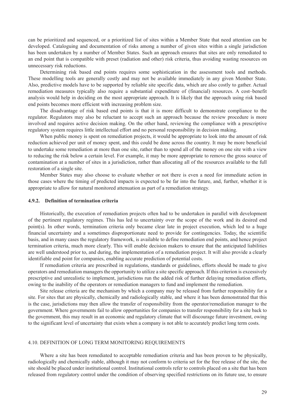<span id="page-38-0"></span>can be prioritized and sequenced, or a prioritized list of sites within a Member State that need attention can be developed. Cataloguing and documentation of risks among a number of given sites within a single jurisdiction has been undertaken by a number of Member States. Such an approach ensures that sites are only remediated to an end point that is compatible with preset (radiation and other) risk criteria, thus avoiding wasting resources on unnecessary risk reductions.

Determining risk based end points requires some sophistication in the assessment tools and methods. These modelling tools are generally costly and may not be available immediately in any given Member State. Also, predictive models have to be supported by reliable site specific data, which are also costly to gather. Actual remediation measures typically also require a substantial expenditure of (financial) resources. A cost–benefit analysis would help in deciding on the most appropriate approach. It is likely that the approach using risk based end points becomes more efficient with increasing problem size.

The disadvantage of risk based end points is that it is more difficult to demonstrate compliance to the regulator. Regulators may also be reluctant to accept such an approach because the review procedure is more involved and requires active decision making. On the other hand, reviewing the compliance with a prescriptive regulatory system requires little intellectual effort and no personal responsibility in decision making.

When public money is spent on remediation projects, it would be appropriate to look into the amount of risk reduction achieved per unit of money spent, and this could be done across the country. It may be more beneficial to undertake some remediation at more than one site, rather than to spend all of the money on one site with a view to reducing the risk below a certain level. For example, it may be more appropriate to remove the gross source of contamination at a number of sites in a jurisdiction, rather than allocating all of the resources available to the full restoration of a single site.

Member States may also choose to evaluate whether or not there is even a need for immediate action in those cases where the timing of predicted impacts is expected to be far into the future, and, further, whether it is appropriate to allow for natural monitored attenuation as part of a remediation strategy.

### **4.9.2. Definition of termination criteria**

Historically, the execution of remediation projects often had to be undertaken in parallel with development of the pertinent regulatory regimes. This has led to uncertainty over the scope of the work and its desired end point(s). In other words, termination criteria only became clear late in project execution, which led to a huge financial uncertainty and a sometimes disproportionate need to provide for contingencies. Today, the scientific basis, and in many cases the regulatory framework, is available to define remediation end points, and hence project termination criteria, much more clearly. This will enable decision makers to ensure that the anticipated liabilities are well understood prior to, and during, the implementation of a remediation project. It will also provide a clearly identifiable end point for companies, enabling accurate prediction of potential costs.

If remediation criteria are prescribed in regulations, standards or guidelines, efforts should be made to give operators and remediation managers the opportunity to utilize a site specific approach. If this criterion is excessively prescriptive and unrealistic to implement, jurisdictions run the added risk of further delaying remediation efforts, owing to the inability of the operators or remediation managers to fund and implement the remediation.

Site release criteria are the mechanism by which a company may be released from further responsibility for a site. For sites that are physically, chemically and radiologically stable, and where it has been demonstrated that this is the case, jurisdictions may then allow the transfer of responsibility from the operator/remediation manager to the government. Where governments fail to allow opportunities for companies to transfer responsibility for a site back to the government, this may result in an economic and regulatory climate that will discourage future investment, owing to the significant level of uncertainty that exists when a company is not able to accurately predict long term costs.

### 4.10. DEFINITION OF LONG TERM MONITORING REQUIREMENTS

Where a site has been remediated to acceptable remediation criteria and has been proven to be physically, radiologically and chemically stable, although it may not conform to criteria set for the free release of the site, the site should be placed under institutional control. Institutional controls refer to controls placed on a site that has been released from regulatory control under the condition of observing specified restrictions on its future use, to ensure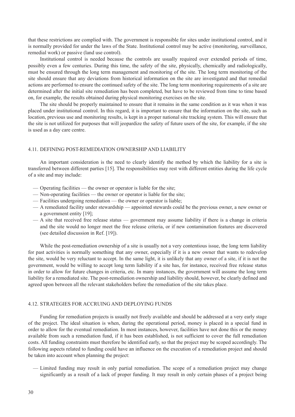<span id="page-39-0"></span>that these restrictions are complied with. The government is responsible for sites under institutional control, and it is normally provided for under the laws of the State. Institutional control may be active (monitoring, surveillance, remedial work) or passive (land use control).

Institutional control is needed because the controls are usually required over extended periods of time, possibly even a few centuries. During this time, the safety of the site, physically, chemically and radiologically, must be ensured through the long term management and monitoring of the site. The long term monitoring of the site should ensure that any deviations from historical information on the site are investigated and that remedial actions are performed to ensure the continued safety of the site. The long term monitoring requirements of a site are determined after the initial site remediation has been completed, but have to be reviewed from time to time based on, for example, the results obtained during physical monitoring exercises on the site.

The site should be properly maintained to ensure that it remains in the same condition as it was when it was placed under institutional control. In this regard, it is important to ensure that the information on the site, such as location, previous use and monitoring results, is kept in a proper national site tracking system. This will ensure that the site is not utilized for purposes that will jeopardize the safety of future users of the site, for example, if the site is used as a day care centre.

### 4.11. DEFINING POST-REMEDIATION OWNERSHIP AND LIABILITY

An important consideration is the need to clearly identify the method by which the liability for a site is transferred between different parties [15]. The responsibilities may rest with different entities during the life cycle of a site and may include:

- Operating facilities the owner or operator is liable for the site;
- Non-operating facilities the owner or operator is liable for the site;
- Facilities undergoing remediation the owner or operator is liable;
- A remediated facility under stewardship appointed stewards could be the previous owner, a new owner or a government entity [19];
- A site that received free release status government may assume liability if there is a change in criteria and the site would no longer meet the free release criteria, or if new contamination features are discovered (see detailed discussion in Ref. [19]).

While the post-remediation ownership of a site is usually not a very contentious issue, the long term liability for past activities is normally something that any owner, especially if it is a new owner that wants to redevelop the site, would be very reluctant to accept. In the same light, it is unlikely that any owner of a site, if it is not the government, would be willing to accept long term liability if a site has, for instance, received free release status in order to allow for future changes in criteria, etc. In many instances, the government will assume the long term liability for a remediated site. The post-remediation ownership and liability should, however, be clearly defined and agreed upon between all the relevant stakeholders before the remediation of the site takes place.

### 4.12. STRATEGIES FOR ACCRUING AND DEPLOYING FUNDS

Funding for remediation projects is usually not freely available and should be addressed at a very early stage of the project. The ideal situation is when, during the operational period, money is placed in a special fund in order to allow for the eventual remediation. In most instances, however, facilities have not done this or the money available from such a remediation fund, if it has been established, is not sufficient to cover the full remediation costs. All funding constraints must therefore be identified early, so that the project may be scoped accordingly. The following aspects related to funding could have an influence on the execution of a remediation project and should be taken into account when planning the project:

— Limited funding may result in only partial remediation. The scope of a remediation project may change significantly as a result of a lack of proper funding. It may result in only certain phases of a project being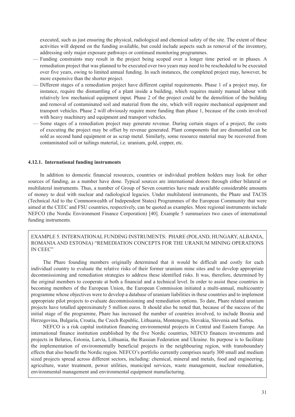<span id="page-40-0"></span>executed, such as just ensuring the physical, radiological and chemical safety of the site. The extent of these activities will depend on the funding available, but could include aspects such as removal of the inventory, addressing only major exposure pathways or continued monitoring programmes.

- Funding constraints may result in the project being scoped over a longer time period or in phases. A remediation project that was planned to be executed over two years may need to be rescheduled to be executed over five years, owing to limited annual funding. In such instances, the completed project may, however, be more expensive than the shorter project.
- Different stages of a remediation project have different capital requirements. Phase 1 of a project may, for instance, require the dismantling of a plant inside a building, which requires mainly manual labour with relatively low mechanical equipment input. Phase 2 of the project could be the demolition of the building and removal of contaminated soil and material from the site, which will require mechanical equipment and transport vehicles. Phase 2 will obviously require more funding than phase 1, because of the costs involved with heavy machinery and equipment and transport vehicles.
- Some stages of a remediation project may generate revenue. During certain stages of a project, the costs of executing the project may be offset by revenue generated. Plant components that are dismantled can be sold as second hand equipment or as scrap metal. Similarly, some resource material may be recovered from contaminated soil or tailings material, i.e. uranium, gold, copper, etc.

### **4.12.1. International funding instruments**

In addition to domestic financial resources, countries or individual problem holders may look for other sources of funding, as a number have done. Typical sources are international donors through either bilateral or multilateral instruments. Thus, a number of Group of Seven countries have made available considerable amounts of money to deal with nuclear and radiological legacies. Under multilateral instruments, the Phare and TACIS (Technical Aid to the Commonwealth of Independent States) Programmes of the European Community that were aimed at the CEEC and FSU countries, respectively, can be quoted as examples. More regional instruments include NEFCO (the Nordic Environment Finance Corporation) [40]. Example 5 summarizes two cases of international funding instruments.

EXAMPLE 5. INTERNATIONAL FUNDING INSTRUMENTS: PHARE (POLAND, HUNGARY, ALBANIA, ROMANIA AND ESTONIA) "REMEDIATION CONCEPTS FOR THE URANIUM MINING OPERATIONS IN CEEC"

The Phare founding members originally determined that it would be difficult and costly for each individual country to evaluate the relative risks of their former uranium mine sites and to develop appropriate decommissioning and remediation strategies to address these identified risks. It was, therefore, determined by the original members to cooperate at both a financial and a technical level. In order to assist these countries in becoming members of the European Union, the European Commission initiated a multi-annual, multicountry programme whose objectives were to develop a database of uranium liabilities in these countries and to implement appropriate pilot projects to evaluate decommissioning and remediation options. To date, Phare related uranium projects have totalled approximately 5 million euros. It should also be noted that, because of the success of the initial stage of the programme, Phare has increased the number of countries involved, to include Bosnia and Herzegovina, Bulgaria, Croatia, the Czech Republic, Lithuania, Montenegro, Slovakia, Slovenia and Serbia.

NEFCO is a risk capital institution financing environmental projects in Central and Eastern Europe. An international finance institution established by the five Nordic countries, NEFCO finances investments and projects in Belarus, Estonia, Latvia, Lithuania, the Russian Federation and Ukraine. Its purpose is to facilitate the implementation of environmentally beneficial projects in the neighbouring region, with transboundary effects that also benefit the Nordic region. NEFCO's portfolio currently comprises nearly 300 small and medium sized projects spread across different sectors, including: chemical, mineral and metals, food and engineering, agriculture, water treatment, power utilities, municipal services, waste management, nuclear remediation, environmental management and environmental equipment manufacturing.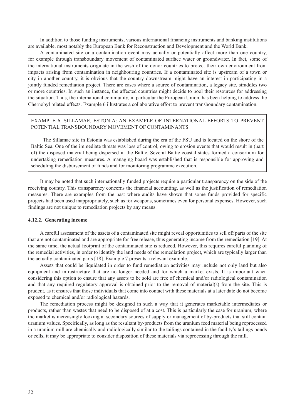<span id="page-41-0"></span>In addition to those funding instruments, various international financing instruments and banking institutions are available, most notably the European Bank for Reconstruction and Development and the World Bank.

A contaminated site or a contamination event may actually or potentially affect more than one country, for example through transboundary movement of contaminated surface water or groundwater. In fact, some of the international instruments originate in the wish of the donor countries to protect their own environment from impacts arising from contamination in neighbouring countries. If a contaminated site is upstream of a town or city in another country, it is obvious that the country downstream might have an interest in participating in a jointly funded remediation project. There are cases where a source of contamination, a legacy site, straddles two or more countries. In such an instance, the affected countries might decide to pool their resources for addressing the situation. Thus, the international community, in particular the European Union, has been helping to address the Chernobyl related effects. Example 6 illustrates a collaborative effort to prevent transboundary contamination.

### EXAMPLE 6. SILLAMAE, ESTONIA: AN EXAMPLE OF INTERNATIONAL EFFORTS TO PREVENT POTENTIAL TRANSBOUNDARY MOVEMENT OF CONTAMINANTS

The Sillamae site in Estonia was established during the era of the FSU and is located on the shore of the Baltic Sea. One of the immediate threats was loss of control, owing to erosion events that would result in (part of) the disposed material being dispersed in the Baltic. Several Baltic coastal states formed a consortium for undertaking remediation measures. A managing board was established that is responsible for approving and scheduling the disbursement of funds and for monitoring programme execution.

It may be noted that such internationally funded projects require a particular transparency on the side of the receiving country. This transparency concerns the financial accounting, as well as the justification of remediation measures. There are examples from the past where audits have shown that some funds provided for specific projects had been used inappropriately, such as for weapons, sometimes even for personal expenses. However, such findings are not unique to remediation projects by any means.

### **4.12.2. Generating income**

A careful assessment of the assets of a contaminated site might reveal opportunities to sell off parts of the site that are not contaminated and are appropriate for free release, thus generating income from the remediation [19]. At the same time, the actual footprint of the contaminated site is reduced. However, this requires careful planning of the remedial activities, in order to identify the land needs of the remediation project, which are typically larger than the actually contaminated parts [18]. Example 7 presents a relevant example.

Assets that could be liquidated in order to fund remediation activities may include not only land but also equipment and infrastructure that are no longer needed and for which a market exists. It is important when considering this option to ensure that any assets to be sold are free of chemical and/or radiological contamination and that any required regulatory approval is obtained prior to the removal of material(s) from the site. This is prudent, as it ensures that those individuals that come into contact with these materials at a later date do not become exposed to chemical and/or radiological hazards.

The remediation process might be designed in such a way that it generates marketable intermediates or products, rather than wastes that need to be disposed of at a cost. This is particularly the case for uranium, where the market is increasingly looking at secondary sources of supply or management of by-products that still contain uranium values. Specifically, as long as the resultant by-products from the uranium feed material being reprocessed in a uranium mill are chemically and radiologically similar to the tailings contained in the facility's tailings ponds or cells, it may be appropriate to consider disposition of these materials via reprocessing through the mill.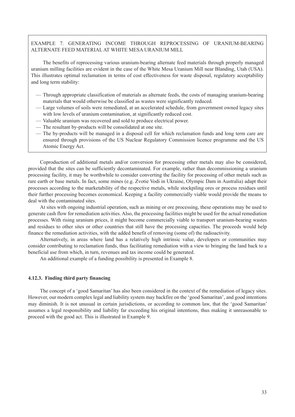### EXAMPLE 7. GENERATING INCOME THROUGH REPROCESSING OF URANIUM-BEARING ALTERNATE FEED MATERIAL AT WHITE MESA URANIUM MILL

The benefits of reprocessing various uranium-bearing alternate feed materials through properly managed uranium milling facilities are evident in the case of the White Mesa Uranium Mill near Blanding, Utah (USA). This illustrates optimal reclamation in terms of cost effectiveness for waste disposal, regulatory acceptability and long term stability:

- Through appropriate classification of materials as alternate feeds, the costs of managing uranium-bearing materials that would otherwise be classified as wastes were significantly reduced.
- Large volumes of soils were remediated, at an accelerated schedule, from government owned legacy sites with low levels of uranium contamination, at significantly reduced cost.
- Valuable uranium was recovered and sold to produce electrical power.
- The resultant by-products will be consolidated at one site.
- The by-products will be managed in a disposal cell for which reclamation funds and long term care are ensured through provisions of the US Nuclear Regulatory Commission licence programme and the US Atomic Energy Act.

Coproduction of additional metals and/or conversion for processing other metals may also be considered, provided that the sites can be sufficiently decontaminated. For example, rather than decommissioning a uranium processing facility, it may be worthwhile to consider converting the facility for processing of other metals such as rare earth or base metals. In fact, some mines (e.g. Zvotie Vodi in Ukraine, Olympic Dam in Australia) adapt their processes according to the marketability of the respective metals, while stockpiling ores or process residues until their further processing becomes economical. Keeping a facility commercially viable would provide the means to deal with the contaminated sites.

At sites with ongoing industrial operation, such as mining or ore processing, these operations may be used to generate cash flow for remediation activities. Also, the processing facilities might be used for the actual remediation processes. With rising uranium prices, it might become commercially viable to transport uranium-bearing wastes and residues to other sites or other countries that still have the processing capacities. The proceeds would help finance the remediation activities, with the added benefit of removing (some of) the radioactivity.

Alternatively, in areas where land has a relatively high intrinsic value, developers or communities may consider contributing to reclamation funds, thus facilitating remediation with a view to bringing the land back to a beneficial use from which, in turn, revenues and tax income could be generated.

An additional example of a funding possibility is presented in Example 8.

### **4.12.3. Finding third party financing**

The concept of a 'good Samaritan' has also been considered in the context of the remediation of legacy sites. However, our modern complex legal and liability system may backfire on the 'good Samaritan', and good intentions may diminish. It is not unusual in certain jurisdictions, or according to common law, that the 'good Samaritan' assumes a legal responsibility and liability far exceeding his original intentions, thus making it unreasonable to proceed with the good act. This is illustrated in Example 9.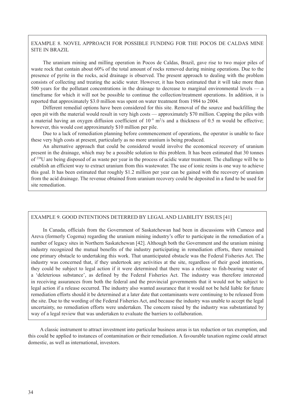### <span id="page-43-0"></span>EXAMPLE 8. NOVEL APPROACH FOR POSSIBLE FUNDING FOR THE POCOS DE CALDAS MINE SITE IN BRAZIL

The uranium mining and milling operation in Pocos de Caldas, Brazil, gave rise to two major piles of waste rock that contain about 60% of the total amount of rocks removed during mining operations. Due to the presence of pyrite in the rocks, acid drainage is observed. The present approach to dealing with the problem consists of collecting and treating the acidic water. However, it has been estimated that it will take more than 500 years for the pollutant concentrations in the drainage to decrease to marginal environmental levels — a timeframe for which it will not be possible to continue the collection/treatment operations. In addition, it is reported that approximately \$3.0 million was spent on water treatment from 1984 to 2004.

Different remedial options have been considered for this site. Removal of the source and backfilling the open pit with the material would result in very high costs — approximately \$70 million. Capping the piles with a material having an oxygen diffusion coefficient of  $10^{-9}$  m<sup>2</sup>/s and a thickness of 0.5 m would be effective; however, this would cost approximately \$10 million per pile.

Due to a lack of remediation planning before commencement of operations, the operator is unable to face these very high costs at present, particularly as no more uranium is being produced.

An alternative approach that could be considered would involve the economical recovery of uranium present in the drainage, which may be a possible solution to this problem. It has been estimated that 30 tonnes of 238U are being disposed of as waste per year in the process of acidic water treatment. The challenge will be to establish an efficient way to extract uranium from this wastewater. The use of ionic resins is one way to achieve this goal. It has been estimated that roughly \$1.2 million per year can be gained with the recovery of uranium from the acid drainage. The revenue obtained from uranium recovery could be deposited in a fund to be used for site remediation.

### EXAMPLE 9. GOOD INTENTIONS DETERRED BY LEGAL AND LIABILITY ISSUES [41]

In Canada, officials from the Government of Saskatchewan had been in discussions with Cameco and Areva (formerly Cogema) regarding the uranium mining industry's offer to participate in the remediation of a number of legacy sites in Northern Saskatchewan [42]. Although both the Government and the uranium mining industry recognized the mutual benefits of the industry participating in remediation efforts, there remained one primary obstacle to undertaking this work. That unanticipated obstacle was the Federal Fisheries Act. The industry was concerned that, if they undertook any activities at the site, regardless of their good intentions, they could be subject to legal action if it were determined that there was a release to fish-bearing water of a 'deleterious substance', as defined by the Federal Fisheries Act. The industry was therefore interested in receiving assurances from both the federal and the provincial governments that it would not be subject to legal action if a release occurred. The industry also wanted assurance that it would not be held liable for future remediation efforts should it be determined at a later date that contaminants were continuing to be released from the site. Due to the wording of the Federal Fisheries Act, and because the industry was unable to accept the legal uncertainty, no remediation efforts were undertaken. The concern raised by the industry was substantiated by way of a legal review that was undertaken to evaluate the barriers to collaboration.

A classic instrument to attract investment into particular business areas is tax reduction or tax exemption, and this could be applied to instances of contamination or their remediation. A favourable taxation regime could attract domestic, as well as international, investors.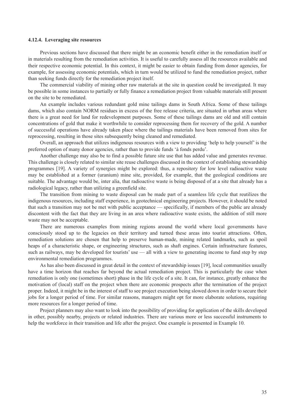### <span id="page-44-0"></span>**4.12.4. Leveraging site resources**

Previous sections have discussed that there might be an economic benefit either in the remediation itself or in materials resulting from the remediation activities. It is useful to carefully assess all the resources available and their respective economic potential. In this context, it might be easier to obtain funding from donor agencies, for example, for assessing economic potentials, which in turn would be utilized to fund the remediation project, rather than seeking funds directly for the remediation project itself.

The commercial viability of mining other raw materials at the site in question could be investigated. It may be possible in some instances to partially or fully finance a remediation project from valuable materials still present on the site to be remediated.

An example includes various redundant gold mine tailings dams in South Africa. Some of these tailings dams, which also contain NORM residues in excess of the free release criteria, are situated in urban areas where there is a great need for land for redevelopment purposes. Some of these tailings dams are old and still contain concentrations of gold that make it worthwhile to consider reprocessing them for recovery of the gold. A number of successful operations have already taken place where the tailings materials have been removed from sites for reprocessing, resulting in those sites subsequently being cleaned and remediated.

Overall, an approach that utilizes indigenous resources with a view to providing 'help to help yourself' is the preferred option of many donor agencies, rather than to provide funds 'à fonds perdu'.

Another challenge may also be to find a possible future site use that has added value and generates revenue. This challenge is closely related to similar site reuse challenges discussed in the context of establishing stewardship programmes [19]. A variety of synergies might be explored: thus, a repository for low level radioactive waste may be established at a former (uranium) mine site, provided, for example, that the geological conditions are suitable. The advantage would be, inter alia, that radioactive waste is being disposed of at a site that already has a radiological legacy, rather than utilizing a greenfield site.

The transition from mining to waste disposal can be made part of a seamless life cycle that reutilizes the indigenous resources, including staff experience, in geotechnical engineering projects. However, it should be noted that such a transition may not be met with public acceptance — specifically, if members of the public are already discontent with the fact that they are living in an area where radioactive waste exists, the addition of still more waste may not be acceptable.

There are numerous examples from mining regions around the world where local governments have consciously stood up to the legacies on their territory and turned these areas into tourist attractions. Often, remediation solutions are chosen that help to preserve human-made, mining related landmarks, such as spoil heaps of a characteristic shape, or engineering structures, such as shaft engines. Certain infrastructure features, such as railways, may be developed for tourists' use — all with a view to generating income to fund step by step environmental remediation programmes.

As has also been discussed in great detail in the context of stewardship issues [19], local communities usually have a time horizon that reaches far beyond the actual remediation project. This is particularly the case when remediation is only one (sometimes short) phase in the life cycle of a site. It can, for instance, greatly enhance the motivation of (local) staff on the project when there are economic prospects after the termination of the project proper. Indeed, it might be in the interest of staff to see project execution being slowed down in order to secure their jobs for a longer period of time. For similar reasons, managers might opt for more elaborate solutions, requiring more resources for a longer period of time.

Project planners may also want to look into the possibility of providing for application of the skills developed in other, possibly nearby, projects or related industries. There are various more or less successful instruments to help the workforce in their transition and life after the project. One example is presented in Example 10.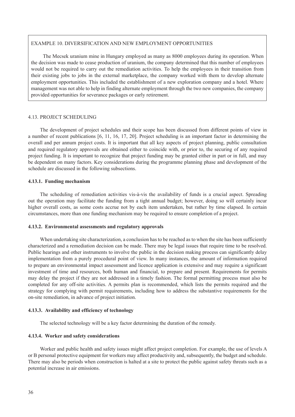### <span id="page-45-0"></span>EXAMPLE 10. DIVERSIFICATION AND NEW EMPLOYMENT OPPORTUNITIES

The Mecsek uranium mine in Hungary employed as many as 8000 employees during its operation. When the decision was made to cease production of uranium, the company determined that this number of employees would not be required to carry out the remediation activities. To help the employees in their transition from their existing jobs to jobs in the external marketplace, the company worked with them to develop alternate employment opportunities. This included the establishment of a new exploration company and a hotel. Where management was not able to help in finding alternate employment through the two new companies, the company provided opportunities for severance packages or early retirement.

### 4.13. PROJECT SCHEDULING

The development of project schedules and their scope has been discussed from different points of view in a number of recent publications [6, 11, 16, 17, 20]. Project scheduling is an important factor in determining the overall and per annum project costs. It is important that all key aspects of project planning, public consultation and required regulatory approvals are obtained either to coincide with, or prior to, the securing of any required project funding. It is important to recognize that project funding may be granted either in part or in full, and may be dependent on many factors. Key considerations during the programme planning phase and development of the schedule are discussed in the following subsections.

### **4.13.1. Funding mechanism**

The scheduling of remediation activities vis-à-vis the availability of funds is a crucial aspect. Spreading out the operation may facilitate the funding from a tight annual budget; however, doing so will certainly incur higher overall costs, as some costs accrue not by each item undertaken, but rather by time elapsed. In certain circumstances, more than one funding mechanism may be required to ensure completion of a project.

### **4.13.2. Environmental assessments and regulatory approvals**

When undertaking site characterization, a conclusion has to be reached as to when the site has been sufficiently characterized and a remediation decision can be made. There may be legal issues that require time to be resolved. Public hearings and other instruments to involve the public in the decision making process can significantly delay implementation from a purely procedural point of view. In many instances, the amount of information required to prepare an environmental impact assessment and licence application is extensive and may require a significant investment of time and resources, both human and financial, to prepare and present. Requirements for permits may delay the project if they are not addressed in a timely fashion. The formal permitting process must also be completed for any off-site activities. A permits plan is recommended, which lists the permits required and the strategy for complying with permit requirements, including how to address the substantive requirements for the on-site remediation, in advance of project initiation.

### **4.13.3. Availability and efficiency of technology**

The selected technology will be a key factor determining the duration of the remedy.

### **4.13.4. Worker and safety considerations**

Worker and public health and safety issues might affect project completion. For example, the use of levels A or B personal protective equipment for workers may affect productivity and, subsequently, the budget and schedule. There may also be periods when construction is halted at a site to protect the public against safety threats such as a potential increase in air emissions.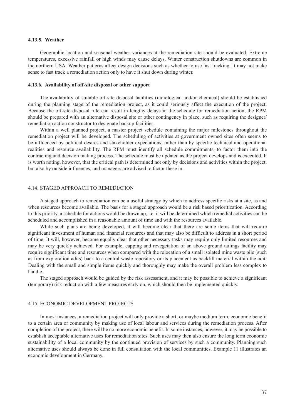### <span id="page-46-0"></span>**4.13.5. Weather**

Geographic location and seasonal weather variances at the remediation site should be evaluated. Extreme temperatures, excessive rainfall or high winds may cause delays. Winter construction shutdowns are common in the northern USA. Weather patterns affect design decisions such as whether to use fast tracking. It may not make sense to fast track a remediation action only to have it shut down during winter.

### **4.13.6. Availability of off-site disposal or other support**

The availability of suitable off-site disposal facilities (radiological and/or chemical) should be established during the planning stage of the remediation project, as it could seriously affect the execution of the project. Because the off-site disposal rule can result in lengthy delays in the schedule for remediation action, the RPM should be prepared with an alternative disposal site or other contingency in place, such as requiring the designer/ remediation action constructor to designate backup facilities.

Within a well planned project, a master project schedule containing the major milestones throughout the remediation project will be developed. The scheduling of activities at government owned sites often seems to be influenced by political desires and stakeholder expectations, rather than by specific technical and operational realities and resource availability. The RPM must identify all schedule commitments, to factor them into the contracting and decision making process. The schedule must be updated as the project develops and is executed. It is worth noting, however, that the critical path is determined not only by decisions and activities within the project, but also by outside influences, and managers are advised to factor these in.

### 4.14. STAGED APPROACH TO REMEDIATION

A staged approach to remediation can be a useful strategy by which to address specific risks at a site, as and when resources become available. The basis for a staged approach would be a risk based prioritization. According to this priority, a schedule for actions would be drawn up, i.e. it will be determined which remedial activities can be scheduled and accomplished in a reasonable amount of time and with the resources available.

While such plans are being developed, it will become clear that there are some items that will require significant investment of human and financial resources and that may also be difficult to address in a short period of time. It will, however, become equally clear that other necessary tasks may require only limited resources and may be very quickly achieved. For example, capping and revegetation of an above ground tailings facility may require significant time and resources when compared with the relocation of a small isolated mine waste pile (such as from exploration adits) back to a central waste repository or its placement as backfill material within the adit. Dealing with the small and simple items quickly and thoroughly may make the overall problem less complex to handle.

The staged approach would be guided by the risk assessment, and it may be possible to achieve a significant (temporary) risk reduction with a few measures early on, which should then be implemented quickly.

### 4.15. ECONOMIC DEVELOPMENT PROJECTS

In most instances, a remediation project will only provide a short, or maybe medium term, economic benefit to a certain area or community by making use of local labour and services during the remediation process. After completion of the project, there will be no more economic benefit. In some instances, however, it may be possible to establish acceptable alternative uses for remediation sites. Such uses may then also ensure the long term economic sustainability of a local community by the continued provision of services by such a community. Planning such alternative uses should always be done in full consultation with the local communities. Example 11 illustrates an economic development in Germany.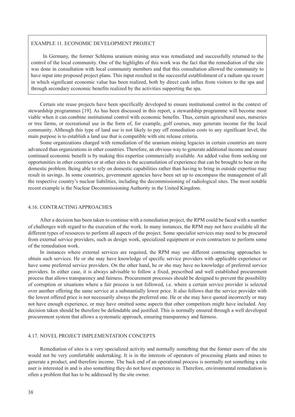### <span id="page-47-0"></span>EXAMPLE 11. ECONOMIC DEVELOPMENT PROJECT

In Germany, the former Schlema uranium mining area was remediated and successfully returned to the control of the local community. One of the highlights of this work was the fact that the remediation of the site was done in consultation with local community members and that this consultation allowed the community to have input into proposed project plans. This input resulted in the successful establishment of a radium spa resort in which significant economic value has been realized, both by direct cash influx from visitors to the spa and through secondary economic benefits realized by the activities supporting the spa.

Certain site reuse projects have been specifically developed to ensure institutional control in the context of stewardship programmes [19]. As has been discussed in this report, a stewardship programme will become most viable when it can combine institutional control with economic benefits. Thus, certain agricultural uses, nurseries or tree farms, or recreational use in the form of, for example, golf courses, may generate income for the local community. Although this type of land use is not likely to pay off remediation costs to any significant level, the main purpose is to establish a land use that is compatible with site release criteria.

Some organizations charged with remediation of the uranium mining legacies in certain countries are more advanced than organizations in other countries. Therefore, an obvious way to generate additional income and ensure continued economic benefit is by making this expertise commercially available. An added value from seeking out opportunities in other countries or at other sites is the accumulation of experience that can be brought to bear on the domestic problem. Being able to rely on domestic capabilities rather than having to bring in outside expertise may result in savings. In some countries, government agencies have been set up to encompass the management of all the respective country's nuclear liabilities, including the decommissioning of radiological sites. The most notable recent example is the Nuclear Decommissioning Authority in the United Kingdom.

### 4.16. CONTRACTING APPROACHES

After a decision has been taken to continue with a remediation project, the RPM could be faced with a number of challenges with regard to the execution of the work. In many instances, the RPM may not have available all the different types of resources to perform all aspects of the project. Some specialist services may need to be procured from external service providers, such as design work, specialized equipment or even contractors to perform some of the remediation work.

In instances where external services are required, the RPM may use different contracting approaches to obtain such services. He or she may have knowledge of specific service providers with applicable experience or have some preferred service providers. On the other hand, he or she may have no knowledge of preferred service providers. In either case, it is always advisable to follow a fixed, prescribed and well established procurement process that allows transparency and fairness. Procurement processes should be designed to prevent the possibility of corruption or situations where a fair process is not followed, i.e. where a certain service provider is selected over another offering the same service at a substantially lower price. It also follows that the service provider with the lowest offered price is not necessarily always the preferred one. He or she may have quoted incorrectly or may not have enough experience, or may have omitted some aspects that other competitors might have included. Any decision taken should be therefore be defendable and justified. This is normally ensured through a well developed procurement system that allows a systematic approach, ensuring transparency and fairness.

### 4.17. NOVEL PROJECT IMPLEMENTATION CONCEPTS

Remediation of sites is a very specialized activity and normally something that the former users of the site would not be very comfortable undertaking. It is in the interests of operators of processing plants and mines to generate a product, and therefore income. The back end of an operational process is normally not something a site user is interested in and is also something they do not have experience in. Therefore, environmental remediation is often a problem that has to be addressed by the site owner.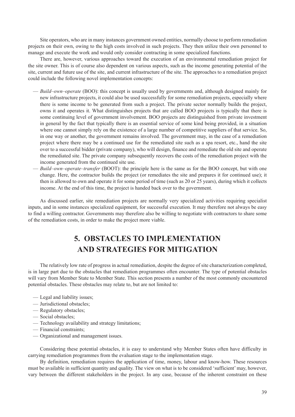<span id="page-48-0"></span>Site operators, who are in many instances government owned entities, normally choose to perform remediation projects on their own, owing to the high costs involved in such projects. They then utilize their own personnel to manage and execute the work and would only consider contracting in some specialized functions.

There are, however, various approaches toward the execution of an environmental remediation project for the site owner. This is of course also dependent on various aspects, such as the income generating potential of the site, current and future use of the site, and current infrastructure of the site. The approaches to a remediation project could include the following novel implementation concepts:

- *Build–own–operate* (BOO): this concept is usually used by governments and, although designed mainly for new infrastructure projects, it could also be used successfully for some remediation projects, especially where there is some income to be generated from such a project. The private sector normally builds the project, owns it and operates it. What distinguishes projects that are called BOO projects is typically that there is some continuing level of government involvement. BOO projects are distinguished from private investment in general by the fact that typically there is an essential service of some kind being provided, in a situation where one cannot simply rely on the existence of a large number of competitive suppliers of that service. So, in one way or another, the government remains involved. The government may, in the case of a remediation project where there may be a continued use for the remediated site such as a spa resort, etc., hand the site over to a successful bidder (private company), who will design, finance and remediate the old site and operate the remediated site. The private company subsequently recovers the costs of the remediation project with the income generated from the continued site use.
- *Build–own–operate–transfer* (BOOT): the principle here is the same as for the BOO concept, but with one change. Here, the contractor builds the project (or remediates the site and prepares it for continued use); it then is allowed to own and operate it for some period of time (such as 20 or 25 years), during which it collects income. At the end of this time, the project is handed back over to the government.

As discussed earlier, site remediation projects are normally very specialized activities requiring specialist inputs, and in some instances specialized equipment, for successful execution. It may therefore not always be easy to find a willing contractor. Governments may therefore also be willing to negotiate with contractors to share some of the remediation costs, in order to make the project more viable.

# **5. obstacles to implementation and strategies for mitigation**

The relatively low rate of progress in actual remediation, despite the degree of site characterization completed, is in large part due to the obstacles that remediation programmes often encounter. The type of potential obstacles will vary from Member State to Member State. This section presents a number of the most commonly encountered potential obstacles. These obstacles may relate to, but are not limited to:

- Legal and liability issues;
- Jurisdictional obstacles;
- Regulatory obstacles;
- Social obstacles;
- Technology availability and strategy limitations;
- Financial constraints;
- Organizational and management issues.

Considering these potential obstacles, it is easy to understand why Member States often have difficulty in carrying remediation programmes from the evaluation stage to the implementation stage.

By definition, remediation requires the application of time, money, labour and know-how. These resources must be available in sufficient quantity and quality. The view on what is to be considered 'sufficient' may, however, vary between the different stakeholders in the project. In any case, because of the inherent constraint on these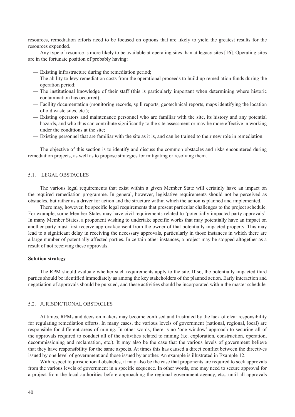<span id="page-49-0"></span>resources, remediation efforts need to be focused on options that are likely to yield the greatest results for the resources expended.

Any type of resource is more likely to be available at operating sites than at legacy sites [16]. Operating sites are in the fortunate position of probably having:

- Existing infrastructure during the remediation period;
- The ability to levy remediation costs from the operational proceeds to build up remediation funds during the operation period;
- The institutional knowledge of their staff (this is particularly important when determining where historic contamination has occurred);
- Facility documentation (monitoring records, spill reports, geotechnical reports, maps identifying the location of old waste sites, etc.);
- Existing operators and maintenance personnel who are familiar with the site, its history and any potential hazards, and who thus can contribute significantly to the site assessment or may be more effective in working under the conditions at the site;
- Existing personnel that are familiar with the site as it is, and can be trained to their new role in remediation.

The objective of this section is to identify and discuss the common obstacles and risks encountered during remediation projects, as well as to propose strategies for mitigating or resolving them.

### 5.1. LEGAL OBSTACLES

The various legal requirements that exist within a given Member State will certainly have an impact on the required remediation programme. In general, however, legislative requirements should not be perceived as obstacles, but rather as a driver for action and the structure within which the action is planned and implemented.

There may, however, be specific legal requirements that present particular challenges to the project schedule. For example, some Member States may have civil requirements related to 'potentially impacted party approvals'. In many Member States, a proponent wishing to undertake specific works that may potentially have an impact on another party must first receive approval/consent from the owner of that potentially impacted property. This may lead to a significant delay in receiving the necessary approvals, particularly in those instances in which there are a large number of potentially affected parties. In certain other instances, a project may be stopped altogether as a result of not receiving these approvals.

### **Solution strategy**

The RPM should evaluate whether such requirements apply to the site. If so, the potentially impacted third parties should be identified immediately as among the key stakeholders of the planned action. Early interaction and negotiation of approvals should be pursued, and these activities should be incorporated within the master schedule.

### 5.2. JURISDICTIONAL OBSTACLES

At times, RPMs and decision makers may become confused and frustrated by the lack of clear responsibility for regulating remediation efforts. In many cases, the various levels of government (national, regional, local) are responsible for different areas of mining. In other words, there is no 'one window' approach to securing all of the approvals required to conduct all of the activities related to mining (i.e. exploration, construction, operation, decommissioning and reclamation, etc.). It may also be the case that the various levels of government believe that they have responsibility for the same aspects. At times this has caused a direct conflict between the directives issued by one level of government and those issued by another. An example is illustrated in Example 12.

With respect to jurisdictional obstacles, it may also be the case that proponents are required to seek approvals from the various levels of government in a specific sequence. In other words, one may need to secure approval for a project from the local authorities before approaching the regional government agency, etc., until all approvals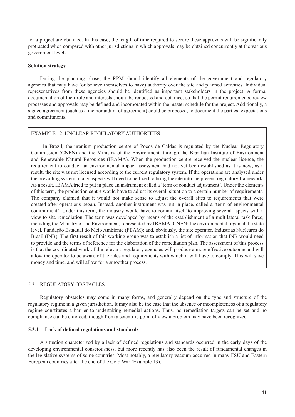<span id="page-50-0"></span>for a project are obtained. In this case, the length of time required to secure these approvals will be significantly protracted when compared with other jurisdictions in which approvals may be obtained concurrently at the various government levels.

### **Solution strategy**

During the planning phase, the RPM should identify all elements of the government and regulatory agencies that may have (or believe themselves to have) authority over the site and planned activities. Individual representatives from these agencies should be identified as important stakeholders in the project. A formal documentation of their role and interests should be requested and obtained, so that the permit requirements, review processes and approvals may be defined and incorporated within the master schedule for the project. Additionally, a signed agreement (such as a memorandum of agreement) could be proposed, to document the parties' expectations and commitments.

### EXAMPLE 12. UNCLEAR REGULATORY AUTHORITIES

In Brazil, the uranium production centre of Pocos de Caldas is regulated by the Nuclear Regulatory Commission (CNEN) and the Ministry of the Environment, through the Brazilian Institute of Environment and Renewable Natural Resources (IBAMA). When the production centre received the nuclear licence, the requirement to conduct an environmental impact assessment had not yet been established as it is now; as a result, the site was not licensed according to the current regulatory system. If the operations are analysed under the prevailing system, many aspects will need to be fixed to bring the site into the present regulatory framework. As a result, IBAMA tried to put in place an instrument called a 'term of conduct adjustment'. Under the elements of this term, the production centre would have to adjust its overall situation to a certain number of requirements. The company claimed that it would not make sense to adjust the overall sites to requirements that were created after operations began. Instead, another instrument was put in place, called a 'term of environmental commitment'. Under this term, the industry would have to commit itself to improving several aspects with a view to site remediation. The term was developed by means of the establishment of a multilateral task force, including the Ministry of the Environment, represented by IBAMA; CNEN; the environmental organ at the state level, Fundação Estadual do Meio Ambiente (FEAM); and, obviously, the site operator, Industrias Nucleares do Brasil (INB). The first result of this working group was to establish a list of information that INB would need to provide and the terms of reference for the elaboration of the remediation plan. The assessment of this process is that the coordinated work of the relevant regulatory agencies will produce a more effective outcome and will allow the operator to be aware of the rules and requirements with which it will have to comply. This will save money and time, and will allow for a smoother process.

### 5.3. REGULATORY OBSTACLES

Regulatory obstacles may come in many forms, and generally depend on the type and structure of the regulatory regime in a given jurisdiction. It may also be the case that the absence or incompleteness of a regulatory regime constitutes a barrier to undertaking remedial actions. Thus, no remediation targets can be set and no compliance can be enforced, though from a scientific point of view a problem may have been recognized.

### **5.3.1. Lack of defined regulations and standards**

A situation characterized by a lack of defined regulations and standards occurred in the early days of the developing environmental consciousness, but more recently has also been the result of fundamental changes in the legislative systems of some countries. Most notably, a regulatory vacuum occurred in many FSU and Eastern European countries after the end of the Cold War (Example 13).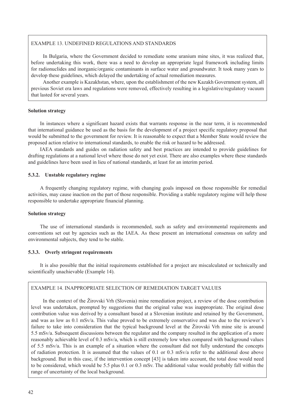### <span id="page-51-0"></span>EXAMPLE 13. UNDEFINED REGULATIONS AND STANDARDS

In Bulgaria, where the Government decided to remediate some uranium mine sites, it was realized that, before undertaking this work, there was a need to develop an appropriate legal framework including limits for radionuclides and inorganic/organic contaminants in surface water and groundwater. It took many years to develop these guidelines, which delayed the undertaking of actual remediation measures.

Another example is Kazakhstan, where, upon the establishment of the new Kazakh Government system, all previous Soviet era laws and regulations were removed, effectively resulting in a legislative/regulatory vacuum that lasted for several years.

### **Solution strategy**

In instances where a significant hazard exists that warrants response in the near term, it is recommended that international guidance be used as the basis for the development of a project specific regulatory proposal that would be submitted to the government for review. It is reasonable to expect that a Member State would review the proposed action relative to international standards, to enable the risk or hazard to be addressed.

IAEA standards and guides on radiation safety and best practices are intended to provide guidelines for drafting regulations at a national level where those do not yet exist. There are also examples where these standards and guidelines have been used in lieu of national standards, at least for an interim period.

### **5.3.2. Unstable regulatory regime**

A frequently changing regulatory regime, with changing goals imposed on those responsible for remedial activities, may cause inaction on the part of those responsible. Providing a stable regulatory regime will help those responsible to undertake appropriate financial planning.

### **Solution strategy**

The use of international standards is recommended, such as safety and environmental requirements and conventions set out by agencies such as the IAEA. As these present an international consensus on safety and environmental subjects, they tend to be stable.

### **5.3.3. Overly stringent requirements**

It is also possible that the initial requirements established for a project are miscalculated or technically and scientifically unachievable (Example 14).

### EXAMPLE 14. INAPPROPRIATE SELECTION OF REMEDIATION TARGET VALUES

In the context of the Žirovski Vrh (Slovenia) mine remediation project, a review of the dose contribution level was undertaken, prompted by suggestions that the original value was inappropriate. The original dose contribution value was derived by a consultant based at a Slovenian institute and retained by the Government, and was as low as 0.1 mSv/a. This value proved to be extremely conservative and was due to the reviewer's failure to take into consideration that the typical background level at the Žirovski Vrh mine site is around 5.5 mSv/a. Subsequent discussions between the regulator and the company resulted in the application of a more reasonably achievable level of 0.3 mSv/a, which is still extremely low when compared with background values of 5.5 mSv/a. This is an example of a situation where the consultant did not fully understand the concepts of radiation protection. It is assumed that the values of 0.1 or 0.3 mSv/a refer to the additional dose above background. But in this case, if the intervention concept [43] is taken into account, the total dose would need to be considered, which would be 5.5 plus 0.1 or 0.3 mSv. The additional value would probably fall within the range of uncertainty of the local background.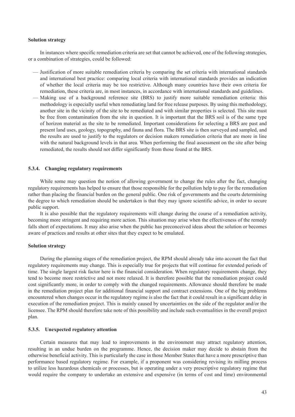### <span id="page-52-0"></span>**Solution strategy**

In instances where specific remediation criteria are set that cannot be achieved, one of the following strategies, or a combination of strategies, could be followed:

- Justification of more suitable remediation criteria by comparing the set criteria with international standards and international best practice: comparing local criteria with international standards provides an indication of whether the local criteria may be too restrictive. Although many countries have their own criteria for remediation, these criteria are, in most instances, in accordance with international standards and guidelines.
- Making use of a background reference site (BRS) to justify more suitable remediation criteria: this methodology is especially useful when remediating land for free release purposes. By using this methodology, another site in the vicinity of the site to be remediated and with similar properties is selected. This site must be free from contamination from the site in question. It is important that the BRS soil is of the same type of horizon material as the site to be remediated. Important considerations for selecting a BRS are past and present land uses, geology, topography, and fauna and flora. The BRS site is then surveyed and sampled, and the results are used to justify to the regulators or decision makers remediation criteria that are more in line with the natural background levels in that area. When performing the final assessment on the site after being remediated, the results should not differ significantly from those found at the BRS.

### **5.3.4. Changing regulatory requirements**

While some may question the notion of allowing government to change the rules after the fact, changing regulatory requirements has helped to ensure that those responsible for the pollution help to pay for the remediation rather than placing the financial burden on the general public. One risk of governments and the courts determining the degree to which remediation should be undertaken is that they may ignore scientific advice, in order to secure public support.

It is also possible that the regulatory requirements will change during the course of a remediation activity, becoming more stringent and requiring more action. This situation may arise when the effectiveness of the remedy falls short of expectations. It may also arise when the public has preconceived ideas about the solution or becomes aware of practices and results at other sites that they expect to be emulated.

### **Solution strategy**

During the planning stages of the remediation project, the RPM should already take into account the fact that regulatory requirements may change. This is especially true for projects that will continue for extended periods of time. The single largest risk factor here is the financial consideration. When regulatory requirements change, they tend to become more restrictive and not more relaxed. It is therefore possible that the remediation project could cost significantly more, in order to comply with the changed requirements. Allowance should therefore be made in the remediation project plan for additional financial support and contract extensions. One of the big problems encountered when changes occur in the regulatory regime is also the fact that it could result in a significant delay in execution of the remediation project. This is mainly caused by uncertainties on the side of the regulator and/or the licensee. The RPM should therefore take note of this possibility and include such eventualities in the overall project plan.

### **5.3.5. Unexpected regulatory attention**

Certain measures that may lead to improvements in the environment may attract regulatory attention, resulting in an undue burden on the programme. Hence, the decision maker may decide to abstain from the otherwise beneficial activity. This is particularly the case in those Member States that have a more prescriptive than performance based regulatory regime. For example, if a proponent was considering revising its milling process to utilize less hazardous chemicals or processes, but is operating under a very prescriptive regulatory regime that would require the company to undertake an extensive and expensive (in terms of cost and time) environmental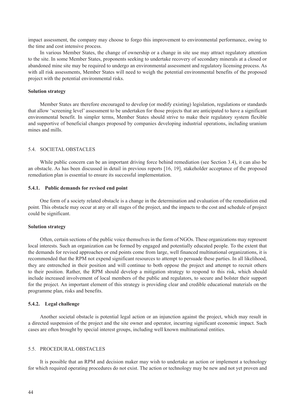<span id="page-53-0"></span>impact assessment, the company may choose to forgo this improvement to environmental performance, owing to the time and cost intensive process.

In various Member States, the change of ownership or a change in site use may attract regulatory attention to the site. In some Member States, proponents seeking to undertake recovery of secondary minerals at a closed or abandoned mine site may be required to undergo an environmental assessment and regulatory licensing process. As with all risk assessments, Member States will need to weigh the potential environmental benefits of the proposed project with the potential environmental risks.

### **Solution strategy**

Member States are therefore encouraged to develop (or modify existing) legislation, regulations or standards that allow 'screening level' assessment to be undertaken for those projects that are anticipated to have a significant environmental benefit. In simpler terms, Member States should strive to make their regulatory system flexible and supportive of beneficial changes proposed by companies developing industrial operations, including uranium mines and mills.

### 5.4. SOCIETAL OBSTACLES

While public concern can be an important driving force behind remediation (see Section 3.4), it can also be an obstacle. As has been discussed in detail in previous reports [16, 19], stakeholder acceptance of the proposed remediation plan is essential to ensure its successful implementation.

### **5.4.1. Public demands for revised end point**

One form of a society related obstacle is a change in the determination and evaluation of the remediation end point. This obstacle may occur at any or all stages of the project, and the impacts to the cost and schedule of project could be significant.

### **Solution strategy**

Often, certain sections of the public voice themselves in the form of NGOs. These organizations may represent local interests. Such an organization can be formed by engaged and potentially educated people. To the extent that the demands for revised approaches or end points come from large, well financed multinational organizations, it is recommended that the RPM not expend significant resources to attempt to persuade these parties. In all likelihood, they are entrenched in their position and will continue to both oppose the project and attempt to recruit others to their position. Rather, the RPM should develop a mitigation strategy to respond to this risk, which should include increased involvement of local members of the public and regulators, to secure and bolster their support for the project. An important element of this strategy is providing clear and credible educational materials on the programme plan, risks and benefits.

### **5.4.2. Legal challenge**

Another societal obstacle is potential legal action or an injunction against the project, which may result in a directed suspension of the project and the site owner and operator, incurring significant economic impact. Such cases are often brought by special interest groups, including well known multinational entities.

### 5.5. PROCEDURAL OBSTACLES

It is possible that an RPM and decision maker may wish to undertake an action or implement a technology for which required operating procedures do not exist. The action or technology may be new and not yet proven and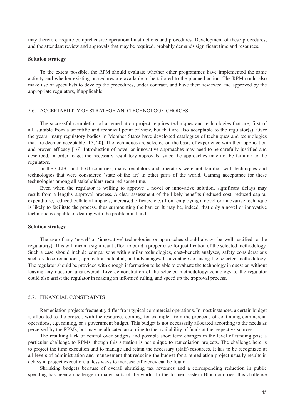<span id="page-54-0"></span>may therefore require comprehensive operational instructions and procedures. Development of these procedures, and the attendant review and approvals that may be required, probably demands significant time and resources.

### **Solution strategy**

To the extent possible, the RPM should evaluate whether other programmes have implemented the same activity and whether existing procedures are available to be tailored to the planned action. The RPM could also make use of specialists to develop the procedures, under contract, and have them reviewed and approved by the appropriate regulators, if applicable.

### 5.6. ACCEPTABILITY OF STRATEGY AND TECHNOLOGY CHOICES

The successful completion of a remediation project requires techniques and technologies that are, first of all, suitable from a scientific and technical point of view, but that are also acceptable to the regulator(s). Over the years, many regulatory bodies in Member States have developed catalogues of techniques and technologies that are deemed acceptable [17, 20]. The techniques are selected on the basis of experience with their application and proven efficacy [16]. Introduction of novel or innovative approaches may need to be carefully justified and described, in order to get the necessary regulatory approvals, since the approaches may not be familiar to the regulators.

In the CEEC and FSU countries, many regulators and operators were not familiar with techniques and technologies that were considered 'state of the art' in other parts of the world. Gaining acceptance for these technologies among all stakeholders required some time.

Even when the regulator is willing to approve a novel or innovative solution, significant delays may result from a lengthy approval process. A clear assessment of the likely benefits (reduced cost, reduced capital expenditure, reduced collateral impacts, increased efficacy, etc.) from employing a novel or innovative technique is likely to facilitate the process, thus surmounting the barrier. It may be, indeed, that only a novel or innovative technique is capable of dealing with the problem in hand.

### **Solution strategy**

The use of any 'novel' or 'innovative' technologies or approaches should always be well justified to the regulator(s). This will mean a significant effort to build a proper case for justification of the selected methodology. Such a case should include comparisons with similar technologies, cost–benefit analyses, safety considerations such as dose reductions, application potential, and advantages/disadvantages of using the selected methodology. The regulator should be provided with enough information to be able to evaluate the technology in question without leaving any question unanswered. Live demonstration of the selected methodology/technology to the regulator could also assist the regulator in making an informed ruling, and speed up the approval process.

### 5.7. FINANCIAL CONSTRAINTS

Remediation projects frequently differ from typical commercial operations. In most instances, a certain budget is allocated to the project, with the resources coming, for example, from the proceeds of continuing commercial operations, e.g. mining, or a government budget. This budget is not necessarily allocated according to the needs as perceived by the RPMs, but may be allocated according to the availability of funds at the respective sources.

The resulting lack of control over budgets and possible short term changes in the level of funding pose a particular challenge to RPMs, though this situation is not unique to remediation projects. The challenge here is to project the time execution and to manage and retain the necessary (staff) resources. It has to be recognized at all levels of administration and management that reducing the budget for a remediation project usually results in delays in project execution, unless ways to increase efficiency can be found.

Shrinking budgets because of overall shrinking tax revenues and a corresponding reduction in public spending has been a challenge in many parts of the world. In the former Eastern Bloc countries, this challenge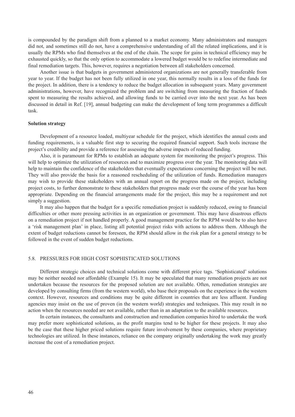<span id="page-55-0"></span>is compounded by the paradigm shift from a planned to a market economy. Many administrators and managers did not, and sometimes still do not, have a comprehensive understanding of all the related implications, and it is usually the RPMs who find themselves at the end of the chain. The scope for gains in technical efficiency may be exhausted quickly, so that the only option to accommodate a lowered budget would be to redefine intermediate and final remediation targets. This, however, requires a negotiation between all stakeholders concerned.

Another issue is that budgets in government administered organizations are not generally transferable from year to year. If the budget has not been fully utilized in one year, this normally results in a loss of the funds for the project. In addition, there is a tendency to reduce the budget allocation in subsequent years. Many government administrations, however, have recognized the problem and are switching from measuring the fraction of funds spent to measuring the results achieved, and allowing funds to be carried over into the next year. As has been discussed in detail in Ref. [19], annual budgeting can make the development of long term programmes a difficult task.

### **Solution strategy**

Development of a resource loaded, multiyear schedule for the project, which identifies the annual costs and funding requirements, is a valuable first step to securing the required financial support. Such tools increase the project's credibility and provide a reference for assessing the adverse impacts of reduced funding.

Also, it is paramount for RPMs to establish an adequate system for monitoring the project's progress. This will help to optimize the utilization of resources and to maximize progress over the year. The monitoring data will help to maintain the confidence of the stakeholders that eventually expectations concerning the project will be met. They will also provide the basis for a reasoned rescheduling of the utilization of funds. Remediation managers may wish to provide these stakeholders with an annual report on the progress made on the project, including project costs, to further demonstrate to these stakeholders that progress made over the course of the year has been appropriate. Depending on the financial arrangements made for the project, this may be a requirement and not simply a suggestion.

It may also happen that the budget for a specific remediation project is suddenly reduced, owing to financial difficulties or other more pressing activities in an organization or government. This may have disastrous effects on a remediation project if not handled properly. A good management practice for the RPM would be to also have a 'risk management plan' in place, listing all potential project risks with actions to address them. Although the extent of budget reductions cannot be foreseen, the RPM should allow in the risk plan for a general strategy to be followed in the event of sudden budget reductions.

### 5.8. PRESSURES FOR HIGH COST SOPHISTICATED SOLUTIONS

Different strategic choices and technical solutions come with different price tags. 'Sophisticated' solutions may be neither needed nor affordable (Example 15). It may be speculated that many remediation projects are not undertaken because the resources for the proposed solution are not available. Often, remediation strategies are developed by consulting firms (from the western world), who base their proposals on the experience in the western context. However, resources and conditions may be quite different in countries that are less affluent. Funding agencies may insist on the use of proven (in the western world) strategies and techniques. This may result in no action when the resources needed are not available, rather than in an adaptation to the available resources.

In certain instances, the consultants and construction and remediation companies hired to undertake the work may prefer more sophisticated solutions, as the profit margins tend to be higher for these projects. It may also be the case that these higher priced solutions require future involvement by these companies, where proprietary technologies are utilized. In these instances, reliance on the company originally undertaking the work may greatly increase the cost of a remediation project.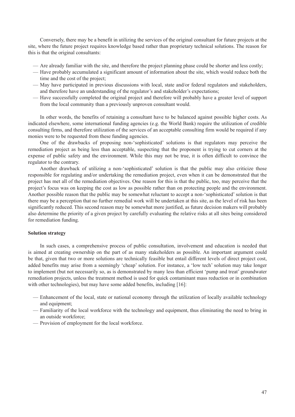Conversely, there may be a benefit in utilizing the services of the original consultant for future projects at the site, where the future project requires knowledge based rather than proprietary technical solutions. The reason for this is that the original consultants:

- Are already familiar with the site, and therefore the project planning phase could be shorter and less costly;
- Have probably accumulated a significant amount of information about the site, which would reduce both the time and the cost of the project;
- May have participated in previous discussions with local, state and/or federal regulators and stakeholders, and therefore have an understanding of the regulator's and stakeholder's expectations;
- Have successfully completed the original project and therefore will probably have a greater level of support from the local community than a previously unproven consultant would.

In other words, the benefits of retaining a consultant have to be balanced against possible higher costs. As indicated elsewhere, some international funding agencies (e.g. the World Bank) require the utilization of credible consulting firms, and therefore utilization of the services of an acceptable consulting firm would be required if any monies were to be requested from these funding agencies.

One of the drawbacks of proposing non-'sophisticated' solutions is that regulators may perceive the remediation project as being less than acceptable, suspecting that the proponent is trying to cut corners at the expense of public safety and the environment. While this may not be true, it is often difficult to convince the regulator to the contrary.

Another drawback of utilizing a non-'sophisticated' solution is that the public may also criticize those responsible for regulating and/or undertaking the remediation project, even when it can be demonstrated that the project has met all of the remediation objectives. One reason for this is that the public, too, may perceive that the project's focus was on keeping the cost as low as possible rather than on protecting people and the environment. Another possible reason that the public may be somewhat reluctant to accept a non-'sophisticated' solution is that there may be a perception that no further remedial work will be undertaken at this site, as the level of risk has been significantly reduced. This second reason may be somewhat more justified, as future decision makers will probably also determine the priority of a given project by carefully evaluating the relative risks at all sites being considered for remediation funding.

### **Solution strategy**

In such cases, a comprehensive process of public consultation, involvement and education is needed that is aimed at creating ownership on the part of as many stakeholders as possible. An important argument could be that, given that two or more solutions are technically feasible but entail different levels of direct project cost, added benefits may arise from a seemingly 'cheap' solution. For instance, a 'low tech' solution may take longer to implement (but not necessarily so, as is demonstrated by many less than efficient 'pump and treat' groundwater remediation projects, unless the treatment method is used for quick contaminant mass reduction or in combination with other technologies), but may have some added benefits, including [16]:

- Enhancement of the local, state or national economy through the utilization of locally available technology and equipment;
- Familiarity of the local workforce with the technology and equipment, thus eliminating the need to bring in an outside workforce;
- Provision of employment for the local workforce.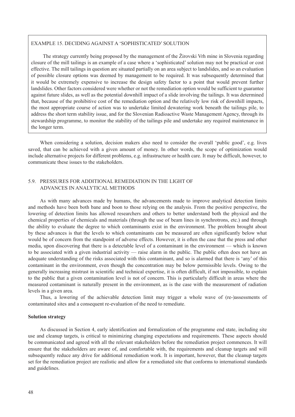### <span id="page-57-0"></span>EXAMPLE 15. DECIDING AGAINST A 'SOPHISTICATED' SOLUTION

The strategy currently being proposed by the management of the Žirovski Vrh mine in Slovenia regarding closure of the mill tailings is an example of a case where a 'sophisticated' solution may not be practical or cost effective. The mill tailings in question are situated partially on an area subject to landslides, and so an evaluation of possible closure options was deemed by management to be required. It was subsequently determined that it would be extremely expensive to increase the design safety factor to a point that would prevent further landslides. Other factors considered were whether or not the remediation option would be sufficient to guarantee against future slides, as well as the potential downhill impact of a slide involving the tailings. It was determined that, because of the prohibitive cost of the remediation option and the relatively low risk of downhill impacts, the most appropriate course of action was to undertake limited dewatering work beneath the tailings pile, to address the short term stability issue, and for the Slovenian Radioactive Waste Management Agency, through its stewardship programme, to monitor the stability of the tailings pile and undertake any required maintenance in the longer term.

When considering a solution, decision makers also need to consider the overall 'public good', e.g. lives saved, that can be achieved with a given amount of money. In other words, the scope of optimization would include alternative projects for different problems, e.g. infrastructure or health care. It may be difficult, however, to communicate these issues to the stakeholders.

### 5.9. PRESSURES FOR ADDITIONAL REMEDIATION IN THE LIGHT OF ADVANCES IN ANALYTICAL METHODS

As with many advances made by humans, the advancements made to improve analytical detection limits and methods have been both bane and boon to those relying on the analysis. From the positive perspective, the lowering of detection limits has allowed researchers and others to better understand both the physical and the chemical properties of chemicals and materials (through the use of beam lines in synchrotrons, etc.) and through the ability to evaluate the degree to which contaminants exist in the environment. The problem brought about by these advances is that the levels to which contaminants can be measured are often significantly below what would be of concern from the standpoint of adverse effects. However, it is often the case that the press and other media, upon discovering that there is a detectable level of a contaminant in the environment — which is known to be associated with a given industrial activity — raise alarm in the public. The public often does not have an adequate understanding of the risks associated with this contaminant, and so is alarmed that there is 'any' of this contaminant in the environment, even though the concentration may be below permissible levels. Owing to the generally increasing mistrust in scientific and technical expertise, it is often difficult, if not impossible, to explain to the public that a given contamination level is not of concern. This is particularly difficult in areas where the measured contaminant is naturally present in the environment, as is the case with the measurement of radiation levels in a given area.

Thus, a lowering of the achievable detection limit may trigger a whole wave of (re-)assessments of contaminated sites and a consequent re-evaluation of the need to remediate.

### **Solution strategy**

As discussed in Section 4, early identification and formalization of the programme end state, including site use and cleanup targets, is critical to minimizing changing expectations and requirements. These aspects should be communicated and agreed with all the relevant stakeholders before the remediation project commences. It will ensure that the stakeholders are aware of, and comfortable with, the requirements and cleanup targets and will subsequently reduce any drive for additional remediation work. It is important, however, that the cleanup targets set for the remediation project are realistic and allow for a remediated site that conforms to international standards and guidelines.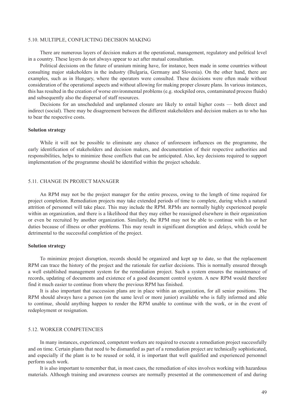### <span id="page-58-0"></span>5.10. MULTIPLE, CONFLICTING DECISION MAKING

There are numerous layers of decision makers at the operational, management, regulatory and political level in a country. These layers do not always appear to act after mutual consultation.

Political decisions on the future of uranium mining have, for instance, been made in some countries without consulting major stakeholders in the industry (Bulgaria, Germany and Slovenia). On the other hand, there are examples, such as in Hungary, where the operators were consulted. These decisions were often made without consideration of the operational aspects and without allowing for making proper closure plans. In various instances, this has resulted in the creation of worse environmental problems (e.g. stockpiled ores, contaminated process fluids) and subsequently also the dispersal of staff resources.

Decisions for an unscheduled and unplanned closure are likely to entail higher costs — both direct and indirect (social). There may be disagreement between the different stakeholders and decision makers as to who has to bear the respective costs.

### **Solution strategy**

While it will not be possible to eliminate any chance of unforeseen influences on the programme, the early identification of stakeholders and decision makers, and documentation of their respective authorities and responsibilities, helps to minimize those conflicts that can be anticipated. Also, key decisions required to support implementation of the programme should be identified within the project schedule.

### 5.11. CHANGE IN PROJECT MANAGER

An RPM may not be the project manager for the entire process, owing to the length of time required for project completion. Remediation projects may take extended periods of time to complete, during which a natural attrition of personnel will take place. This may include the RPM. RPMs are normally highly experienced people within an organization, and there is a likelihood that they may either be reassigned elsewhere in their organization or even be recruited by another organization. Similarly, the RPM may not be able to continue with his or her duties because of illness or other problems. This may result in significant disruption and delays, which could be detrimental to the successful completion of the project.

### **Solution strategy**

To minimize project disruption, records should be organized and kept up to date, so that the replacement RPM can trace the history of the project and the rationale for earlier decisions. This is normally ensured through a well established management system for the remediation project. Such a system ensures the maintenance of records, updating of documents and existence of a good document control system. A new RPM would therefore find it much easier to continue from where the previous RPM has finished.

It is also important that succession plans are in place within an organization, for all senior positions. The RPM should always have a person (on the same level or more junior) available who is fully informed and able to continue, should anything happen to render the RPM unable to continue with the work, or in the event of redeployment or resignation.

### 5.12. WORKER COMPETENCIES

In many instances, experienced, competent workers are required to execute a remediation project successfully and on time. Certain plants that need to be dismantled as part of a remediation project are technically sophisticated, and especially if the plant is to be reused or sold, it is important that well qualified and experienced personnel perform such work.

It is also important to remember that, in most cases, the remediation of sites involves working with hazardous materials. Although training and awareness courses are normally presented at the commencement of and during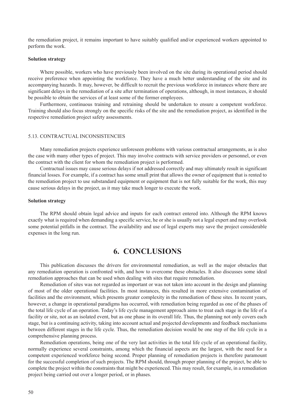<span id="page-59-0"></span>the remediation project, it remains important to have suitably qualified and/or experienced workers appointed to perform the work.

### **Solution strategy**

Where possible, workers who have previously been involved on the site during its operational period should receive preference when appointing the workforce. They have a much better understanding of the site and its accompanying hazards. It may, however, be difficult to recruit the previous workforce in instances where there are significant delays in the remediation of a site after termination of operations, although, in most instances, it should be possible to obtain the services of at least some of the former employees.

Furthermore, continuous training and retraining should be undertaken to ensure a competent workforce. Training should also focus strongly on the specific risks of the site and the remediation project, as identified in the respective remediation project safety assessments.

### 5.13. CONTRACTUAL INCONSISTENCIES

Many remediation projects experience unforeseen problems with various contractual arrangements, as is also the case with many other types of project. This may involve contracts with service providers or personnel, or even the contract with the client for whom the remediation project is performed.

Contractual issues may cause serious delays if not addressed correctly and may ultimately result in significant financial losses. For example, if a contract has some small print that allows the owner of equipment that is rented to the remediation project to use substandard equipment or equipment that is not fully suitable for the work, this may cause serious delays in the project, as it may take much longer to execute the work.

### **Solution strategy**

The RPM should obtain legal advice and inputs for each contract entered into. Although the RPM knows exactly what is required when demanding a specific service, he or she is usually not a legal expert and may overlook some potential pitfalls in the contract. The availability and use of legal experts may save the project considerable expenses in the long run.

### **6. Conclusions**

This publication discusses the drivers for environmental remediation, as well as the major obstacles that any remediation operation is confronted with, and how to overcome these obstacles. It also discusses some ideal remediation approaches that can be used when dealing with sites that require remediation.

Remediation of sites was not regarded as important or was not taken into account in the design and planning of most of the older operational facilities. In most instances, this resulted in more extensive contamination of facilities and the environment, which presents greater complexity in the remediation of these sites. In recent years, however, a change in operational paradigms has occurred, with remediation being regarded as one of the phases of the total life cycle of an operation. Today's life cycle management approach aims to treat each stage in the life of a facility or site, not as an isolated event, but as one phase in its overall life. Thus, the planning not only covers each stage, but is a continuing activity, taking into account actual and projected developments and feedback mechanisms between different stages in the life cycle. Thus, the remediation decision would be one step of the life cycle in a comprehensive planning process.

Remediation operations, being one of the very last activities in the total life cycle of an operational facility, normally experience several constraints, among which the financial aspects are the largest, with the need for a competent experienced workforce being second. Proper planning of remediation projects is therefore paramount for the successful completion of such projects. The RPM should, through proper planning of the project, be able to complete the project within the constraints that might be experienced. This may result, for example, in a remediation project being carried out over a longer period, or in phases.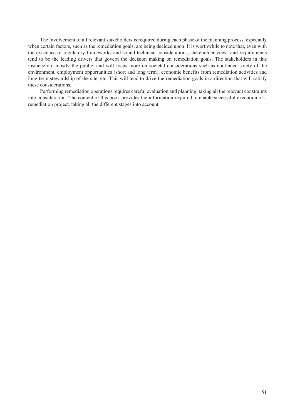The involvement of all relevant stakeholders is required during each phase of the planning process, especially when certain factors, such as the remediation goals, are being decided upon. It is worthwhile to note that, even with the existence of regulatory frameworks and sound technical considerations, stakeholder views and requirements tend to be the leading drivers that govern the decision making on remediation goals. The stakeholders in this instance are mostly the public, and will focus more on societal considerations such as continued safety of the environment, employment opportunities (short and long term), economic benefits from remediation activities and long term stewardship of the site, etc. This will tend to drive the remediation goals in a direction that will satisfy these considerations.

Performing remediation operations requires careful evaluation and planning, taking all the relevant constraints into consideration. The content of this book provides the information required to enable successful execution of a remediation project, taking all the different stages into account.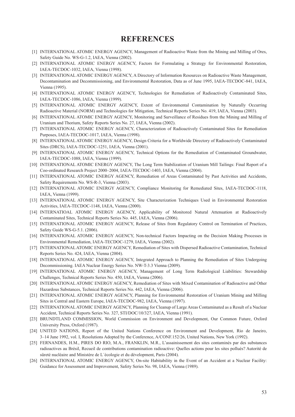### **REFERENCES**

- <span id="page-62-0"></span>[1] INTERNATIONAL ATOMIC ENERGY AGENCY, Management of Radioactive Waste from the Mining and Milling of Ores, Safety Guide No. WS-G-1.2, IAEA, Vienna (2002).
- [2] INTERNATIONAL ATOMIC ENERGY AGENCY, Factors for Formulating a Strategy for Environmental Restoration, IAEA-TECDOC-1032, IAEA, Vienna (1998).
- [3] INTERNATIONAL ATOMIC ENERGY AGENCY, A Directory of Information Resources on Radioactive Waste Management, Decontamination and Decommissioning, and Environmental Restoration, Data as of June 1995, IAEA-TECDOC-841, IAEA, Vienna (1995).
- [4] INTERNATIONAL ATOMIC ENERGY AGENCY, Technologies for Remediation of Radioactively Contaminated Sites, IAEA-TECDOC-1086, IAEA, Vienna (1999).
- [5] INTERNATIONAL ATOMIC ENERGY AGENCY, Extent of Environmental Contamination by Naturally Occurring Radioactive Material (NORM) and Technologies for Mitigation, Technical Reports Series No. 419, IAEA, Vienna (2003).
- [6] INTERNATIONAL ATOMIC ENERGY AGENCY, Monitoring and Surveillance of Residues from the Mining and Milling of Uranium and Thorium, Safety Reports Series No. 27, IAEA, Vienna (2002).
- [7] INTERNATIONAL ATOMIC ENERGY AGENCY, Characterization of Radioactively Contaminated Sites for Remediation Purposes, IAEA-TECDOC-1017, IAEA, Vienna (1998).
- [8] INTERNATIONAL ATOMIC ENERGY AGENCY, Design Criteria for a Worldwide Directory of Radioactively Contaminated Sites (DRCS), IAEA-TECDOC-1251, IAEA, Vienna (2001).
- [9] INTERNATIONAL ATOMIC ENERGY AGENCY, Technical Options for the Remediation of Contaminated Groundwater, IAEA-TECDOC-1088, IAEA, Vienna (1999).
- [10] INTERNATIONAL ATOMIC ENERGY AGENCY, The Long Term Stabilization of Uranium Mill Tailings: Final Report of a Coo-ordinated Research Project 2000–2004, IAEA-TECDOC-1403, IAEA, Vienna (2004).
- [11] INTERNATIONAL ATOMIC ENERGY AGENCY, Remediation of Areas Contaminated by Past Activities and Accidents, Safety Requirements No. WS-R-3, Vienna (2003).
- [12] INTERNATIONAL ATOMIC ENERGY AGENCY, Compliance Monitoring for Remediated Sites, IAEA-TECDOC-1118, IAEA, Vienna (1999).
- [13] INTERNATIONAL ATOMIC ENERGY AGENCY, Site Characterization Techniques Used in Environmental Restoration Activities, IAEA-TECDOC-1148, IAEA, Vienna (2000).
- [14] INTERNATIOAL ATOMIC ENERGY AGENCY, Applicability of Monitored Natural Attenuation at Radioactively Contaminated Sites, Technical Reports Series No. 445, IAEA, Vienna (2006).
- [15] INTERNATIONAL ATOMIC ENERGY AGENCY, Release of Sites from Regulatory Control on Termination of Practices, Safety Guide WS-G-5.1. (2006).
- [16] INTERNATIONAL ATOMIC ENERGY AGENCY, Non-technical Factors Impacting on the Decision Making Processes in Environmental Remediation, IAEA-TECDOC-1279, IAEA, Vienna (2002).
- [17] INTERNATIONAL ATOMIC ENERGY AGENCY, Remediation of Sites with Dispersed Radioactive Contamination, Technical Reports Series No. 424, IAEA, Vienna (2004).
- [18] INTERNATIONAL ATOMIC ENERGY AGENCY, Integrated Approach to Planning the Remediation of Sites Undergoing Decommissioning. IAEA Nuclear Energy Series No. NW-T-3.3 Vienna (2009).
- [19] INTERNATIONAL ATOMIC ENERGY AGENCY, Management of Long Term Radiological Liabilities: Stewardship Challenges, Technical Reports Series No. 450, IAEA, Vienna (2006).
- [20] INTERNATIONAL ATOMIC ENERGY AGENCY, Remediation of Sites with Mixed Contamination of Radioactive and Other Hazardous Substances, Technical Reports Series No. 442, IAEA, Vienna (2006).
- [21] INTERNATIONAL ATOMIC ENERGY AGENCY, Planning for Environmental Restoration of Uranium Mining and Milling Sites in Central and Eastern Europe, IAEA-TECDOC-982, IAEA, Vienna (1997).
- [22] INTERNATIONAL ATOMIC ENERGY AGENCY, Planning for Cleanup of Large Areas Contaminated as a Result of a Nuclear Accident, Technical Reports Series No. 327, STI/DOC/10/327, IAEA, Vienna (1991).
- [23] BRUNDTLAND COMMISSION, World Commission on Environment and Development, Our Common Future, Oxford University Press, Oxford (1987).
- [24] UNITED NATIONS, Report of the United Nations Conference on Environment and Development, Rio de Janeiro, 3–14 June 1992, vol. I, Resolutions Adopted by the Conference, A/CONF.152/26, United Nations, New York (1992).
- [25] FERNANDES, H.M., PIRES DO RIO, M.A., FRANKLIN, M.R., L'assainissement des sites contaminés par des substances radioactives au Brésil, Recueil de contributions contamination radioactive: Quelles actions pour les sites pollués? Autorité de sûreté nucléaire and Ministère de L´écologie et du dévelopment, Paris (2004).
- [26] INTERNATIONAL ATOMIC ENERGY AGENCY, On-site Habitability in the Event of an Accident at a Nuclear Facility: Guidance for Assessment and Improvement, Safety Series No. 98, IAEA, Vienna (1989).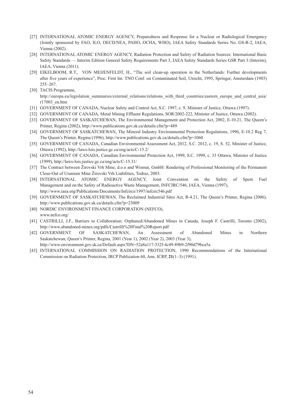- [27] INTERNATIONAL ATOMIC ENERGY AGENCY, Preparedness and Response for a Nuclear or Radiological Emergency (Jointly sponsored by FAO, ILO, OECD/NEA, PAHO, OCHA, WHO), IAEA Safety Standards Series No. GS-R-2, IAEA, Vienna (2002).
- [28] INTERNATIONAL ATOMIC ENERGY AGENCY, Radiation Protection and Safety of Radiation Sources: International Basic Safety Standards — Interim Edition General Safety Requirements Part 3, IAEA Safety Standards Series GSR Part 3 (Interim), IAEA, Vienna (2011).
- [29] EIKELBOOM, R.T., VON MEIJENFELDT, H., "The soil clean-up operation in the Netherlands: Further developments after five years of experience", Proc. First Int. TNO Conf. on Contaminated Soil, Utrecht, 1995, Springer, Amsterdam (1985) 255–267.
- [30] TACIS Programme,

http://europa.eu/legislation\_summaries/external\_relations/relations\_with\_third\_countries/eastern\_europe\_and\_central\_asia/ r17003\_en.htm

- [31] GOVERNMENT OF CANADA, Nuclear Safety and Control Act, S.C. 1997, c. 9, Minister of Justice, Ottawa (1997).
- [32] GOVERNMENT OF CANADA, Metal Mining Effluent Regulations, SOR/2002-222, Minister of Justice, Ottawa (2002).
- [33] GOVERNMENT OF SASKATCHEWAN, The Environmental Management and Protection Act, 2002, E-10.21, The Queen's Printer, Regina (2002), http://www.publications.gov.sk.ca/details.cfm?p=489
- [34] GOVERNMENT OF SASKATCHEWAN, The Mineral Industry Environmental Protection Regulations, 1996, E-10.2 Reg 7, The Queen's Printer, Regina (1996), http://www.publications.gov.sk.ca/details.cfm?p=1060
- [35] GOVERNMENT OF CANADA, Canadian Environmental Assessment Act, 2012, S.C. 2012, c. 19, S. 52, Minister of Justice, Ottawa (1992), http://laws-lois.justice.gc.ca/eng/acts/C-15.2/
- [36] GOVERNMENT OF CANADA, Canadian Environmental Protection Act, 1999, S.C. 1999, c. 33 Ottawa, Minister of Justice (1999), http://laws-lois.justice.gc.ca/eng/acts/C-15.31/
- [37] The Contract between Žirovski Vrh Mine, d.o.o and Wismut, GmbH: Rendering of Professional Monitoring of the Permanent Close-Out of Uranium Mine Žirovski Vrh Liabilities, Todraz, 2003.
- [38] INTERNATIONAL ATOMIC ENERGY AGENCY, Joint Convention on the Safety of Spent Fuel Management and on the Safety of Radioactive Waste Management, INFCIRC/546, IAEA, Vienna (1997), http://www.iaea.org/Publications/Documents/Infcircs/1997/infcirc546.pdf
- [39] GOVERNMENT OF SASKATCHEWAN, The Reclaimed Industrial Sites Act, R-4.21, The Queen's Printer, Regina (2006), http://www.publications.gov.sk.ca/details.cfm?p=23009
- [40] NORDIC ENVIRONMENT FINANCE CORPORATION (NEFCO), www.nefco.org/
- [41] CASTRILLI, J.F., Barriers to Collaboration: Orphaned/Abandoned Mines in Canada, Joseph F. Castrilli, Toronto (2002), http://www.abandoned-mines.org/pdfs/Castrilli%20Final%20Report.pdf
- [42] GOVERNMENT OF SASKATCHEWAN, An Assessment of Abandoned Mines in Northern Saskatchewan, Queen's Printer, Regina, 2001 (Year 1), 2002 (Year 2), 2003 (Year 3),
- http://www.environment.gov.sk.ca/Default.aspx?DN=52a8a117-332f-4c49-89b9-2f90d79bca5a
- [43] INTERNATIONAL COMMISSION ON RADIATION PROTECTION, 1990 Recommendations of the International Commission on Radiation Protection, IRCP Publication 60, Ann. ICRP, **21**(1–3) (1991).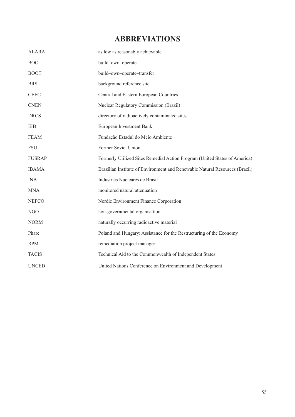# **Abbreviations**

<span id="page-64-0"></span>

| <b>ALARA</b>  | as low as reasonably achievable                                             |
|---------------|-----------------------------------------------------------------------------|
| <b>BOO</b>    | build-own-operate                                                           |
| <b>BOOT</b>   | build-own-operate-transfer                                                  |
| <b>BRS</b>    | background reference site                                                   |
| <b>CEEC</b>   | Central and Eastern European Countries                                      |
| <b>CNEN</b>   | Nuclear Regulatory Commission (Brazil)                                      |
| <b>DRCS</b>   | directory of radioactively contaminated sites                               |
| EIB           | European Investment Bank                                                    |
| <b>FEAM</b>   | Fundação Estadul do Meio Ambiente                                           |
| <b>FSU</b>    | Former Soviet Union                                                         |
| <b>FUSRAP</b> | Formerly Utilized Sites Remedial Action Program (United States of America)  |
| <b>IBAMA</b>  | Brazilian Institute of Environment and Renewable Natural Resources (Brazil) |
| <b>INB</b>    | Industrias Nucleares de Brasil                                              |
| <b>MNA</b>    | monitored natural attenuation                                               |
| <b>NEFCO</b>  | Nordic Environment Finance Corporation                                      |
| NGO           | non-governmental organization                                               |
| <b>NORM</b>   | naturally occurring radioactive material                                    |
| Phare         | Poland and Hungary: Assistance for the Restructuring of the Economy         |
| <b>RPM</b>    | remediation project manager                                                 |
| <b>TACIS</b>  | Technical Aid to the Commonwealth of Independent States                     |
| <b>UNCED</b>  | United Nations Conference on Environment and Development                    |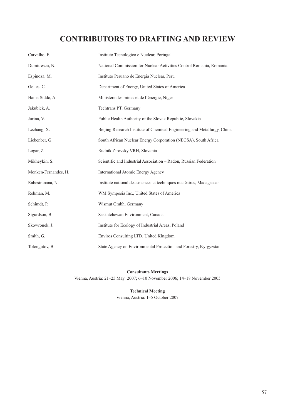# **ConTRIBUTORS TO DRAFTING AND REVIEW**

<span id="page-66-0"></span>

| Carvalho, F.         | Instituto Tecnologico e Nuclear, Portugal                                |
|----------------------|--------------------------------------------------------------------------|
| Dumitrescu, N.       | National Commission for Nuclear Activities Control Romania, Romania      |
| Espinoza, M.         | Instituto Peruano de Energia Nuclear, Peru                               |
| Gelles, C.           | Department of Energy, United States of America                           |
| Hama Siddo, A.       | Ministère des mines et de l'énergie, Niger                               |
| Jakubick, A.         | Techtrans PT, Germany                                                    |
| Jurina, V.           | Public Health Authority of the Slovak Republic, Slovakia                 |
| Lechang, X.          | Beijing Research Institute of Chemical Engineering and Metallurgy, China |
| Liebenber, G.        | South African Nuclear Energy Corporation (NECSA), South Africa           |
| Logar, Z.            | Rudnik Zirovsky VRH, Slovenia                                            |
| Mikheykin, S.        | Scientific and Industrial Association - Radon, Russian Federation        |
| Monken-Fernandes, H. | International Atomic Energy Agency                                       |
| Rabesiranana, N.     | Institute national des sciences et techniques nucléaires, Madagascar     |
| Rehman, M.           | WM Symposia Inc., United States of America                               |
| Schimdt, P.          | Wismut Gmbh, Germany                                                     |
| Sigurdson, B.        | Saskatchewan Environment, Canada                                         |
| Skowronek, J.        | Institute for Ecology of Industrial Areas, Poland                        |
| Smith, G.            | Enviros Consulting LTD, United Kingdom                                   |
| Tolongutov, B.       | State Agency on Environmental Protection and Forestry, Kyrgyzstan        |

### **Consultants Meetings**

Vienna, Austria: 21–25 May 2007; 6–10 November 2006; 14–18 November 2005

### **Technical Meeting**

Vienna, Austria: 1–5 October 2007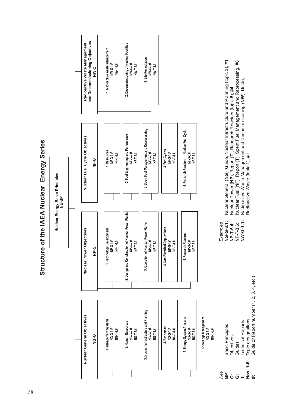

**Structure of the IAEA Nuclear Energy Series**  Structure of the IAEA Nuclear Energy Series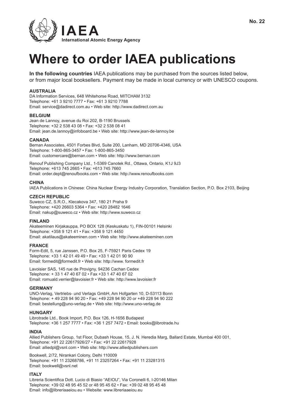

# **Where to order IAEA publications**

**In the following countries** IAEA publications may be purchased from the sources listed below, or from major local booksellers. Payment may be made in local currency or with UNESCO coupons.

### **AUSTRALIA**

DA Information Services, 648 Whitehorse Road, MITCHAM 3132 Telephone: +61 3 9210 7777 • Fax: +61 3 9210 7788 Email: service@dadirect.com.au • Web site: http://www.dadirect.com.au

### **BELGIUM**

Jean de Lannoy, avenue du Roi 202, B-1190 Brussels Telephone: +32 2 538 43 08 • Fax: +32 2 538 08 41 Email: jean.de.lannoy@infoboard.be • Web site: http://www.jean-de-lannoy.be

### **CANADA**

Bernan Associates, 4501 Forbes Blvd, Suite 200, Lanham, MD 20706-4346, USA Telephone: 1-800-865-3457 • Fax: 1-800-865-3450 Email: customercare@bernan.com • Web site: http://www.bernan.com

Renouf Publishing Company Ltd., 1-5369 Canotek Rd., Ottawa, Ontario, K1J 9J3 Telephone: +613 745 2665 • Fax: +613 745 7660 Email: order.dept@renoufbooks.com • Web site: http://www.renoufbooks.com

### **CHINA**

IAEA Publications in Chinese: China Nuclear Energy Industry Corporation, Translation Section, P.O. Box 2103, Beijing

### **CZECH REPUBLIC**

Suweco CZ, S.R.O., Klecakova 347, 180 21 Praha 9 Telephone: +420 26603 5364 • Fax: +420 28482 1646 Email: nakup@suweco.cz • Web site: http://www.suweco.cz

### **FINLAND**

Akateeminen Kirjakauppa, PO BOX 128 (Keskuskatu 1), FIN-00101 Helsinki Telephone: +358 9 121 41 • Fax: +358 9 121 4450 Email: akatilaus@akateeminen.com • Web site: http://www.akateeminen.com

### **FRANCE**

Form-Edit, 5, rue Janssen, P.O. Box 25, F-75921 Paris Cedex 19 Telephone: +33 1 42 01 49 49 • Fax: +33 1 42 01 90 90 Email: formedit@formedit.fr • Web site: http://www. formedit.fr

Lavoisier SAS, 145 rue de Provigny, 94236 Cachan Cedex Telephone: + 33 1 47 40 67 02 • Fax +33 1 47 40 67 02 Email: romuald.verrier@lavoisier.fr • Web site: http://www.lavoisier.fr

### **GERMANY**

UNO-Verlag, Vertriebs- und Verlags GmbH, Am Hofgarten 10, D-53113 Bonn Telephone: + 49 228 94 90 20 • Fax: +49 228 94 90 20 or +49 228 94 90 222 Email: bestellung@uno-verlag.de • Web site: http://www.uno-verlag.de

### **HUNGARY**

Librotrade Ltd., Book Import, P.O. Box 126, H-1656 Budapest Telephone: +36 1 257 7777 • Fax: +36 1 257 7472 • Email: books@librotrade.hu

### **INDIA**

Allied Publishers Group, 1st Floor, Dubash House, 15, J. N. Heredia Marg, Ballard Estate, Mumbai 400 001, Telephone: +91 22 22617926/27 • Fax: +91 22 22617928 Email: alliedpl@vsnl.com • Web site: http://www.alliedpublishers.com

Bookwell, 2/72, Nirankari Colony, Delhi 110009 Telephone: +91 11 23268786, +91 11 23257264 • Fax: +91 11 23281315 Email: bookwell@vsnl.net

### **ITALY**

Libreria Scientifica Dott. Lucio di Biasio "AEIOU", Via Coronelli 6, I-20146 Milan Telephone: +39 02 48 95 45 52 or 48 95 45 62 • Fax: +39 02 48 95 45 48 Email: info@libreriaaeiou.eu • Website: www.libreriaaeiou.eu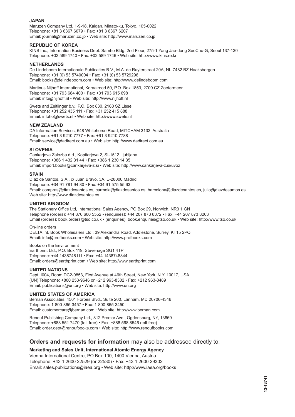### **JAPAN**

Maruzen Company Ltd, 1-9-18, Kaigan, Minato-ku, Tokyo, 105-0022 Telephone: +81 3 6367 6079 • Fax: +81 3 6367 6207 Email: journal@maruzen.co.jp • Web site: http://www.maruzen.co.jp

### **REPUBLIC OF KOREA**

KINS Inc., Information Business Dept. Samho Bldg. 2nd Floor, 275-1 Yang Jae-dong SeoCho-G, Seoul 137-130 Telephone: +02 589 1740 • Fax: +02 589 1746 • Web site: http://www.kins.re.kr

### **NETHERLANDS**

De Lindeboom Internationale Publicaties B.V., M.A. de Ruyterstraat 20A, NL-7482 BZ Haaksbergen Telephone: +31 (0) 53 5740004 • Fax: +31 (0) 53 5729296 Email: books@delindeboom.com • Web site: http://www.delindeboom.com

Martinus Nijhoff International, Koraalrood 50, P.O. Box 1853, 2700 CZ Zoetermeer Telephone: +31 793 684 400 • Fax: +31 793 615 698 Email: info@nijhoff.nl • Web site: http://www.nijhoff.nl

Swets and Zeitlinger b.v., P.O. Box 830, 2160 SZ Lisse Telephone: +31 252 435 111 • Fax: +31 252 415 888 Email: infoho@swets.nl • Web site: http://www.swets.nl

### **NEW ZEALAND**

DA Information Services, 648 Whitehorse Road, MITCHAM 3132, Australia Telephone: +61 3 9210 7777 • Fax: +61 3 9210 7788 Email: service@dadirect.com.au • Web site: http://www.dadirect.com.au

### **SLOVENIA**

Cankarjeva Zalozba d.d., Kopitarjeva 2, SI-1512 Ljubljana Telephone: +386 1 432 31 44 • Fax: +386 1 230 14 35 Email: import.books@cankarjeva-z.si • Web site: http://www.cankarjeva-z.si/uvoz

### **SPAIN**

Díaz de Santos, S.A., c/ Juan Bravo, 3A, E-28006 Madrid Telephone: +34 91 781 94 80 • Fax: +34 91 575 55 63 Email: compras@diazdesantos.es, carmela@diazdesantos.es, barcelona@diazdesantos.es, julio@diazdesantos.es Web site: http://www.diazdesantos.es

### **UNITED KINGDOM**

The Stationery Office Ltd, International Sales Agency, PO Box 29, Norwich, NR3 1 GN Telephone (orders): +44 870 600 5552 • (enquiries): +44 207 873 8372 • Fax: +44 207 873 8203 Email (orders): book.orders@tso.co.uk • (enquiries): book.enquiries@tso.co.uk • Web site: http://www.tso.co.uk

On-line orders

DELTA Int. Book Wholesalers Ltd., 39 Alexandra Road, Addlestone, Surrey, KT15 2PQ Email: info@profbooks.com • Web site: http://www.profbooks.com

Books on the Environment Earthprint Ltd., P.O. Box 119, Stevenage SG1 4TP Telephone: +44 1438748111 • Fax: +44 1438748844 Email: orders@earthprint.com • Web site: http://www.earthprint.com

### **UNITED NATIONS**

Dept. I004, Room DC2-0853, First Avenue at 46th Street, New York, N.Y. 10017, USA (UN) Telephone: +800 253-9646 or +212 963-8302 • Fax: +212 963-3489 Email: publications@un.org • Web site: http://www.un.org

### **UNITED STATES OF AMERICA**

Bernan Associates, 4501 Forbes Blvd., Suite 200, Lanham, MD 20706-4346 Telephone: 1-800-865-3457 • Fax: 1-800-865-3450 Email: customercare@bernan.com · Web site: http://www.bernan.com

Renouf Publishing Company Ltd., 812 Proctor Ave., Ogdensburg, NY, 13669 Telephone: +888 551 7470 (toll-free) • Fax: +888 568 8546 (toll-free) Email: order.dept@renoufbooks.com • Web site: http://www.renoufbooks.com

### **Orders and requests for information** may also be addressed directly to:

**Marketing and Sales Unit, International Atomic Energy Agency**  Vienna International Centre, PO Box 100, 1400 Vienna, Austria Telephone: +43 1 2600 22529 (or 22530) • Fax: +43 1 2600 29302 Email: sales.publications@iaea.org • Web site: http://www.iaea.org/books